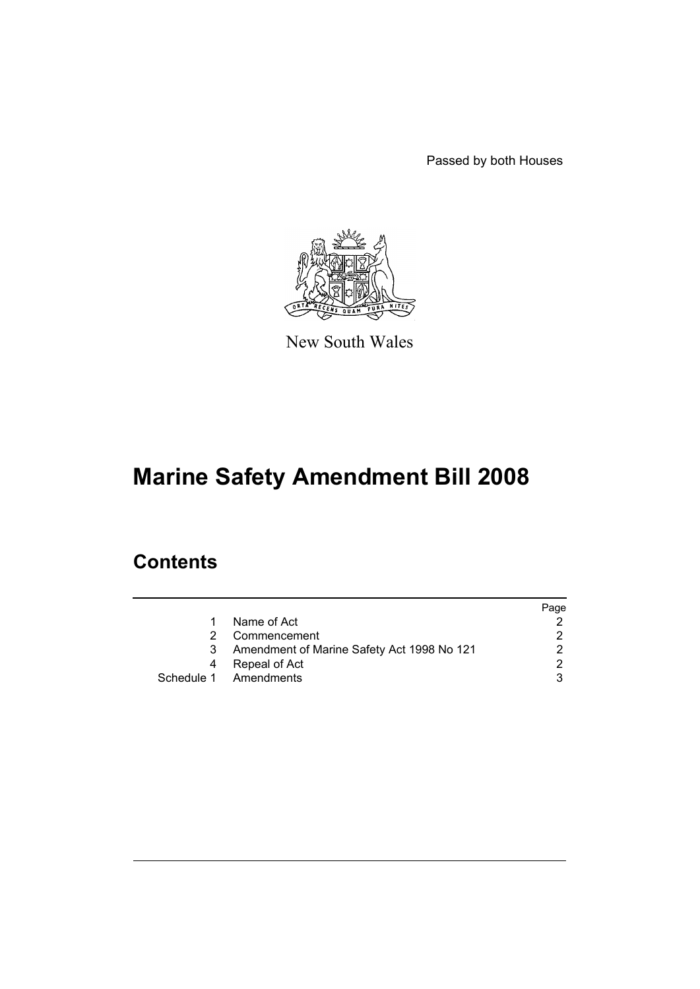Passed by both Houses



New South Wales

# **Marine Safety Amendment Bill 2008**

# **Contents**

|   |                                            | Page |
|---|--------------------------------------------|------|
| 1 | Name of Act                                |      |
|   | Commencement                               |      |
| 3 | Amendment of Marine Safety Act 1998 No 121 |      |
| 4 | Repeal of Act                              |      |
|   | Schedule 1 Amendments                      |      |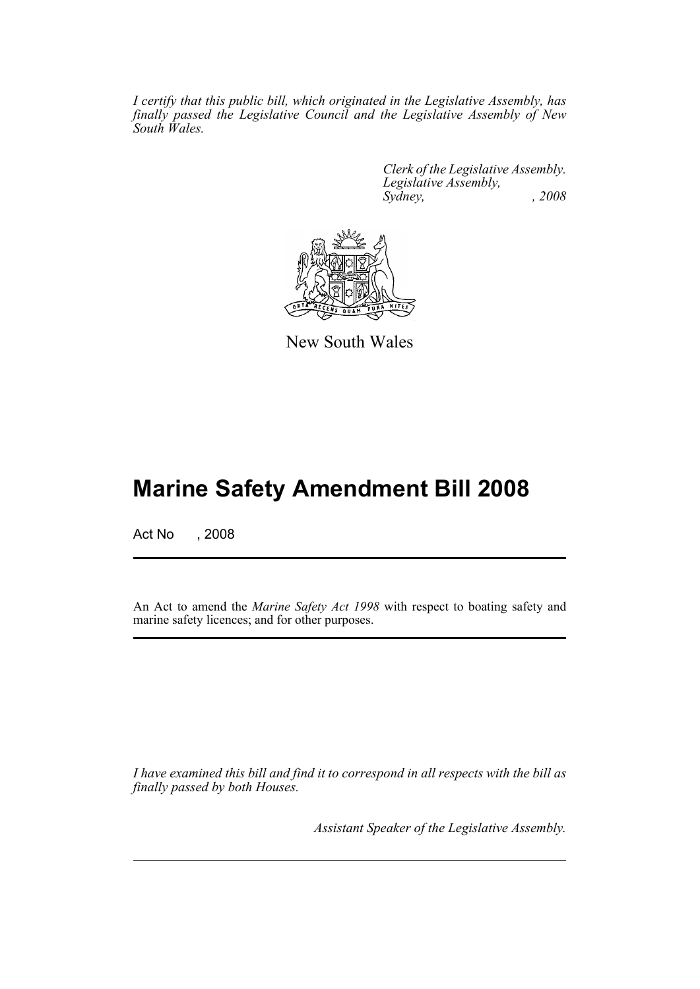*I certify that this public bill, which originated in the Legislative Assembly, has finally passed the Legislative Council and the Legislative Assembly of New South Wales.*

> *Clerk of the Legislative Assembly. Legislative Assembly, Sydney, , 2008*



New South Wales

# **Marine Safety Amendment Bill 2008**

Act No , 2008

An Act to amend the *Marine Safety Act 1998* with respect to boating safety and marine safety licences; and for other purposes.

*I have examined this bill and find it to correspond in all respects with the bill as finally passed by both Houses.*

*Assistant Speaker of the Legislative Assembly.*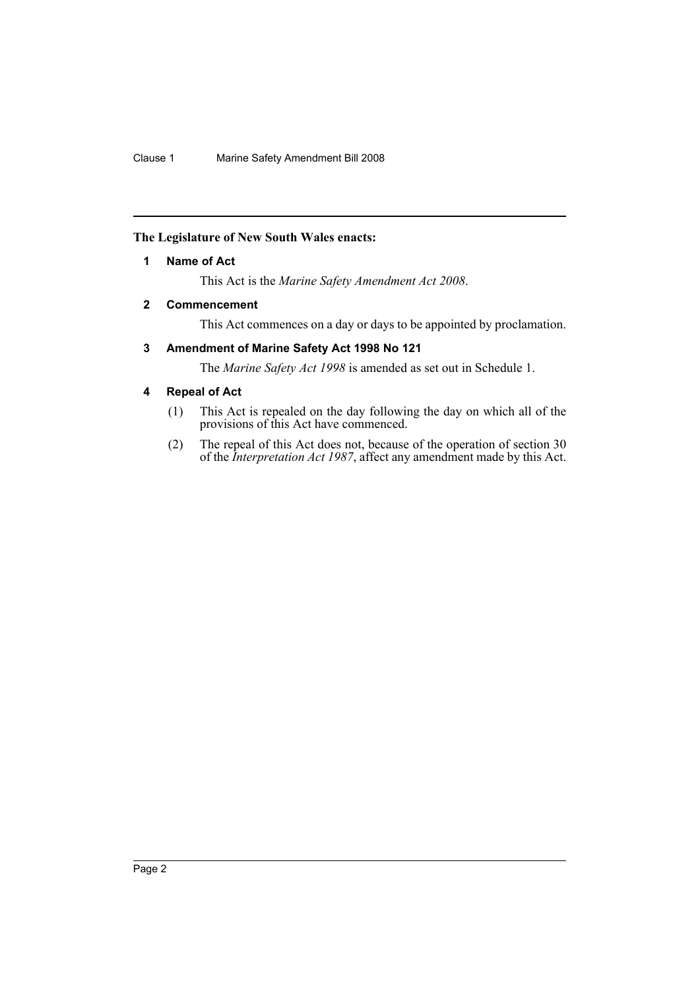# <span id="page-2-0"></span>**The Legislature of New South Wales enacts:**

# **1 Name of Act**

This Act is the *Marine Safety Amendment Act 2008*.

# <span id="page-2-1"></span>**2 Commencement**

This Act commences on a day or days to be appointed by proclamation.

# <span id="page-2-2"></span>**3 Amendment of Marine Safety Act 1998 No 121**

The *Marine Safety Act 1998* is amended as set out in Schedule 1.

# <span id="page-2-3"></span>**4 Repeal of Act**

- (1) This Act is repealed on the day following the day on which all of the provisions of this Act have commenced.
- (2) The repeal of this Act does not, because of the operation of section 30 of the *Interpretation Act 1987*, affect any amendment made by this Act.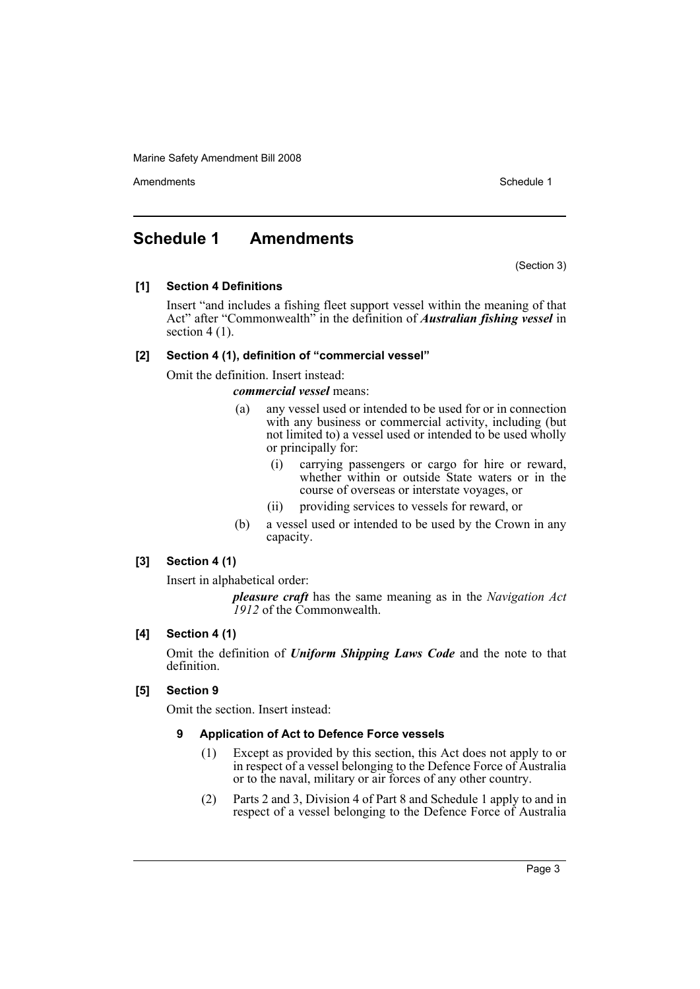Amendments **Amendments** Schedule 1

# <span id="page-3-0"></span>**Schedule 1 Amendments**

(Section 3)

# **[1] Section 4 Definitions**

Insert "and includes a fishing fleet support vessel within the meaning of that Act" after "Commonwealth" in the definition of *Australian fishing vessel* in section  $4(1)$ .

# **[2] Section 4 (1), definition of "commercial vessel"**

Omit the definition. Insert instead:

*commercial vessel* means:

- (a) any vessel used or intended to be used for or in connection with any business or commercial activity, including (but) not limited to) a vessel used or intended to be used wholly or principally for:
	- (i) carrying passengers or cargo for hire or reward, whether within or outside State waters or in the course of overseas or interstate voyages, or
	- (ii) providing services to vessels for reward, or
- (b) a vessel used or intended to be used by the Crown in any capacity.

# **[3] Section 4 (1)**

Insert in alphabetical order:

*pleasure craft* has the same meaning as in the *Navigation Act 1912* of the Commonwealth.

# **[4] Section 4 (1)**

Omit the definition of *Uniform Shipping Laws Code* and the note to that definition.

# **[5] Section 9**

Omit the section. Insert instead:

# **9 Application of Act to Defence Force vessels**

- (1) Except as provided by this section, this Act does not apply to or in respect of a vessel belonging to the Defence Force of Australia or to the naval, military or air forces of any other country.
- (2) Parts 2 and 3, Division 4 of Part 8 and Schedule 1 apply to and in respect of a vessel belonging to the Defence Force of Australia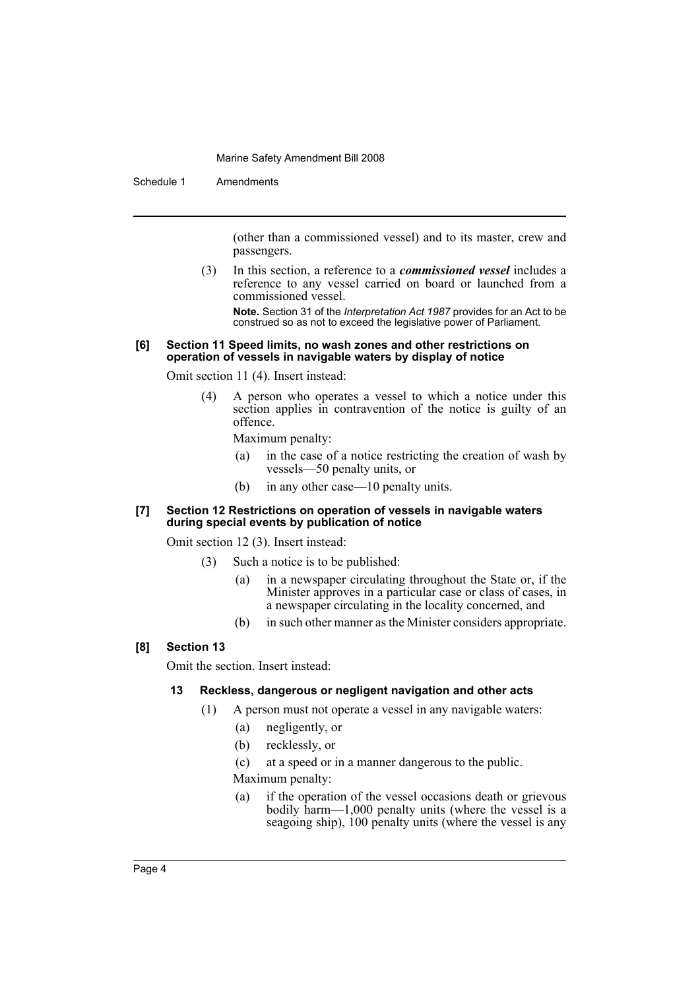Schedule 1 Amendments

(other than a commissioned vessel) and to its master, crew and passengers.

(3) In this section, a reference to a *commissioned vessel* includes a reference to any vessel carried on board or launched from a commissioned vessel.

**Note.** Section 31 of the *Interpretation Act 1987* provides for an Act to be construed so as not to exceed the legislative power of Parliament.

#### **[6] Section 11 Speed limits, no wash zones and other restrictions on operation of vessels in navigable waters by display of notice**

Omit section 11 (4). Insert instead:

(4) A person who operates a vessel to which a notice under this section applies in contravention of the notice is guilty of an offence.

Maximum penalty:

- (a) in the case of a notice restricting the creation of wash by vessels—50 penalty units, or
- (b) in any other case—10 penalty units.

#### **[7] Section 12 Restrictions on operation of vessels in navigable waters during special events by publication of notice**

Omit section 12 (3). Insert instead:

- (3) Such a notice is to be published:
	- (a) in a newspaper circulating throughout the State or, if the Minister approves in a particular case or class of cases, in a newspaper circulating in the locality concerned, and
	- (b) in such other manner as the Minister considers appropriate.

# **[8] Section 13**

Omit the section. Insert instead:

# **13 Reckless, dangerous or negligent navigation and other acts**

- (1) A person must not operate a vessel in any navigable waters:
	- (a) negligently, or
	- (b) recklessly, or

(c) at a speed or in a manner dangerous to the public.

Maximum penalty:

(a) if the operation of the vessel occasions death or grievous bodily harm—1,000 penalty units (where the vessel is a seagoing ship), 100 penalty units (where the vessel is any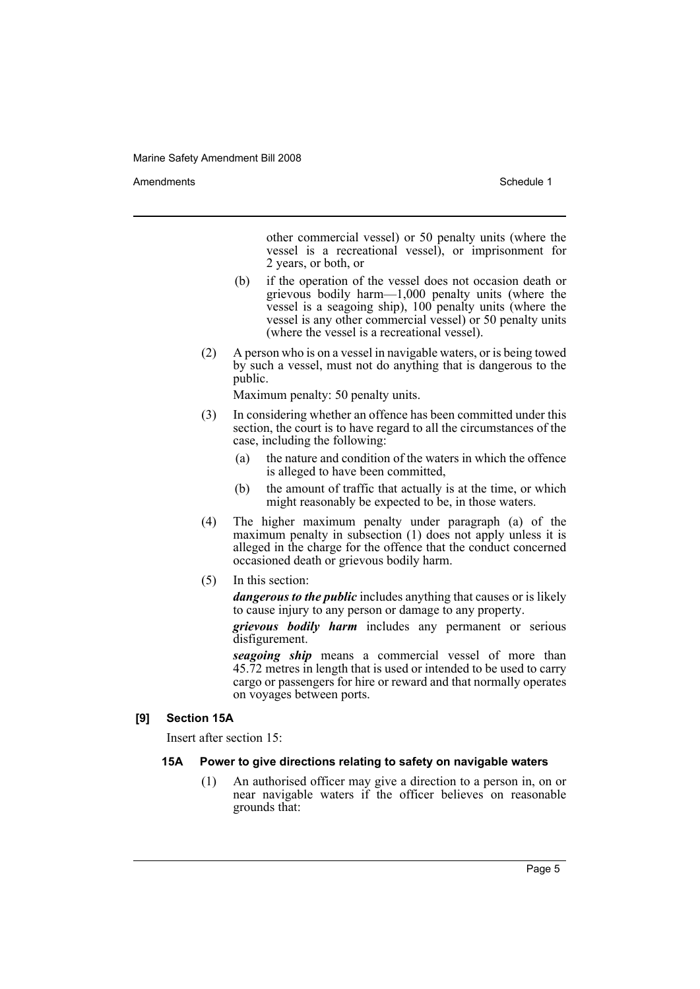Amendments **Amendments** Schedule 1

other commercial vessel) or 50 penalty units (where the vessel is a recreational vessel), or imprisonment for 2 years, or both, or

- (b) if the operation of the vessel does not occasion death or grievous bodily harm—1,000 penalty units (where the vessel is a seagoing ship), 100 penalty units (where the vessel is any other commercial vessel) or 50 penalty units (where the vessel is a recreational vessel).
- (2) A person who is on a vessel in navigable waters, or is being towed by such a vessel, must not do anything that is dangerous to the public.

Maximum penalty: 50 penalty units.

- (3) In considering whether an offence has been committed under this section, the court is to have regard to all the circumstances of the case, including the following:
	- (a) the nature and condition of the waters in which the offence is alleged to have been committed,
	- (b) the amount of traffic that actually is at the time, or which might reasonably be expected to be, in those waters.
- (4) The higher maximum penalty under paragraph (a) of the maximum penalty in subsection (1) does not apply unless it is alleged in the charge for the offence that the conduct concerned occasioned death or grievous bodily harm.
- (5) In this section:

*dangerous to the public* includes anything that causes or is likely to cause injury to any person or damage to any property.

*grievous bodily harm* includes any permanent or serious disfigurement.

*seagoing ship* means a commercial vessel of more than 45.72 metres in length that is used or intended to be used to carry cargo or passengers for hire or reward and that normally operates on voyages between ports.

# **[9] Section 15A**

Insert after section 15:

#### **15A Power to give directions relating to safety on navigable waters**

(1) An authorised officer may give a direction to a person in, on or near navigable waters if the officer believes on reasonable grounds that: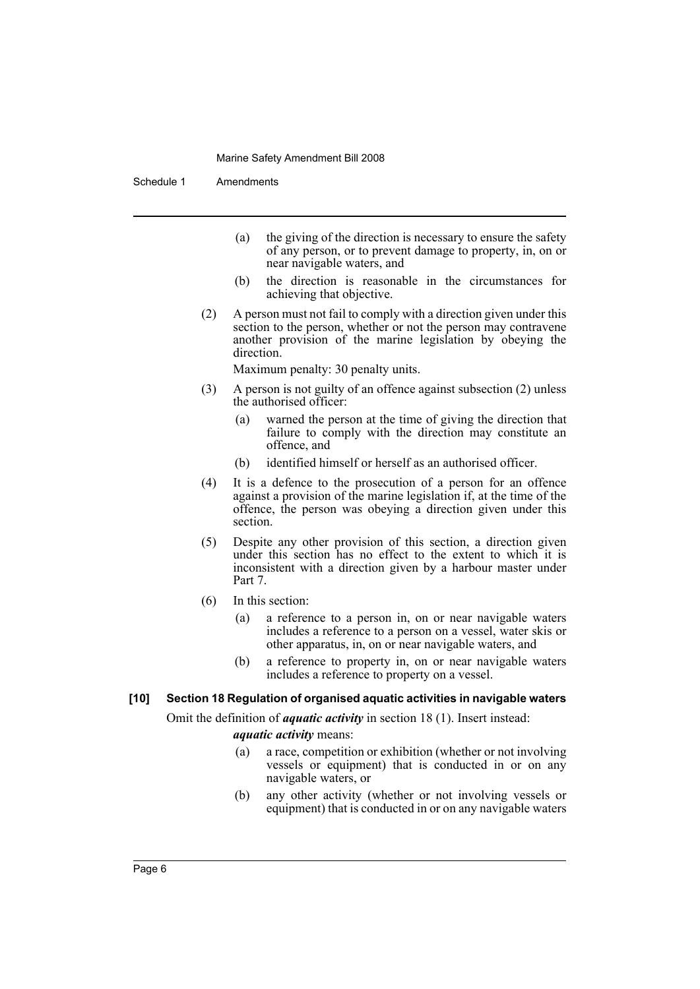Schedule 1 Amendments

- (a) the giving of the direction is necessary to ensure the safety of any person, or to prevent damage to property, in, on or near navigable waters, and
- (b) the direction is reasonable in the circumstances for achieving that objective.
- (2) A person must not fail to comply with a direction given under this section to the person, whether or not the person may contravene another provision of the marine legislation by obeying the direction.

Maximum penalty: 30 penalty units.

- (3) A person is not guilty of an offence against subsection (2) unless the authorised officer:
	- (a) warned the person at the time of giving the direction that failure to comply with the direction may constitute an offence, and
	- (b) identified himself or herself as an authorised officer.
- (4) It is a defence to the prosecution of a person for an offence against a provision of the marine legislation if, at the time of the offence, the person was obeying a direction given under this section.
- (5) Despite any other provision of this section, a direction given under this section has no effect to the extent to which it is inconsistent with a direction given by a harbour master under Part 7.
- (6) In this section:
	- (a) a reference to a person in, on or near navigable waters includes a reference to a person on a vessel, water skis or other apparatus, in, on or near navigable waters, and
	- (b) a reference to property in, on or near navigable waters includes a reference to property on a vessel.

# **[10] Section 18 Regulation of organised aquatic activities in navigable waters**

Omit the definition of *aquatic activity* in section 18 (1). Insert instead:

*aquatic activity* means:

- (a) a race, competition or exhibition (whether or not involving vessels or equipment) that is conducted in or on any navigable waters, or
- (b) any other activity (whether or not involving vessels or equipment) that is conducted in or on any navigable waters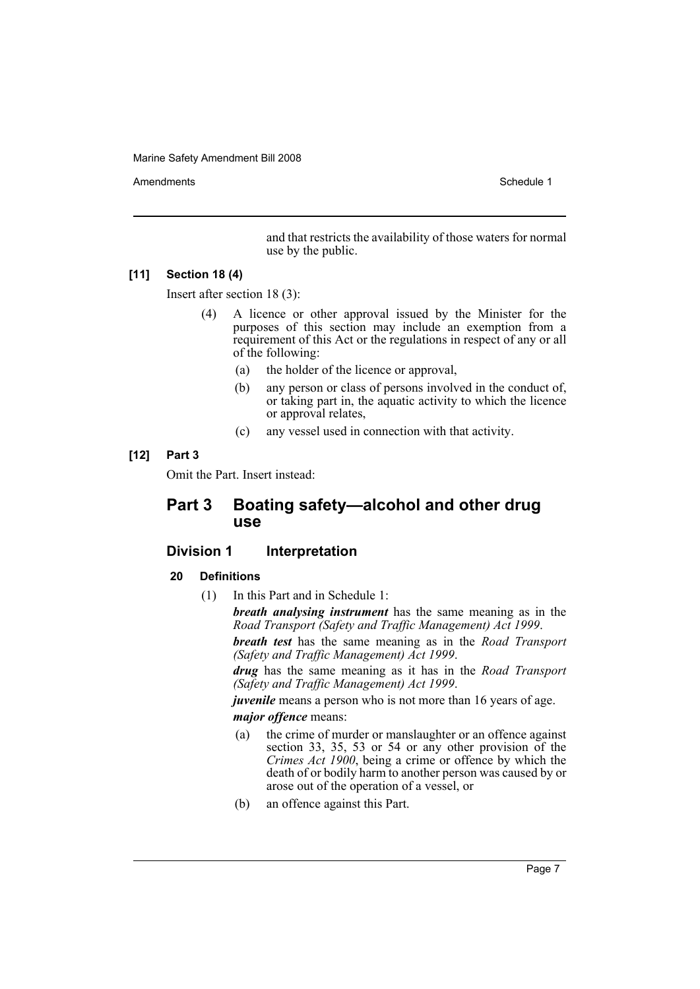Amendments **Schedule 1** and the set of the set of the set of the set of the set of the set of the set of the set of the set of the set of the set of the set of the set of the set of the set of the set of the set of the set

and that restricts the availability of those waters for normal use by the public.

# **[11] Section 18 (4)**

Insert after section 18 (3):

- (4) A licence or other approval issued by the Minister for the purposes of this section may include an exemption from a requirement of this Act or the regulations in respect of any or all of the following:
	- (a) the holder of the licence or approval,
	- (b) any person or class of persons involved in the conduct of, or taking part in, the aquatic activity to which the licence or approval relates,
	- (c) any vessel used in connection with that activity.

# **[12] Part 3**

Omit the Part. Insert instead:

# **Part 3 Boating safety—alcohol and other drug use**

# **Division 1 Interpretation**

# **20 Definitions**

(1) In this Part and in Schedule 1:

*breath analysing instrument* has the same meaning as in the *Road Transport (Safety and Traffic Management) Act 1999*. *breath test* has the same meaning as in the *Road Transport (Safety and Traffic Management) Act 1999*.

*drug* has the same meaning as it has in the *Road Transport (Safety and Traffic Management) Act 1999*.

*juvenile* means a person who is not more than 16 years of age. *major offence* means:

- (a) the crime of murder or manslaughter or an offence against section 33, 35, 53 or 54 or any other provision of the *Crimes Act 1900*, being a crime or offence by which the death of or bodily harm to another person was caused by or arose out of the operation of a vessel, or
- (b) an offence against this Part.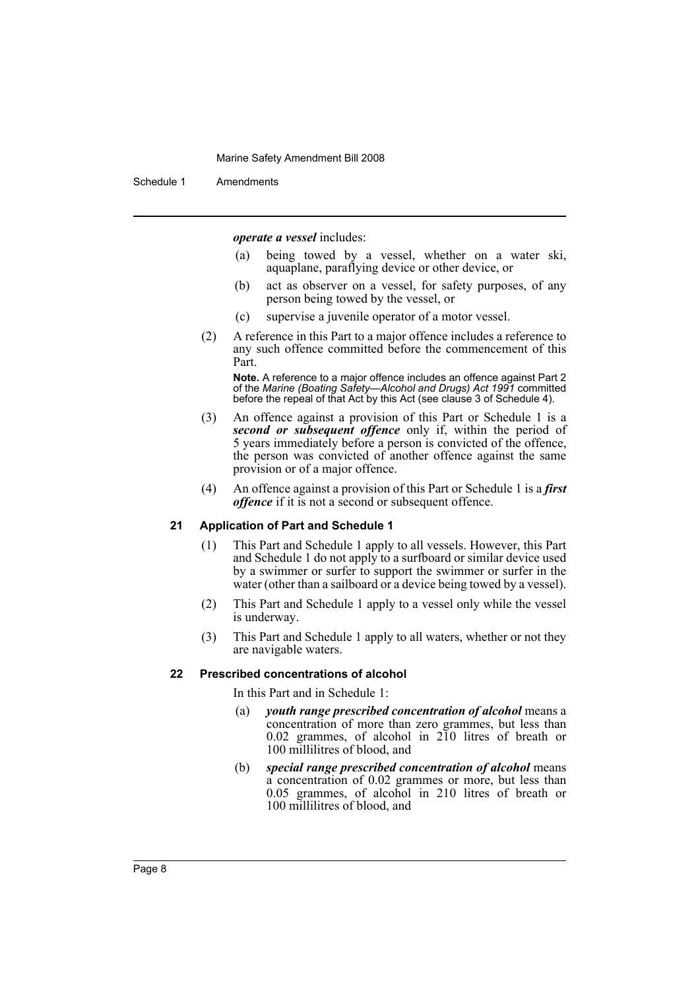Schedule 1 Amendments

*operate a vessel* includes:

- (a) being towed by a vessel, whether on a water ski, aquaplane, paraflying device or other device, or
- (b) act as observer on a vessel, for safety purposes, of any person being towed by the vessel, or
- (c) supervise a juvenile operator of a motor vessel.
- (2) A reference in this Part to a major offence includes a reference to any such offence committed before the commencement of this Part.

**Note.** A reference to a major offence includes an offence against Part 2 of the *Marine (Boating Safety—Alcohol and Drugs) Act 1991* committed before the repeal of that Act by this Act (see clause 3 of Schedule 4).

- (3) An offence against a provision of this Part or Schedule 1 is a *second or subsequent offence* only if, within the period of 5 years immediately before a person is convicted of the offence, the person was convicted of another offence against the same provision or of a major offence.
- (4) An offence against a provision of this Part or Schedule 1 is a *first offence* if it is not a second or subsequent offence.

#### **21 Application of Part and Schedule 1**

- (1) This Part and Schedule 1 apply to all vessels. However, this Part and Schedule 1 do not apply to a surfboard or similar device used by a swimmer or surfer to support the swimmer or surfer in the water (other than a sailboard or a device being towed by a vessel).
- (2) This Part and Schedule 1 apply to a vessel only while the vessel is underway.
- (3) This Part and Schedule 1 apply to all waters, whether or not they are navigable waters.

# **22 Prescribed concentrations of alcohol**

In this Part and in Schedule 1:

- (a) *youth range prescribed concentration of alcohol* means a concentration of more than zero grammes, but less than 0.02 grammes, of alcohol in 210 litres of breath or 100 millilitres of blood, and
- (b) *special range prescribed concentration of alcohol* means a concentration of 0.02 grammes or more, but less than 0.05 grammes, of alcohol in 210 litres of breath or 100 millilitres of blood, and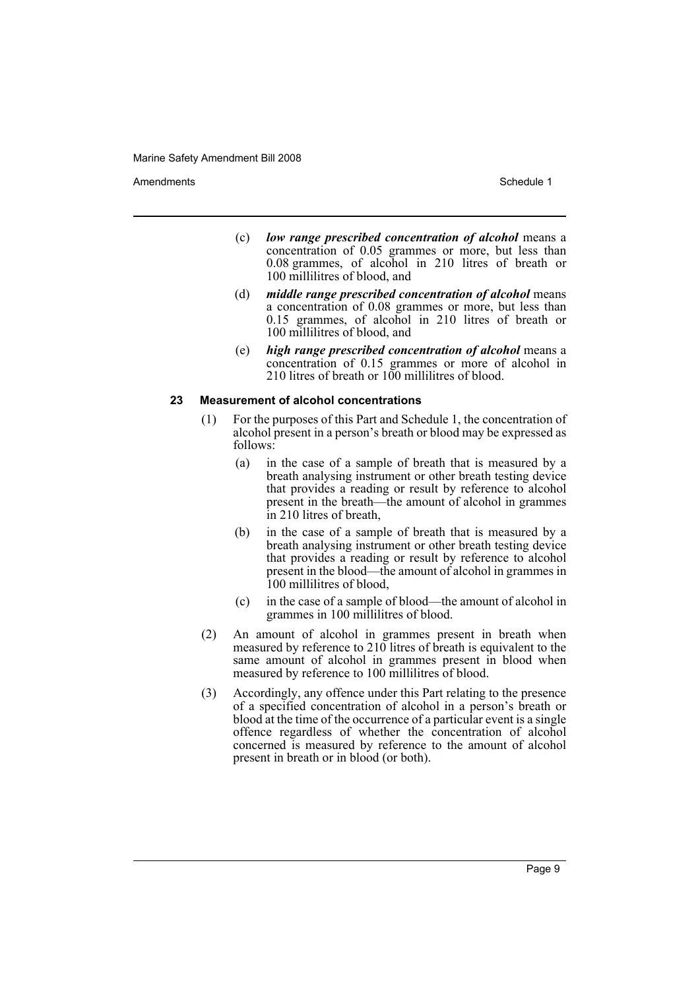Amendments **Amendments** Schedule 1

- (c) *low range prescribed concentration of alcohol* means a concentration of 0.05 grammes or more, but less than 0.08 grammes, of alcohol in 210 litres of breath or 100 millilitres of blood, and
- (d) *middle range prescribed concentration of alcohol* means a concentration of 0.08 grammes or more, but less than 0.15 grammes, of alcohol in 210 litres of breath or 100 millilitres of blood, and
- (e) *high range prescribed concentration of alcohol* means a concentration of 0.15 grammes or more of alcohol in 210 litres of breath or 100 millilitres of blood.

# **23 Measurement of alcohol concentrations**

- (1) For the purposes of this Part and Schedule 1, the concentration of alcohol present in a person's breath or blood may be expressed as follows:
	- (a) in the case of a sample of breath that is measured by a breath analysing instrument or other breath testing device that provides a reading or result by reference to alcohol present in the breath—the amount of alcohol in grammes in 210 litres of breath,
	- (b) in the case of a sample of breath that is measured by a breath analysing instrument or other breath testing device that provides a reading or result by reference to alcohol present in the blood—the amount of alcohol in grammes in 100 millilitres of blood,
	- (c) in the case of a sample of blood—the amount of alcohol in grammes in 100 millilitres of blood.
- (2) An amount of alcohol in grammes present in breath when measured by reference to 210 litres of breath is equivalent to the same amount of alcohol in grammes present in blood when measured by reference to 100 millilitres of blood.
- (3) Accordingly, any offence under this Part relating to the presence of a specified concentration of alcohol in a person's breath or blood at the time of the occurrence of a particular event is a single offence regardless of whether the concentration of alcohol concerned is measured by reference to the amount of alcohol present in breath or in blood (or both).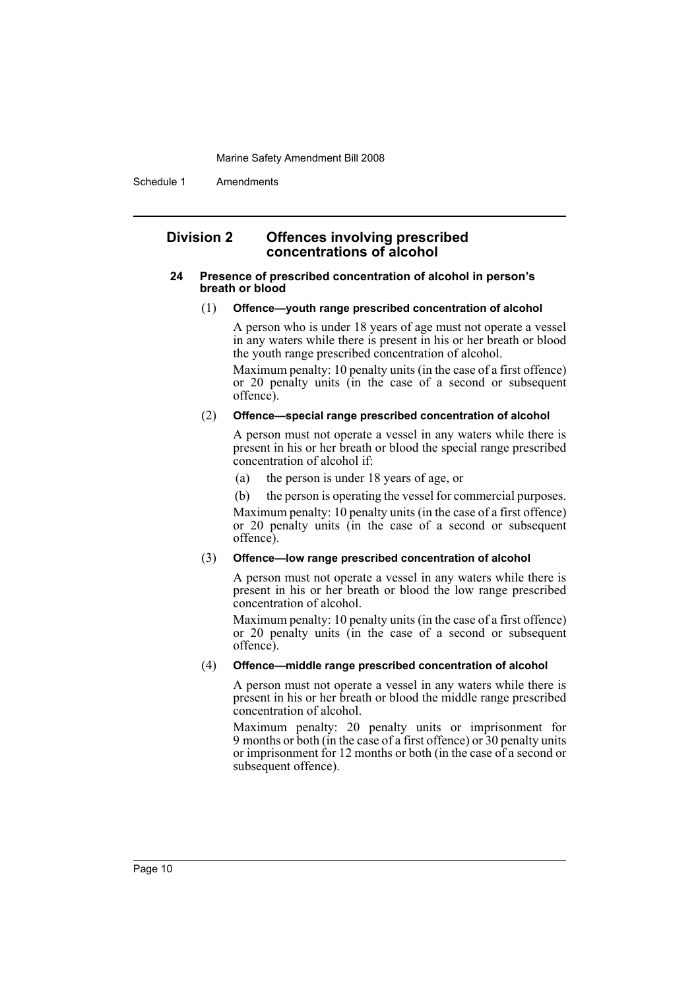Schedule 1 Amendments

# **Division 2 Offences involving prescribed concentrations of alcohol**

#### **24 Presence of prescribed concentration of alcohol in person's breath or blood**

#### (1) **Offence—youth range prescribed concentration of alcohol**

A person who is under 18 years of age must not operate a vessel in any waters while there is present in his or her breath or blood the youth range prescribed concentration of alcohol.

Maximum penalty: 10 penalty units (in the case of a first offence) or 20 penalty units (in the case of a second or subsequent offence).

#### (2) **Offence—special range prescribed concentration of alcohol**

A person must not operate a vessel in any waters while there is present in his or her breath or blood the special range prescribed concentration of alcohol if:

- (a) the person is under 18 years of age, or
- (b) the person is operating the vessel for commercial purposes.

Maximum penalty: 10 penalty units (in the case of a first offence) or 20 penalty units (in the case of a second or subsequent offence).

# (3) **Offence—low range prescribed concentration of alcohol**

A person must not operate a vessel in any waters while there is present in his or her breath or blood the low range prescribed concentration of alcohol.

Maximum penalty: 10 penalty units (in the case of a first offence) or 20 penalty units (in the case of a second or subsequent offence).

# (4) **Offence—middle range prescribed concentration of alcohol**

A person must not operate a vessel in any waters while there is present in his or her breath or blood the middle range prescribed concentration of alcohol.

Maximum penalty: 20 penalty units or imprisonment for 9 months or both (in the case of a first offence) or 30 penalty units or imprisonment for 12 months or both (in the case of a second or subsequent offence).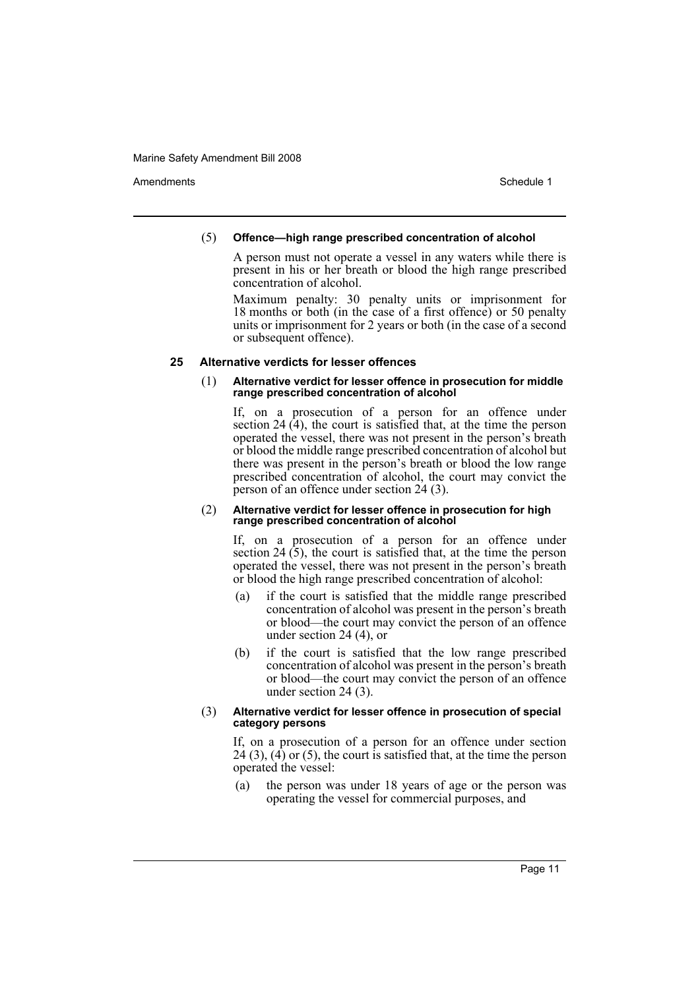Amendments **Amendments** Schedule 1

# (5) **Offence—high range prescribed concentration of alcohol**

A person must not operate a vessel in any waters while there is present in his or her breath or blood the high range prescribed concentration of alcohol.

Maximum penalty: 30 penalty units or imprisonment for 18 months or both (in the case of a first offence) or 50 penalty units or imprisonment for 2 years or both (in the case of a second or subsequent offence).

# **25 Alternative verdicts for lesser offences**

#### (1) **Alternative verdict for lesser offence in prosecution for middle range prescribed concentration of alcohol**

If, on a prosecution of a person for an offence under section 24 (4), the court is satisfied that, at the time the person operated the vessel, there was not present in the person's breath or blood the middle range prescribed concentration of alcohol but there was present in the person's breath or blood the low range prescribed concentration of alcohol, the court may convict the person of an offence under section 24 (3).

#### (2) **Alternative verdict for lesser offence in prosecution for high range prescribed concentration of alcohol**

If, on a prosecution of a person for an offence under section  $24(5)$ , the court is satisfied that, at the time the person operated the vessel, there was not present in the person's breath or blood the high range prescribed concentration of alcohol:

- (a) if the court is satisfied that the middle range prescribed concentration of alcohol was present in the person's breath or blood—the court may convict the person of an offence under section 24 (4), or
- (b) if the court is satisfied that the low range prescribed concentration of alcohol was present in the person's breath or blood—the court may convict the person of an offence under section 24 (3).

#### (3) **Alternative verdict for lesser offence in prosecution of special category persons**

If, on a prosecution of a person for an offence under section  $24(3)$ ,  $(4)$  or  $(5)$ , the court is satisfied that, at the time the person operated the vessel:

(a) the person was under 18 years of age or the person was operating the vessel for commercial purposes, and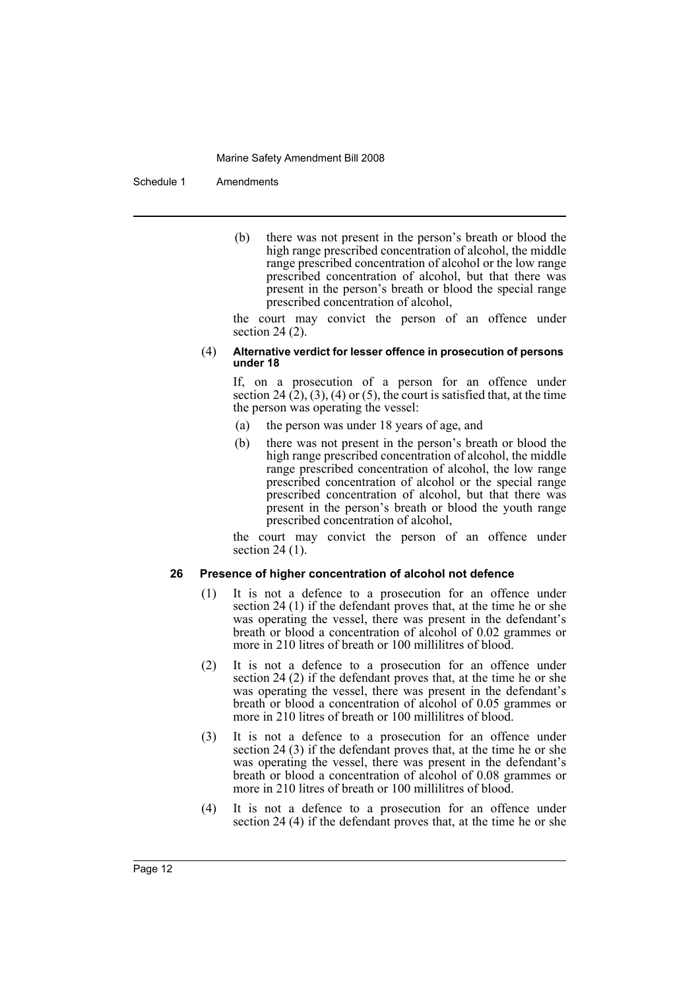#### Schedule 1 Amendments

(b) there was not present in the person's breath or blood the high range prescribed concentration of alcohol, the middle range prescribed concentration of alcohol or the low range prescribed concentration of alcohol, but that there was present in the person's breath or blood the special range prescribed concentration of alcohol,

the court may convict the person of an offence under section 24 (2).

#### (4) **Alternative verdict for lesser offence in prosecution of persons under 18**

If, on a prosecution of a person for an offence under section 24  $(2)$ ,  $(3)$ ,  $(4)$  or  $(5)$ , the court is satisfied that, at the time the person was operating the vessel:

- (a) the person was under 18 years of age, and
- (b) there was not present in the person's breath or blood the high range prescribed concentration of alcohol, the middle range prescribed concentration of alcohol, the low range prescribed concentration of alcohol or the special range prescribed concentration of alcohol, but that there was present in the person's breath or blood the youth range prescribed concentration of alcohol,

the court may convict the person of an offence under section 24 (1).

# **26 Presence of higher concentration of alcohol not defence**

- (1) It is not a defence to a prosecution for an offence under section 24 (1) if the defendant proves that, at the time he or she was operating the vessel, there was present in the defendant's breath or blood a concentration of alcohol of 0.02 grammes or more in 210 litres of breath or 100 millilitres of blood.
- (2) It is not a defence to a prosecution for an offence under section 24 (2) if the defendant proves that, at the time he or she was operating the vessel, there was present in the defendant's breath or blood a concentration of alcohol of 0.05 grammes or more in 210 litres of breath or 100 millilitres of blood.
- (3) It is not a defence to a prosecution for an offence under section 24 (3) if the defendant proves that, at the time he or she was operating the vessel, there was present in the defendant's breath or blood a concentration of alcohol of 0.08 grammes or more in 210 litres of breath or 100 millilitres of blood.
- (4) It is not a defence to a prosecution for an offence under section 24 (4) if the defendant proves that, at the time he or she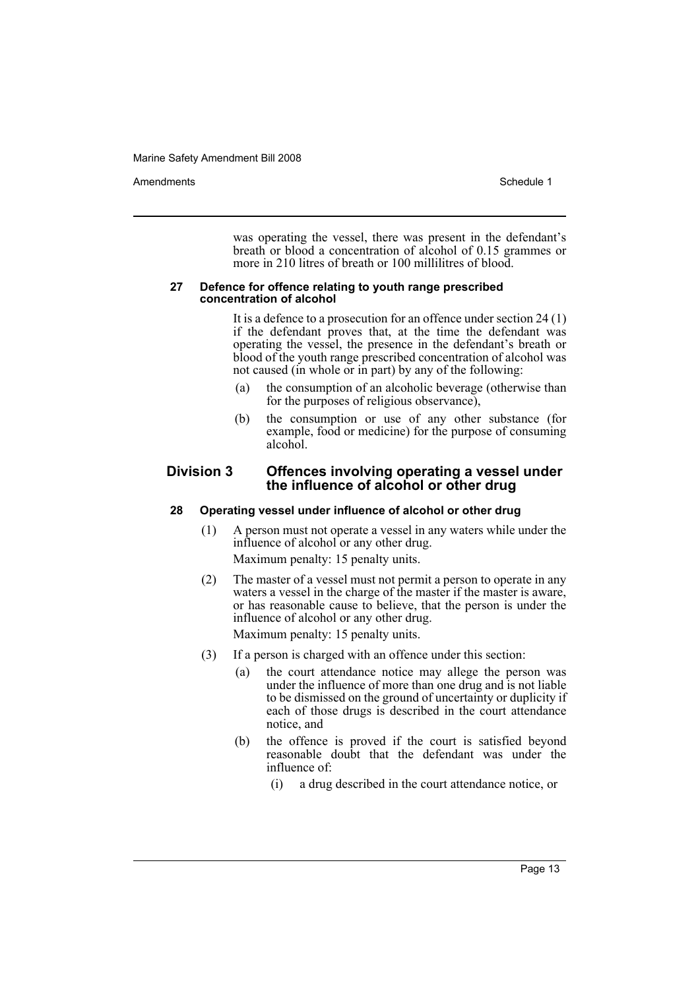Amendments **Amendments** Schedule 1

was operating the vessel, there was present in the defendant's breath or blood a concentration of alcohol of 0.15 grammes or more in 210 litres of breath or 100 millilitres of blood.

#### **27 Defence for offence relating to youth range prescribed concentration of alcohol**

It is a defence to a prosecution for an offence under section 24 (1) if the defendant proves that, at the time the defendant was operating the vessel, the presence in the defendant's breath or blood of the youth range prescribed concentration of alcohol was not caused (in whole or in part) by any of the following:

- (a) the consumption of an alcoholic beverage (otherwise than for the purposes of religious observance),
- (b) the consumption or use of any other substance (for example, food or medicine) for the purpose of consuming alcohol.

# **Division 3 Offences involving operating a vessel under the influence of alcohol or other drug**

# **28 Operating vessel under influence of alcohol or other drug**

- (1) A person must not operate a vessel in any waters while under the influence of alcohol or any other drug. Maximum penalty: 15 penalty units.
- (2) The master of a vessel must not permit a person to operate in any waters a vessel in the charge of the master if the master is aware, or has reasonable cause to believe, that the person is under the influence of alcohol or any other drug. Maximum penalty: 15 penalty units.
- (3) If a person is charged with an offence under this section:
	- (a) the court attendance notice may allege the person was under the influence of more than one drug and is not liable to be dismissed on the ground of uncertainty or duplicity if each of those drugs is described in the court attendance notice, and
	- (b) the offence is proved if the court is satisfied beyond reasonable doubt that the defendant was under the influence of:
		- (i) a drug described in the court attendance notice, or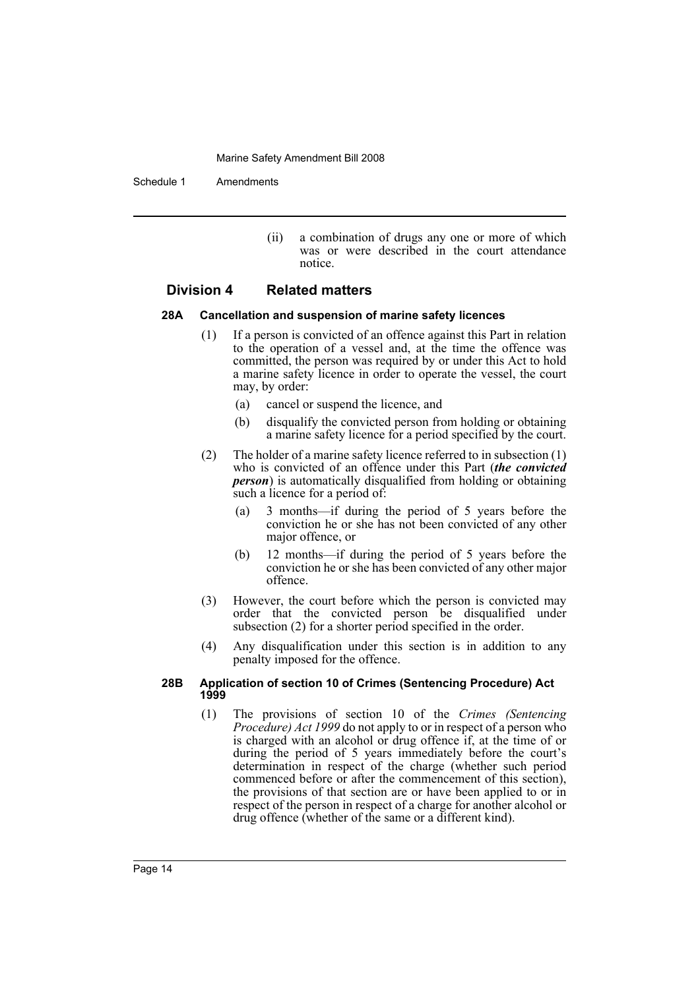Schedule 1 Amendments

(ii) a combination of drugs any one or more of which was or were described in the court attendance notice.

# **Division 4 Related matters**

# **28A Cancellation and suspension of marine safety licences**

- (1) If a person is convicted of an offence against this Part in relation to the operation of a vessel and, at the time the offence was committed, the person was required by or under this Act to hold a marine safety licence in order to operate the vessel, the court may, by order:
	- (a) cancel or suspend the licence, and
	- (b) disqualify the convicted person from holding or obtaining a marine safety licence for a period specified by the court.
- (2) The holder of a marine safety licence referred to in subsection (1) who is convicted of an offence under this Part (*the convicted person*) is automatically disqualified from holding or obtaining such a licence for a period of:
	- (a) 3 months—if during the period of 5 years before the conviction he or she has not been convicted of any other major offence, or
	- (b) 12 months—if during the period of 5 years before the conviction he or she has been convicted of any other major offence.
- (3) However, the court before which the person is convicted may order that the convicted person be disqualified under subsection (2) for a shorter period specified in the order.
- (4) Any disqualification under this section is in addition to any penalty imposed for the offence.

# **28B Application of section 10 of Crimes (Sentencing Procedure) Act 1999**

(1) The provisions of section 10 of the *Crimes (Sentencing Procedure) Act 1999* do not apply to or in respect of a person who is charged with an alcohol or drug offence if, at the time of or during the period of 5 years immediately before the court's determination in respect of the charge (whether such period commenced before or after the commencement of this section), the provisions of that section are or have been applied to or in respect of the person in respect of a charge for another alcohol or drug offence (whether of the same or a different kind).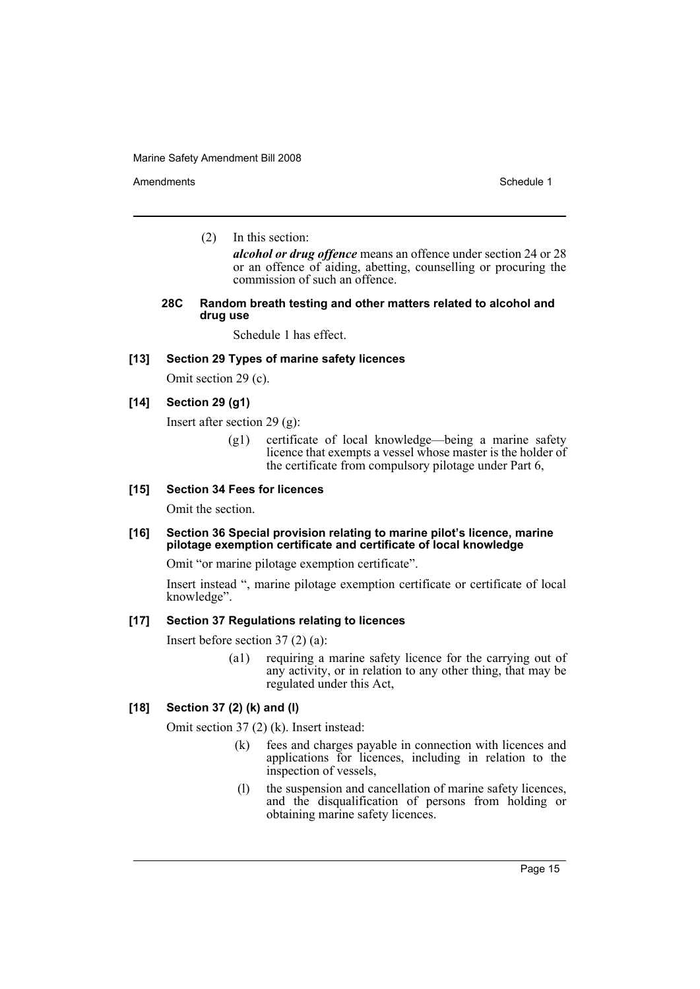Amendments **Amendments** Schedule 1

(2) In this section:

*alcohol or drug offence* means an offence under section 24 or 28 or an offence of aiding, abetting, counselling or procuring the commission of such an offence.

#### **28C Random breath testing and other matters related to alcohol and drug use**

Schedule 1 has effect.

# **[13] Section 29 Types of marine safety licences**

Omit section 29 (c).

# **[14] Section 29 (g1)**

Insert after section 29 (g):

(g1) certificate of local knowledge—being a marine safety licence that exempts a vessel whose master is the holder of the certificate from compulsory pilotage under Part 6,

# **[15] Section 34 Fees for licences**

Omit the section.

# **[16] Section 36 Special provision relating to marine pilot's licence, marine pilotage exemption certificate and certificate of local knowledge**

Omit "or marine pilotage exemption certificate".

Insert instead ", marine pilotage exemption certificate or certificate of local knowledge".

# **[17] Section 37 Regulations relating to licences**

Insert before section 37 (2) (a):

(a1) requiring a marine safety licence for the carrying out of any activity, or in relation to any other thing, that may be regulated under this Act,

# **[18] Section 37 (2) (k) and (l)**

Omit section 37 (2) (k). Insert instead:

- (k) fees and charges payable in connection with licences and applications for licences, including in relation to the inspection of vessels,
- (l) the suspension and cancellation of marine safety licences, and the disqualification of persons from holding or obtaining marine safety licences.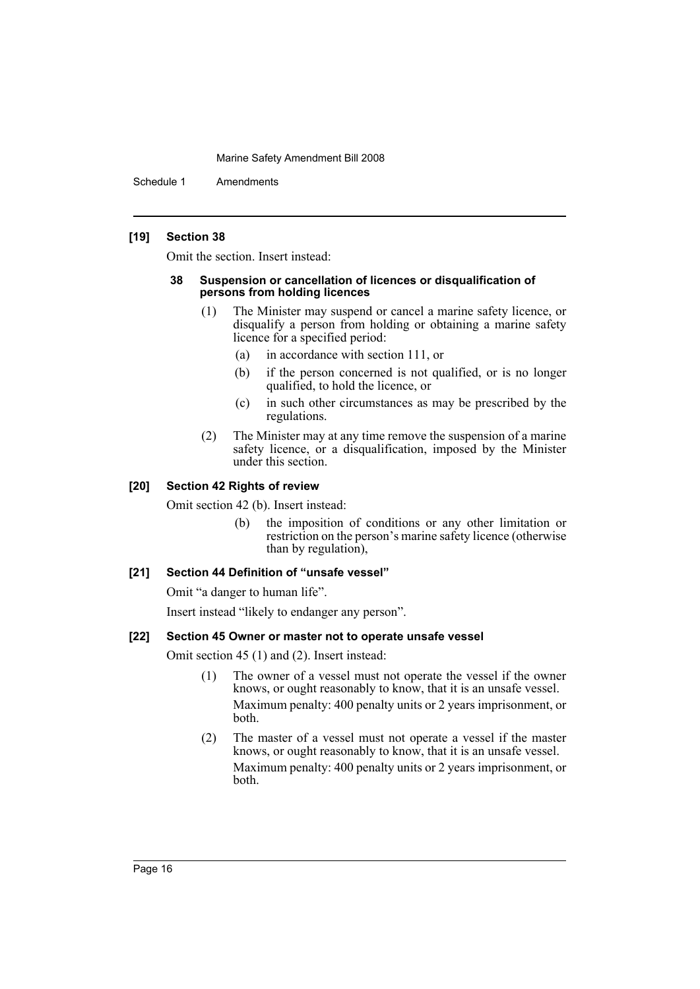Schedule 1 Amendments

# **[19] Section 38**

Omit the section. Insert instead:

#### **38 Suspension or cancellation of licences or disqualification of persons from holding licences**

- (1) The Minister may suspend or cancel a marine safety licence, or disqualify a person from holding or obtaining a marine safety licence for a specified period:
	- (a) in accordance with section 111, or
	- (b) if the person concerned is not qualified, or is no longer qualified, to hold the licence, or
	- (c) in such other circumstances as may be prescribed by the regulations.
- (2) The Minister may at any time remove the suspension of a marine safety licence, or a disqualification, imposed by the Minister under this section.

# **[20] Section 42 Rights of review**

Omit section 42 (b). Insert instead:

(b) the imposition of conditions or any other limitation or restriction on the person's marine safety licence (otherwise than by regulation),

# **[21] Section 44 Definition of "unsafe vessel"**

Omit "a danger to human life".

Insert instead "likely to endanger any person".

# **[22] Section 45 Owner or master not to operate unsafe vessel**

Omit section 45 (1) and (2). Insert instead:

- (1) The owner of a vessel must not operate the vessel if the owner knows, or ought reasonably to know, that it is an unsafe vessel. Maximum penalty: 400 penalty units or 2 years imprisonment, or both.
- (2) The master of a vessel must not operate a vessel if the master knows, or ought reasonably to know, that it is an unsafe vessel. Maximum penalty: 400 penalty units or 2 years imprisonment, or both.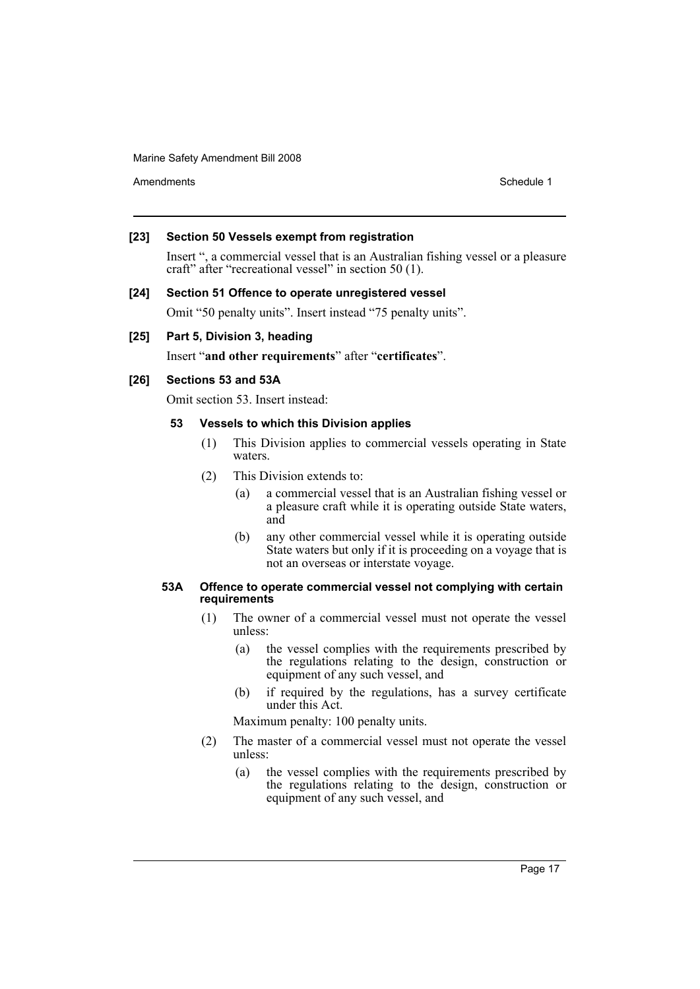Amendments **Schedule 1** and the set of the set of the set of the set of the set of the set of the set of the set of the set of the set of the set of the set of the set of the set of the set of the set of the set of the set

# **[23] Section 50 Vessels exempt from registration**

Insert ", a commercial vessel that is an Australian fishing vessel or a pleasure craft" after "recreational vessel" in section 50 (1).

# **[24] Section 51 Offence to operate unregistered vessel**

Omit "50 penalty units". Insert instead "75 penalty units".

# **[25] Part 5, Division 3, heading**

Insert "**and other requirements**" after "**certificates**".

# **[26] Sections 53 and 53A**

Omit section 53. Insert instead:

# **53 Vessels to which this Division applies**

- (1) This Division applies to commercial vessels operating in State waters.
- (2) This Division extends to:
	- (a) a commercial vessel that is an Australian fishing vessel or a pleasure craft while it is operating outside State waters, and
	- (b) any other commercial vessel while it is operating outside State waters but only if it is proceeding on a voyage that is not an overseas or interstate voyage.

#### **53A Offence to operate commercial vessel not complying with certain requirements**

- (1) The owner of a commercial vessel must not operate the vessel unless:
	- (a) the vessel complies with the requirements prescribed by the regulations relating to the design, construction or equipment of any such vessel, and
	- (b) if required by the regulations, has a survey certificate under this Act.

Maximum penalty: 100 penalty units.

- (2) The master of a commercial vessel must not operate the vessel unless:
	- (a) the vessel complies with the requirements prescribed by the regulations relating to the design, construction or equipment of any such vessel, and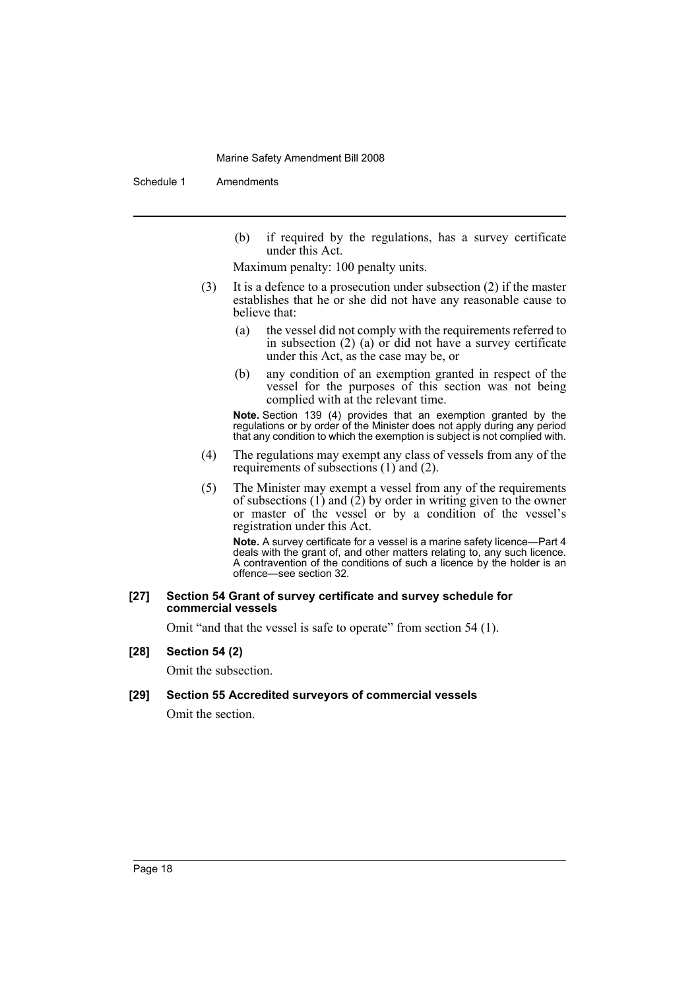Schedule 1 Amendments

(b) if required by the regulations, has a survey certificate under this Act.

Maximum penalty: 100 penalty units.

- (3) It is a defence to a prosecution under subsection (2) if the master establishes that he or she did not have any reasonable cause to believe that:
	- (a) the vessel did not comply with the requirements referred to in subsection (2) (a) or did not have a survey certificate under this Act, as the case may be, or
	- (b) any condition of an exemption granted in respect of the vessel for the purposes of this section was not being complied with at the relevant time.

**Note.** Section 139 (4) provides that an exemption granted by the regulations or by order of the Minister does not apply during any period that any condition to which the exemption is subject is not complied with.

- (4) The regulations may exempt any class of vessels from any of the requirements of subsections (1) and (2).
- (5) The Minister may exempt a vessel from any of the requirements of subsections  $(1)$  and  $(2)$  by order in writing given to the owner or master of the vessel or by a condition of the vessel's registration under this Act.

**Note.** A survey certificate for a vessel is a marine safety licence—Part 4 deals with the grant of, and other matters relating to, any such licence. A contravention of the conditions of such a licence by the holder is an offence—see section 32.

#### **[27] Section 54 Grant of survey certificate and survey schedule for commercial vessels**

Omit "and that the vessel is safe to operate" from section 54 (1).

# **[28] Section 54 (2)**

Omit the subsection.

# **[29] Section 55 Accredited surveyors of commercial vessels**

Omit the section.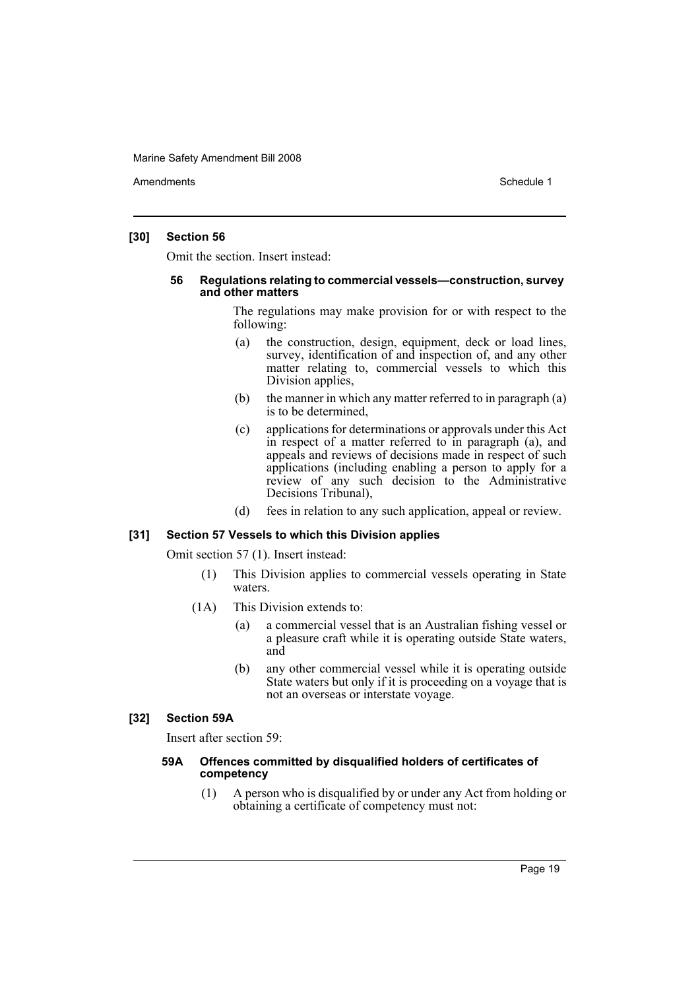Amendments **Schedule 1** and the set of the set of the set of the set of the set of the set of the set of the set of the set of the set of the set of the set of the set of the set of the set of the set of the set of the set

#### **[30] Section 56**

Omit the section. Insert instead:

#### **56 Regulations relating to commercial vessels—construction, survey and other matters**

The regulations may make provision for or with respect to the following:

- (a) the construction, design, equipment, deck or load lines, survey, identification of and inspection of, and any other matter relating to, commercial vessels to which this Division applies,
- (b) the manner in which any matter referred to in paragraph (a) is to be determined,
- (c) applications for determinations or approvals under this Act in respect of a matter referred to in paragraph (a), and appeals and reviews of decisions made in respect of such applications (including enabling a person to apply for a review of any such decision to the Administrative Decisions Tribunal),
- (d) fees in relation to any such application, appeal or review.

# **[31] Section 57 Vessels to which this Division applies**

Omit section 57 (1). Insert instead:

- (1) This Division applies to commercial vessels operating in State waters.
- (1A) This Division extends to:
	- (a) a commercial vessel that is an Australian fishing vessel or a pleasure craft while it is operating outside State waters, and
	- (b) any other commercial vessel while it is operating outside State waters but only if it is proceeding on a voyage that is not an overseas or interstate voyage.

# **[32] Section 59A**

Insert after section 59:

#### **59A Offences committed by disqualified holders of certificates of competency**

(1) A person who is disqualified by or under any Act from holding or obtaining a certificate of competency must not: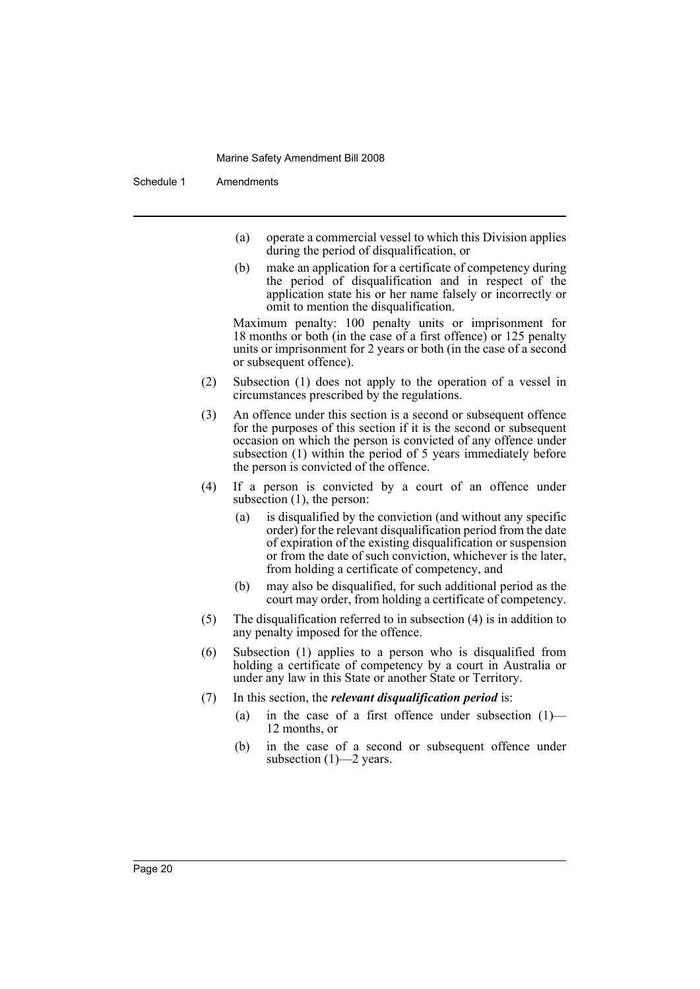Schedule 1 Amendments

- (a) operate a commercial vessel to which this Division applies during the period of disqualification, or
- (b) make an application for a certificate of competency during the period of disqualification and in respect of the application state his or her name falsely or incorrectly or omit to mention the disqualification.

Maximum penalty: 100 penalty units or imprisonment for 18 months or both (in the case of a first offence) or 125 penalty units or imprisonment for 2 years or both (in the case of a second or subsequent offence).

- (2) Subsection (1) does not apply to the operation of a vessel in circumstances prescribed by the regulations.
- (3) An offence under this section is a second or subsequent offence for the purposes of this section if it is the second or subsequent occasion on which the person is convicted of any offence under subsection (1) within the period of 5 years immediately before the person is convicted of the offence.
- (4) If a person is convicted by a court of an offence under subsection  $(1)$ , the person:
	- (a) is disqualified by the conviction (and without any specific order) for the relevant disqualification period from the date of expiration of the existing disqualification or suspension or from the date of such conviction, whichever is the later, from holding a certificate of competency, and
	- (b) may also be disqualified, for such additional period as the court may order, from holding a certificate of competency.
- (5) The disqualification referred to in subsection (4) is in addition to any penalty imposed for the offence.
- (6) Subsection (1) applies to a person who is disqualified from holding a certificate of competency by a court in Australia or under any law in this State or another State or Territory.
- (7) In this section, the *relevant disqualification period* is:
	- (a) in the case of a first offence under subsection  $(1)$  12 months, or
	- (b) in the case of a second or subsequent offence under subsection (1)—2 years.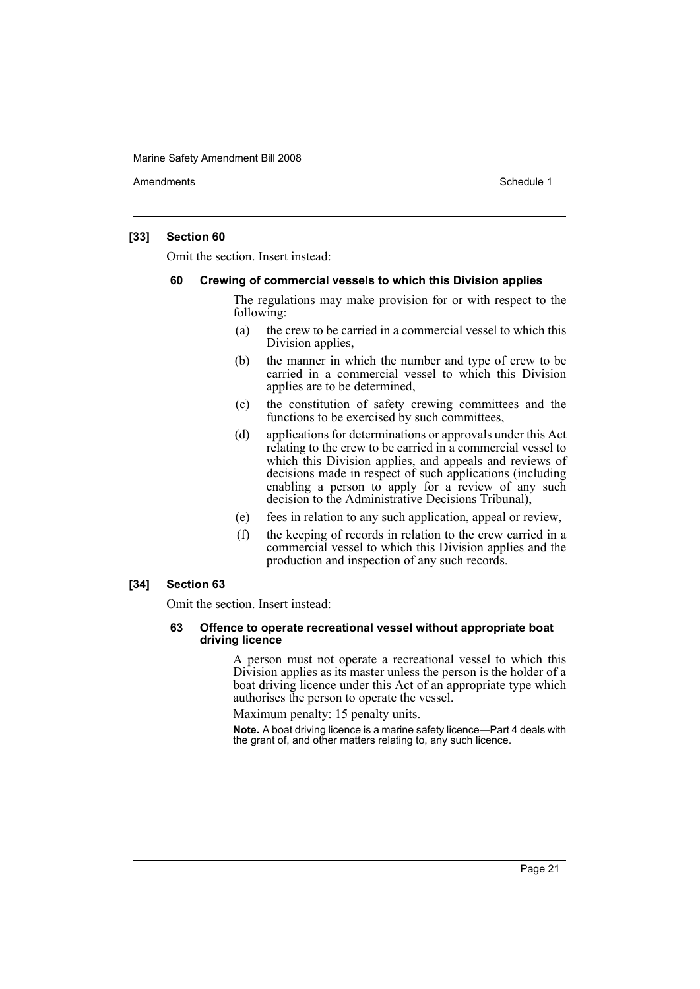Amendments **Amendments** Schedule 1

#### **[33] Section 60**

Omit the section. Insert instead:

#### **60 Crewing of commercial vessels to which this Division applies**

The regulations may make provision for or with respect to the following:

- (a) the crew to be carried in a commercial vessel to which this Division applies,
- (b) the manner in which the number and type of crew to be carried in a commercial vessel to which this Division applies are to be determined,
- (c) the constitution of safety crewing committees and the functions to be exercised by such committees,
- (d) applications for determinations or approvals under this Act relating to the crew to be carried in a commercial vessel to which this Division applies, and appeals and reviews of decisions made in respect of such applications (including enabling a person to apply for a review of any such decision to the Administrative Decisions Tribunal),
- (e) fees in relation to any such application, appeal or review,
- (f) the keeping of records in relation to the crew carried in a commercial vessel to which this Division applies and the production and inspection of any such records.

# **[34] Section 63**

Omit the section. Insert instead:

#### **63 Offence to operate recreational vessel without appropriate boat driving licence**

A person must not operate a recreational vessel to which this Division applies as its master unless the person is the holder of a boat driving licence under this Act of an appropriate type which authorises the person to operate the vessel.

Maximum penalty: 15 penalty units.

**Note.** A boat driving licence is a marine safety licence—Part 4 deals with the grant of, and other matters relating to, any such licence.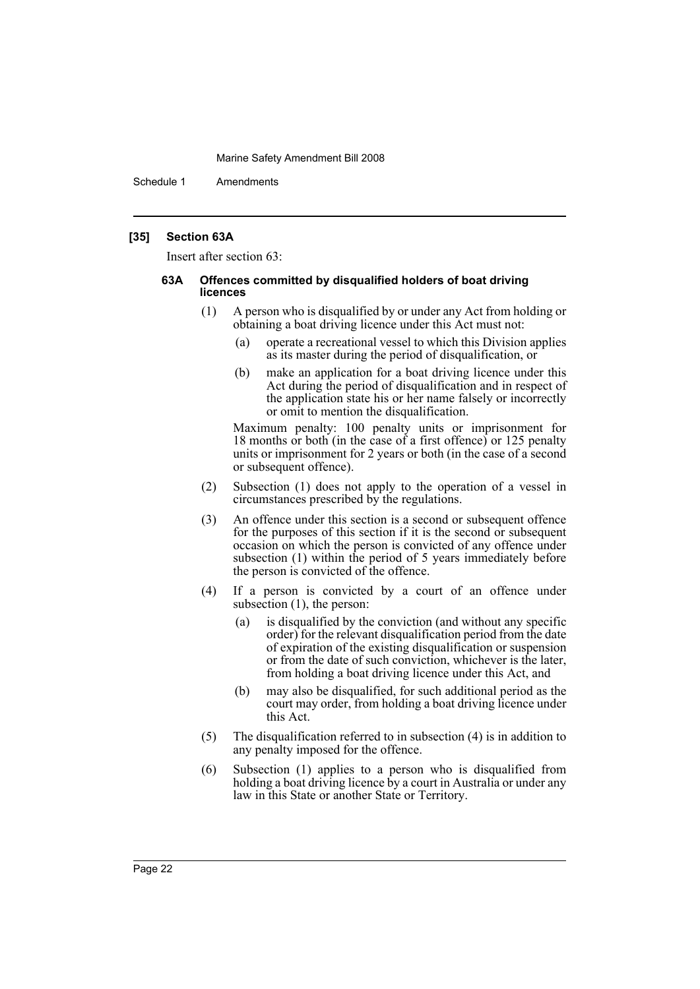Schedule 1 Amendments

#### **[35] Section 63A**

Insert after section 63:

#### **63A Offences committed by disqualified holders of boat driving licences**

- (1) A person who is disqualified by or under any Act from holding or obtaining a boat driving licence under this Act must not:
	- (a) operate a recreational vessel to which this Division applies as its master during the period of disqualification, or
	- (b) make an application for a boat driving licence under this Act during the period of disqualification and in respect of the application state his or her name falsely or incorrectly or omit to mention the disqualification.

Maximum penalty: 100 penalty units or imprisonment for 18 months or both (in the case of a first offence) or 125 penalty units or imprisonment for 2 years or both (in the case of a second or subsequent offence).

- (2) Subsection (1) does not apply to the operation of a vessel in circumstances prescribed by the regulations.
- (3) An offence under this section is a second or subsequent offence for the purposes of this section if it is the second or subsequent occasion on which the person is convicted of any offence under subsection (1) within the period of 5 years immediately before the person is convicted of the offence.
- (4) If a person is convicted by a court of an offence under subsection  $(1)$ , the person:
	- (a) is disqualified by the conviction (and without any specific order) for the relevant disqualification period from the date of expiration of the existing disqualification or suspension or from the date of such conviction, whichever is the later, from holding a boat driving licence under this Act, and
	- (b) may also be disqualified, for such additional period as the court may order, from holding a boat driving licence under this Act.
- (5) The disqualification referred to in subsection (4) is in addition to any penalty imposed for the offence.
- (6) Subsection (1) applies to a person who is disqualified from holding a boat driving licence by a court in Australia or under any law in this State or another State or Territory.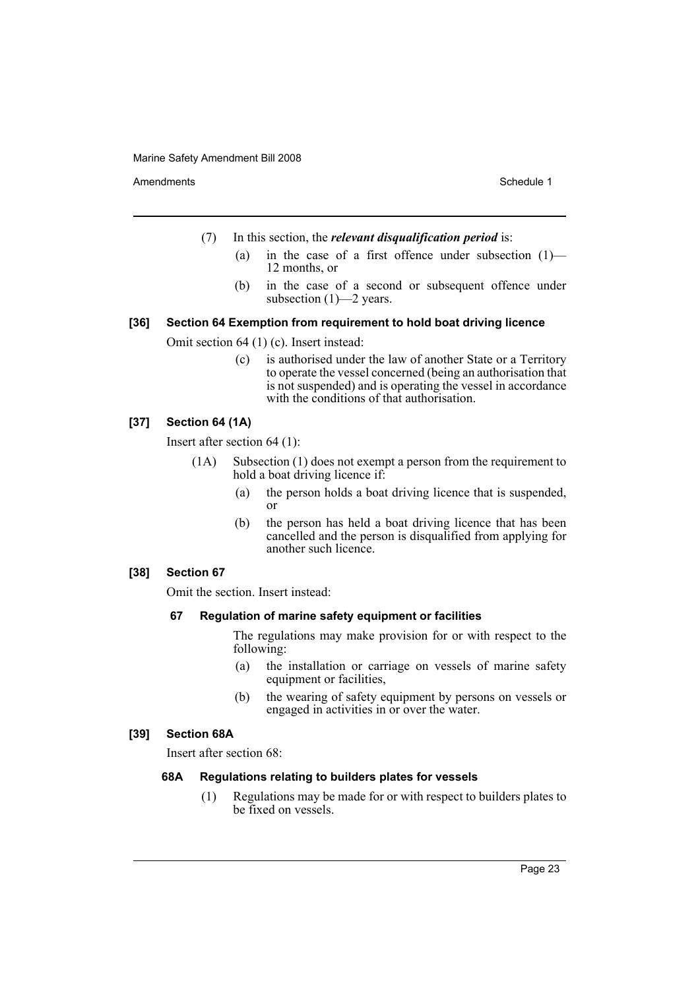Amendments **Schedule 1** and the set of the set of the set of the set of the set of the set of the set of the set of the set of the set of the set of the set of the set of the set of the set of the set of the set of the set

- (7) In this section, the *relevant disqualification period* is:
	- (a) in the case of a first offence under subsection  $(1)$  12 months, or
	- (b) in the case of a second or subsequent offence under subsection (1)—2 years.

# **[36] Section 64 Exemption from requirement to hold boat driving licence**

Omit section 64 (1) (c). Insert instead:

(c) is authorised under the law of another State or a Territory to operate the vessel concerned (being an authorisation that is not suspended) and is operating the vessel in accordance with the conditions of that authorisation.

# **[37] Section 64 (1A)**

Insert after section 64 (1):

- (1A) Subsection (1) does not exempt a person from the requirement to hold a boat driving licence if:
	- (a) the person holds a boat driving licence that is suspended, or
	- (b) the person has held a boat driving licence that has been cancelled and the person is disqualified from applying for another such licence.

# **[38] Section 67**

Omit the section. Insert instead:

# **67 Regulation of marine safety equipment or facilities**

The regulations may make provision for or with respect to the following:

- (a) the installation or carriage on vessels of marine safety equipment or facilities,
- (b) the wearing of safety equipment by persons on vessels or engaged in activities in or over the water.

#### **[39] Section 68A**

Insert after section 68:

# **68A Regulations relating to builders plates for vessels**

(1) Regulations may be made for or with respect to builders plates to be fixed on vessels.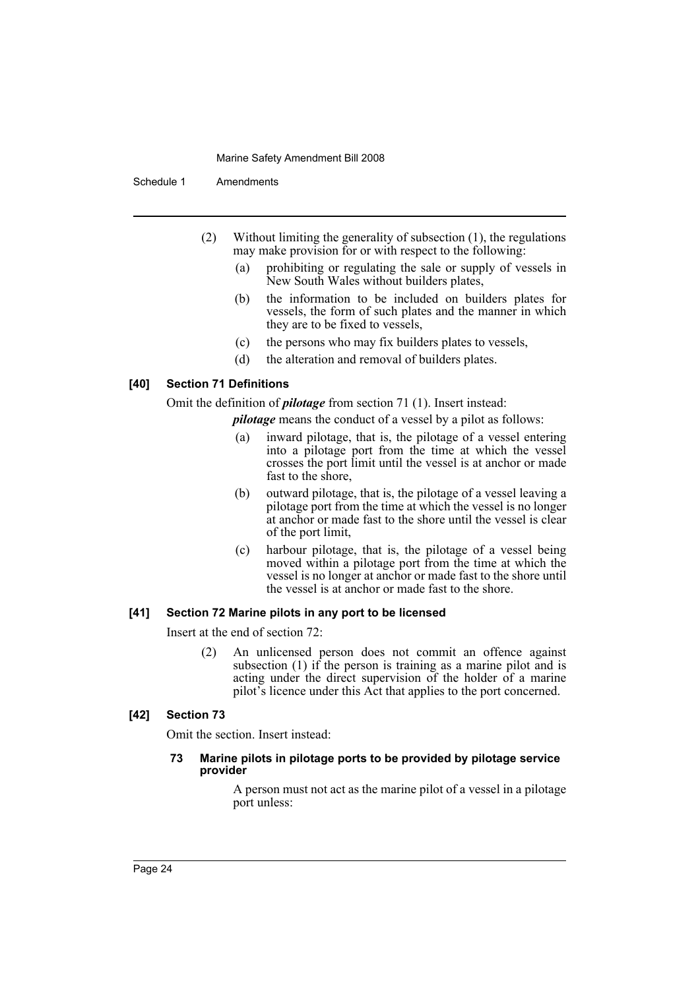Schedule 1 Amendments

- (2) Without limiting the generality of subsection (1), the regulations may make provision for or with respect to the following:
	- (a) prohibiting or regulating the sale or supply of vessels in New South Wales without builders plates,
	- (b) the information to be included on builders plates for vessels, the form of such plates and the manner in which they are to be fixed to vessels,
	- (c) the persons who may fix builders plates to vessels,
	- (d) the alteration and removal of builders plates.

# **[40] Section 71 Definitions**

Omit the definition of *pilotage* from section 71 (1). Insert instead:

*pilotage* means the conduct of a vessel by a pilot as follows:

- (a) inward pilotage, that is, the pilotage of a vessel entering into a pilotage port from the time at which the vessel crosses the port limit until the vessel is at anchor or made fast to the shore,
- (b) outward pilotage, that is, the pilotage of a vessel leaving a pilotage port from the time at which the vessel is no longer at anchor or made fast to the shore until the vessel is clear of the port limit,
- (c) harbour pilotage, that is, the pilotage of a vessel being moved within a pilotage port from the time at which the vessel is no longer at anchor or made fast to the shore until the vessel is at anchor or made fast to the shore.

# **[41] Section 72 Marine pilots in any port to be licensed**

Insert at the end of section 72:

(2) An unlicensed person does not commit an offence against subsection (1) if the person is training as a marine pilot and is acting under the direct supervision of the holder of a marine pilot's licence under this Act that applies to the port concerned.

# **[42] Section 73**

Omit the section. Insert instead:

# **73 Marine pilots in pilotage ports to be provided by pilotage service provider**

A person must not act as the marine pilot of a vessel in a pilotage port unless: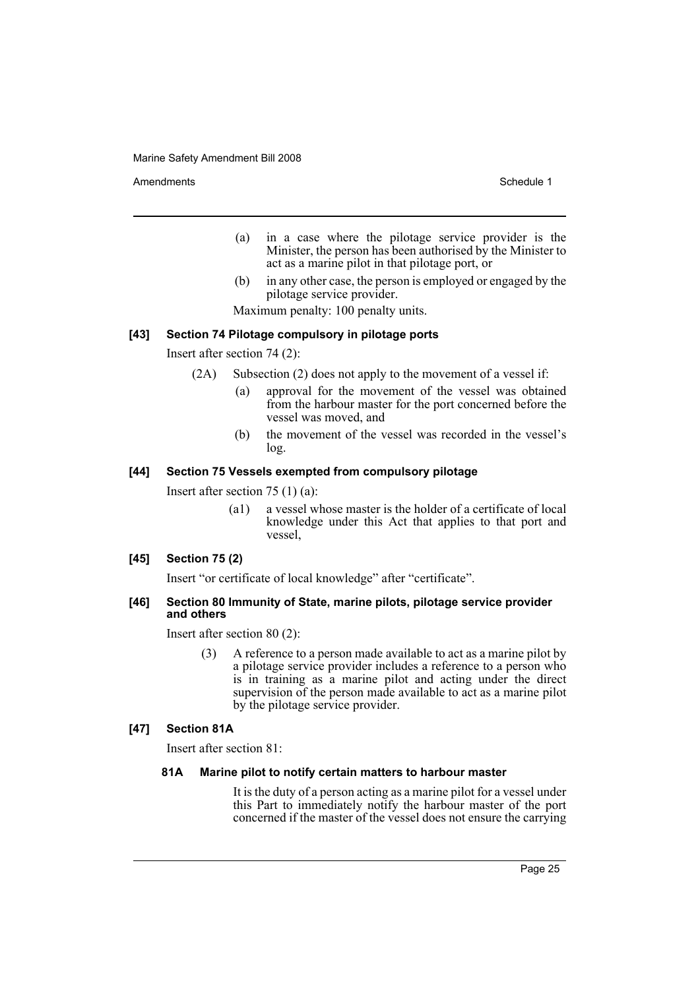Amendments **Schedule 1** and the set of the set of the set of the set of the set of the set of the set of the set of the set of the set of the set of the set of the set of the set of the set of the set of the set of the set

- (a) in a case where the pilotage service provider is the Minister, the person has been authorised by the Minister to act as a marine pilot in that pilotage port, or
- (b) in any other case, the person is employed or engaged by the pilotage service provider.

Maximum penalty: 100 penalty units.

# **[43] Section 74 Pilotage compulsory in pilotage ports**

Insert after section 74 (2):

- (2A) Subsection (2) does not apply to the movement of a vessel if:
	- (a) approval for the movement of the vessel was obtained from the harbour master for the port concerned before the vessel was moved, and
	- (b) the movement of the vessel was recorded in the vessel's log.

#### **[44] Section 75 Vessels exempted from compulsory pilotage**

Insert after section 75 (1) (a):

(a1) a vessel whose master is the holder of a certificate of local knowledge under this Act that applies to that port and vessel,

# **[45] Section 75 (2)**

Insert "or certificate of local knowledge" after "certificate".

#### **[46] Section 80 Immunity of State, marine pilots, pilotage service provider and others**

Insert after section 80 (2):

(3) A reference to a person made available to act as a marine pilot by a pilotage service provider includes a reference to a person who is in training as a marine pilot and acting under the direct supervision of the person made available to act as a marine pilot by the pilotage service provider.

#### **[47] Section 81A**

Insert after section 81:

#### **81A Marine pilot to notify certain matters to harbour master**

It is the duty of a person acting as a marine pilot for a vessel under this Part to immediately notify the harbour master of the port concerned if the master of the vessel does not ensure the carrying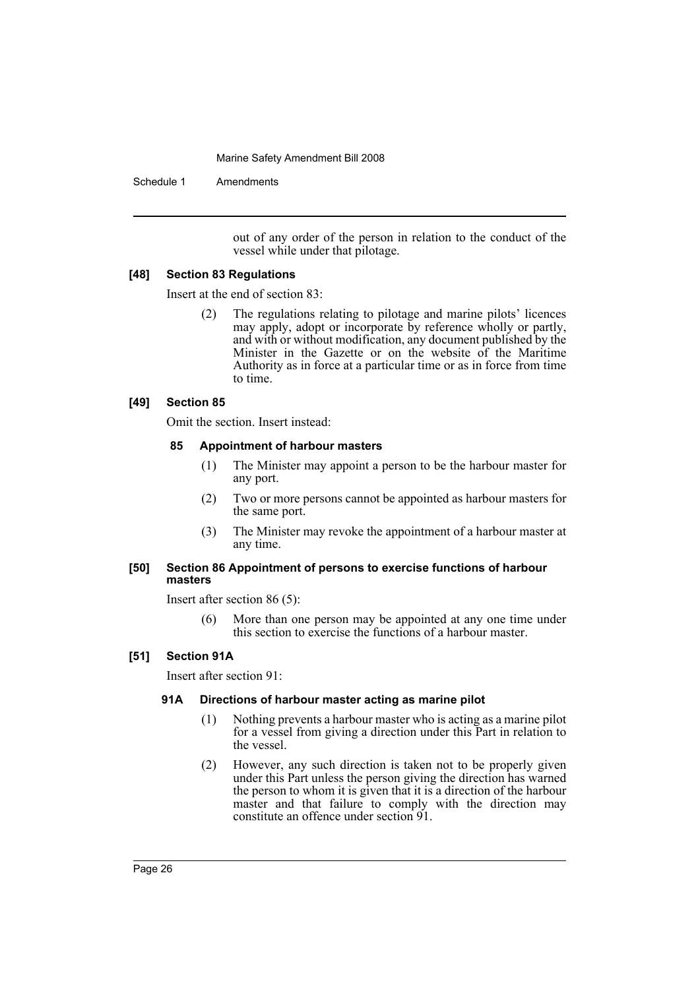Schedule 1 Amendments

out of any order of the person in relation to the conduct of the vessel while under that pilotage.

# **[48] Section 83 Regulations**

Insert at the end of section 83:

(2) The regulations relating to pilotage and marine pilots' licences may apply, adopt or incorporate by reference wholly or partly, and with or without modification, any document published by the Minister in the Gazette or on the website of the Maritime Authority as in force at a particular time or as in force from time to time.

# **[49] Section 85**

Omit the section. Insert instead:

# **85 Appointment of harbour masters**

- (1) The Minister may appoint a person to be the harbour master for any port.
- (2) Two or more persons cannot be appointed as harbour masters for the same port.
- (3) The Minister may revoke the appointment of a harbour master at any time.

# **[50] Section 86 Appointment of persons to exercise functions of harbour masters**

Insert after section 86 (5):

(6) More than one person may be appointed at any one time under this section to exercise the functions of a harbour master.

# **[51] Section 91A**

Insert after section 91:

# **91A Directions of harbour master acting as marine pilot**

- (1) Nothing prevents a harbour master who is acting as a marine pilot for a vessel from giving a direction under this Part in relation to the vessel.
- (2) However, any such direction is taken not to be properly given under this Part unless the person giving the direction has warned the person to whom it is given that it is a direction of the harbour master and that failure to comply with the direction may constitute an offence under section 91.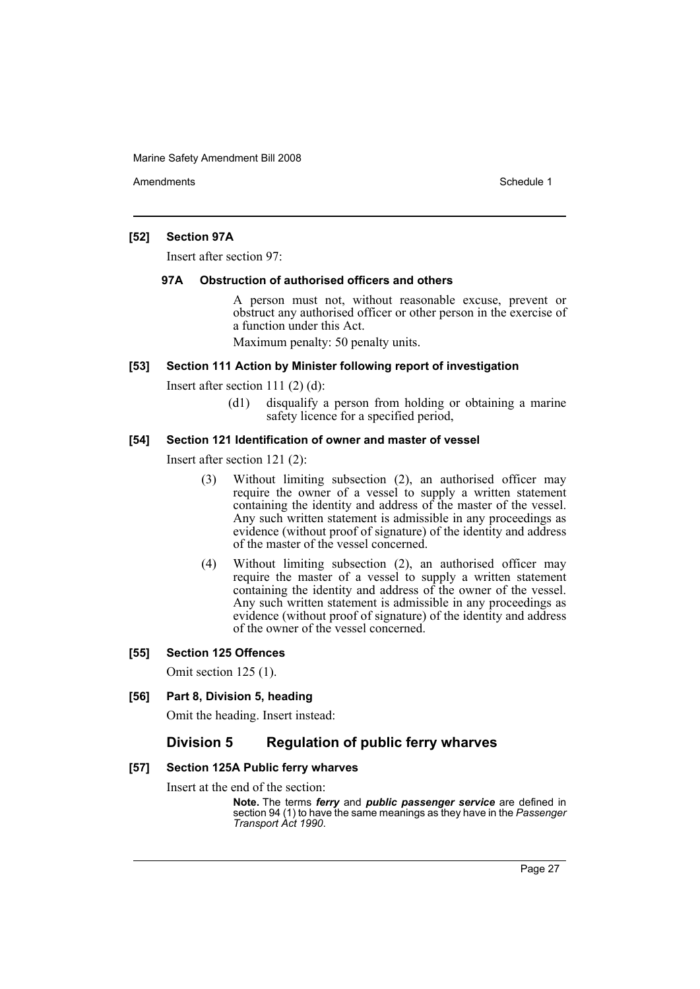Amendments **Amendments** Schedule 1

# **[52] Section 97A**

Insert after section 97:

#### **97A Obstruction of authorised officers and others**

A person must not, without reasonable excuse, prevent or obstruct any authorised officer or other person in the exercise of a function under this Act.

Maximum penalty: 50 penalty units.

# **[53] Section 111 Action by Minister following report of investigation**

Insert after section 111 (2) (d):

(d1) disqualify a person from holding or obtaining a marine safety licence for a specified period,

# **[54] Section 121 Identification of owner and master of vessel**

Insert after section 121 (2):

- (3) Without limiting subsection (2), an authorised officer may require the owner of a vessel to supply a written statement containing the identity and address of the master of the vessel. Any such written statement is admissible in any proceedings as evidence (without proof of signature) of the identity and address of the master of the vessel concerned.
- (4) Without limiting subsection (2), an authorised officer may require the master of a vessel to supply a written statement containing the identity and address of the owner of the vessel. Any such written statement is admissible in any proceedings as evidence (without proof of signature) of the identity and address of the owner of the vessel concerned.

# **[55] Section 125 Offences**

Omit section 125 (1).

# **[56] Part 8, Division 5, heading**

Omit the heading. Insert instead:

# **Division 5 Regulation of public ferry wharves**

#### **[57] Section 125A Public ferry wharves**

Insert at the end of the section:

**Note.** The terms *ferry* and *public passenger service* are defined in section 94 (1) to have the same meanings as they have in the *Passenger Transport Act 1990*.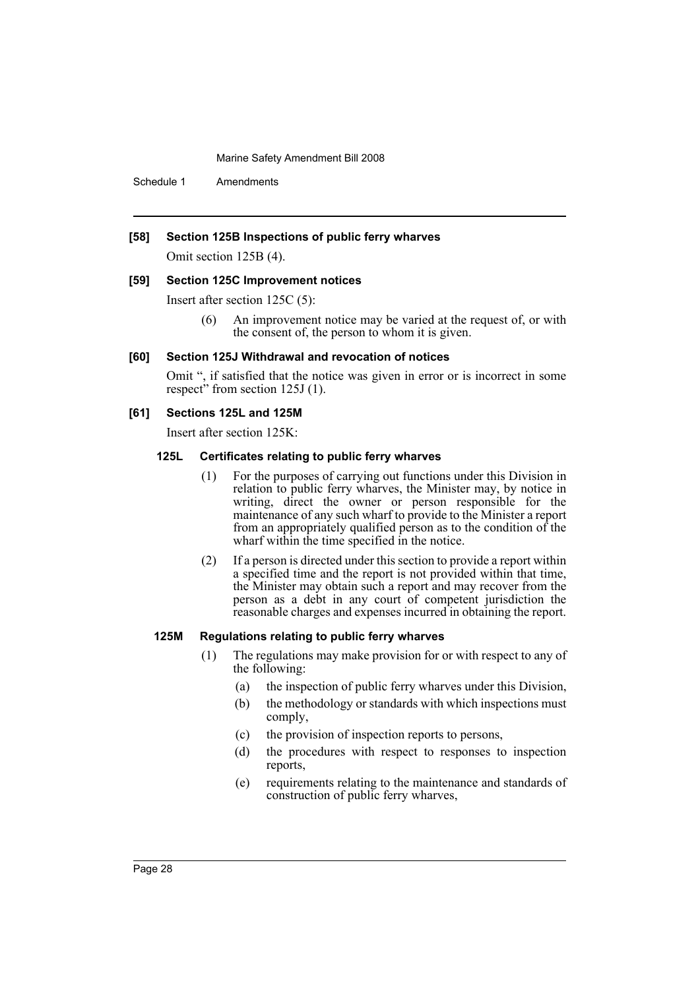Schedule 1 Amendments

# **[58] Section 125B Inspections of public ferry wharves**

Omit section 125B (4).

#### **[59] Section 125C Improvement notices**

Insert after section 125C (5):

(6) An improvement notice may be varied at the request of, or with the consent of, the person to whom it is given.

#### **[60] Section 125J Withdrawal and revocation of notices**

Omit ", if satisfied that the notice was given in error or is incorrect in some respect" from section 125J (1).

# **[61] Sections 125L and 125M**

Insert after section 125K:

# **125L Certificates relating to public ferry wharves**

- (1) For the purposes of carrying out functions under this Division in relation to public ferry wharves, the Minister may, by notice in writing, direct the owner or person responsible for the maintenance of any such wharf to provide to the Minister a report from an appropriately qualified person as to the condition of the wharf within the time specified in the notice.
- (2) If a person is directed under this section to provide a report within a specified time and the report is not provided within that time, the Minister may obtain such a report and may recover from the person as a debt in any court of competent jurisdiction the reasonable charges and expenses incurred in obtaining the report.

#### **125M Regulations relating to public ferry wharves**

- (1) The regulations may make provision for or with respect to any of the following:
	- (a) the inspection of public ferry wharves under this Division,
	- (b) the methodology or standards with which inspections must comply,
	- (c) the provision of inspection reports to persons,
	- (d) the procedures with respect to responses to inspection reports,
	- (e) requirements relating to the maintenance and standards of construction of public ferry wharves,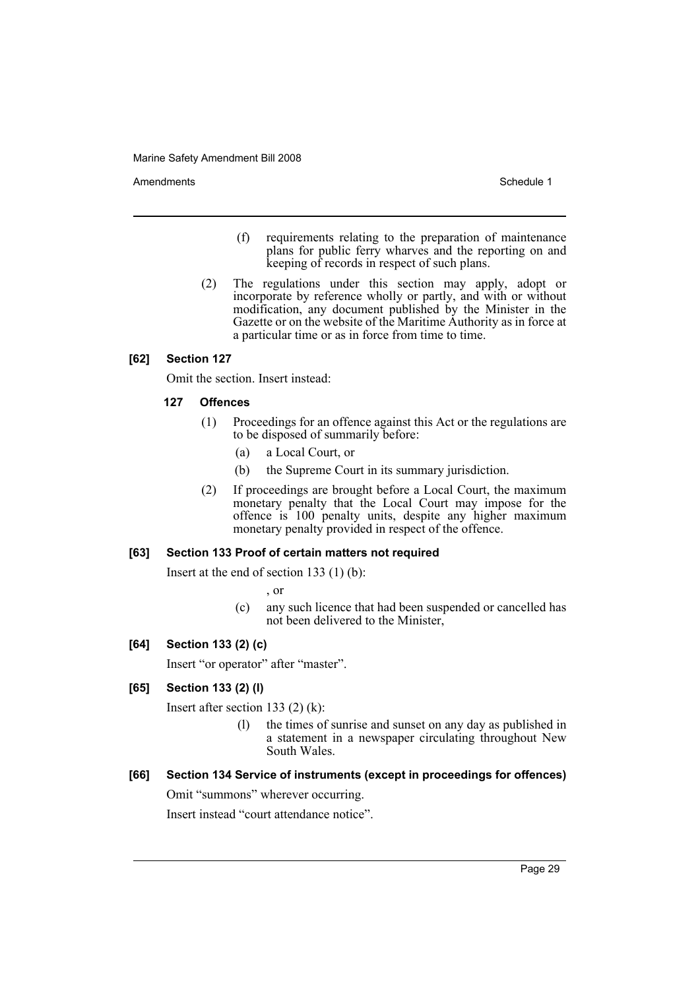Amendments **Schedule 1** and the set of the set of the set of the set of the set of the set of the set of the set of the set of the set of the set of the set of the set of the set of the set of the set of the set of the set

- (f) requirements relating to the preparation of maintenance plans for public ferry wharves and the reporting on and keeping of records in respect of such plans.
- (2) The regulations under this section may apply, adopt or incorporate by reference wholly or partly, and with or without modification, any document published by the Minister in the Gazette or on the website of the Maritime Authority as in force at a particular time or as in force from time to time.

# **[62] Section 127**

Omit the section. Insert instead:

# **127 Offences**

- (1) Proceedings for an offence against this Act or the regulations are to be disposed of summarily before:
	- (a) a Local Court, or
	- (b) the Supreme Court in its summary jurisdiction.
- (2) If proceedings are brought before a Local Court, the maximum monetary penalty that the Local Court may impose for the offence is 100 penalty units, despite any higher maximum monetary penalty provided in respect of the offence.

# **[63] Section 133 Proof of certain matters not required**

Insert at the end of section 133 (1) (b):

, or

(c) any such licence that had been suspended or cancelled has not been delivered to the Minister,

# **[64] Section 133 (2) (c)**

Insert "or operator" after "master".

# **[65] Section 133 (2) (l)**

Insert after section 133 (2) (k):

(l) the times of sunrise and sunset on any day as published in a statement in a newspaper circulating throughout New South Wales.

# **[66] Section 134 Service of instruments (except in proceedings for offences)**

Omit "summons" wherever occurring.

Insert instead "court attendance notice".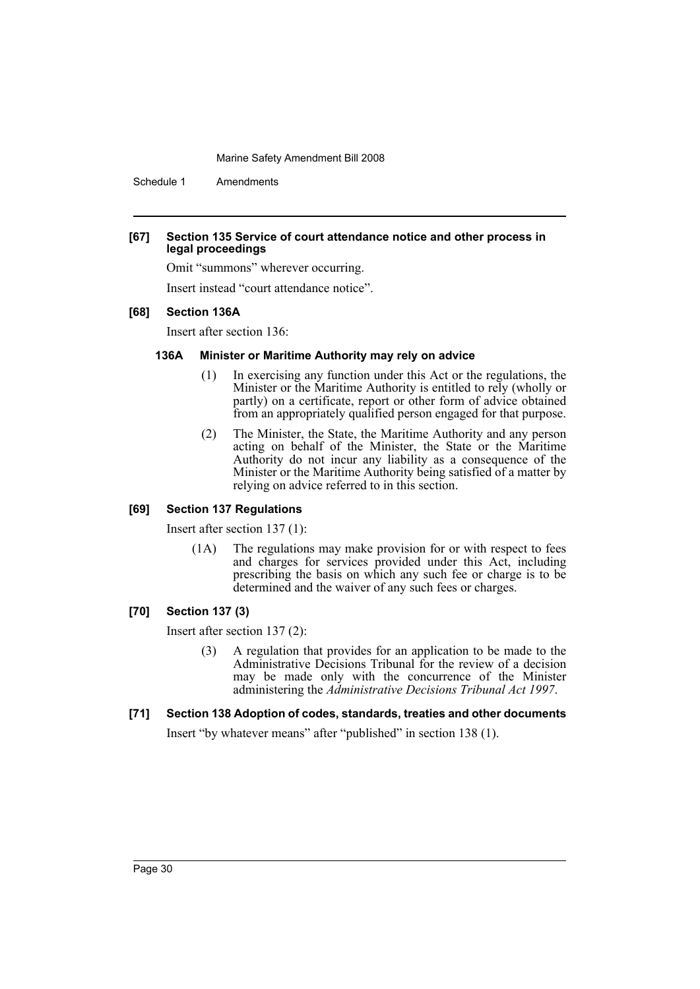Schedule 1 Amendments

# **[67] Section 135 Service of court attendance notice and other process in legal proceedings**

Omit "summons" wherever occurring.

Insert instead "court attendance notice".

# **[68] Section 136A**

Insert after section 136:

# **136A Minister or Maritime Authority may rely on advice**

- (1) In exercising any function under this Act or the regulations, the Minister or the Maritime Authority is entitled to rely (wholly or partly) on a certificate, report or other form of advice obtained from an appropriately qualified person engaged for that purpose.
- (2) The Minister, the State, the Maritime Authority and any person acting on behalf of the Minister, the State or the Maritime Authority do not incur any liability as a consequence of the Minister or the Maritime Authority being satisfied of a matter by relying on advice referred to in this section.

# **[69] Section 137 Regulations**

Insert after section 137 (1):

(1A) The regulations may make provision for or with respect to fees and charges for services provided under this Act, including prescribing the basis on which any such fee or charge is to be determined and the waiver of any such fees or charges.

# **[70] Section 137 (3)**

Insert after section 137 (2):

- (3) A regulation that provides for an application to be made to the Administrative Decisions Tribunal for the review of a decision may be made only with the concurrence of the Minister administering the *Administrative Decisions Tribunal Act 1997*.
- **[71] Section 138 Adoption of codes, standards, treaties and other documents**

Insert "by whatever means" after "published" in section 138 (1).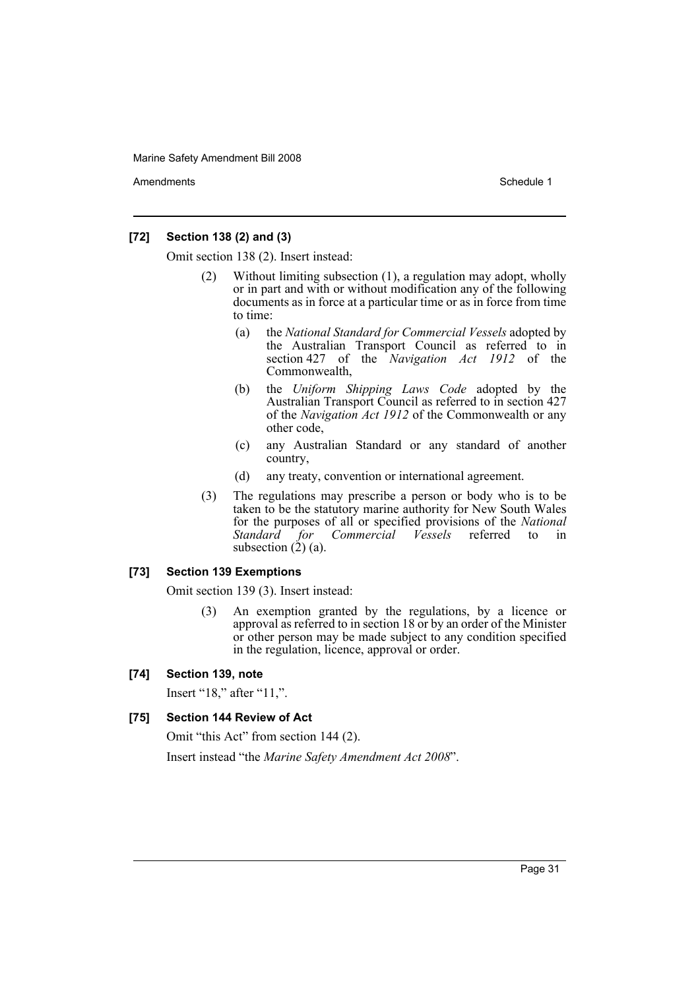Amendments **Amendments** Schedule 1

# **[72] Section 138 (2) and (3)**

Omit section 138 (2). Insert instead:

- (2) Without limiting subsection (1), a regulation may adopt, wholly or in part and with or without modification any of the following documents as in force at a particular time or as in force from time to time:
	- (a) the *National Standard for Commercial Vessels* adopted by the Australian Transport Council as referred to in section 427 of the *Navigation Act 1912* of the Commonwealth,
	- (b) the *Uniform Shipping Laws Code* adopted by the Australian Transport Council as referred to in section 427 of the *Navigation Act 1912* of the Commonwealth or any other code,
	- (c) any Australian Standard or any standard of another country,
	- (d) any treaty, convention or international agreement.
- (3) The regulations may prescribe a person or body who is to be taken to be the statutory marine authority for New South Wales for the purposes of all or specified provisions of the *National Commercial Vessels* subsection  $(2)$   $(a)$ .

# **[73] Section 139 Exemptions**

Omit section 139 (3). Insert instead:

(3) An exemption granted by the regulations, by a licence or approval as referred to in section 18 or by an order of the Minister or other person may be made subject to any condition specified in the regulation, licence, approval or order.

# **[74] Section 139, note**

Insert "18," after "11,".

# **[75] Section 144 Review of Act**

Omit "this Act" from section 144 (2).

Insert instead "the *Marine Safety Amendment Act 2008*".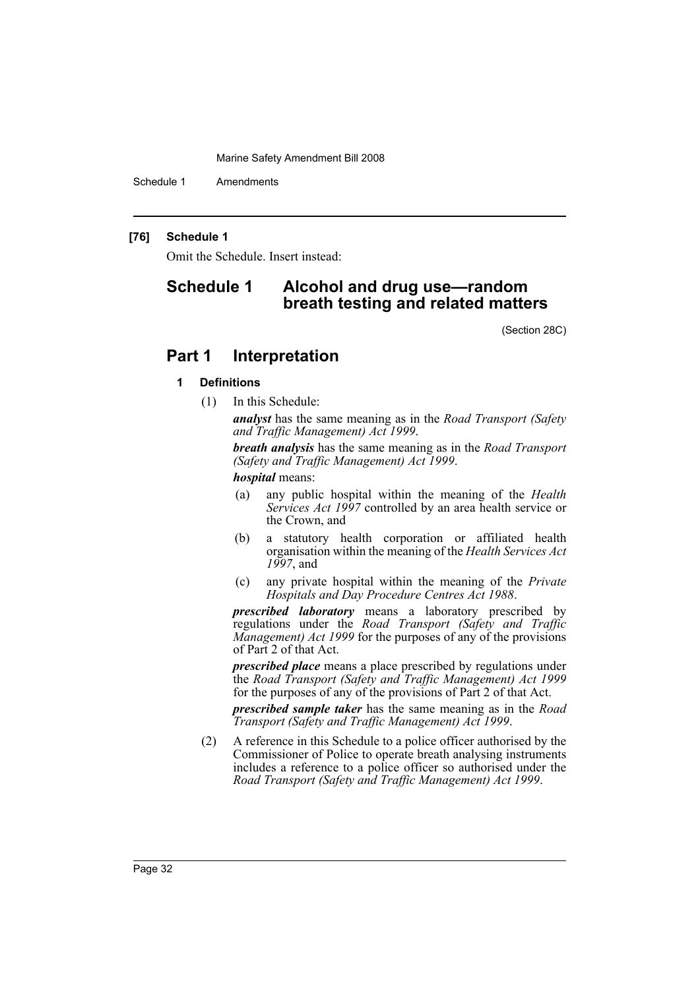Schedule 1 Amendments

# **[76] Schedule 1**

Omit the Schedule. Insert instead:

# **Schedule 1 Alcohol and drug use—random breath testing and related matters**

(Section 28C)

# **Part 1 Interpretation**

# **1 Definitions**

(1) In this Schedule:

*analyst* has the same meaning as in the *Road Transport (Safety and Traffic Management) Act 1999*.

*breath analysis* has the same meaning as in the *Road Transport (Safety and Traffic Management) Act 1999*.

#### *hospital* means:

- (a) any public hospital within the meaning of the *Health Services Act 1997* controlled by an area health service or the Crown, and
- (b) a statutory health corporation or affiliated health organisation within the meaning of the *Health Services Act 1997*, and
- (c) any private hospital within the meaning of the *Private Hospitals and Day Procedure Centres Act 1988*.

*prescribed laboratory* means a laboratory prescribed by regulations under the *Road Transport (Safety and Traffic Management) Act 1999* for the purposes of any of the provisions of Part 2 of that Act.

*prescribed place* means a place prescribed by regulations under the *Road Transport (Safety and Traffic Management) Act 1999* for the purposes of any of the provisions of Part 2 of that Act.

*prescribed sample taker* has the same meaning as in the *Road Transport (Safety and Traffic Management) Act 1999*.

(2) A reference in this Schedule to a police officer authorised by the Commissioner of Police to operate breath analysing instruments includes a reference to a police officer so authorised under the *Road Transport (Safety and Traffic Management) Act 1999*.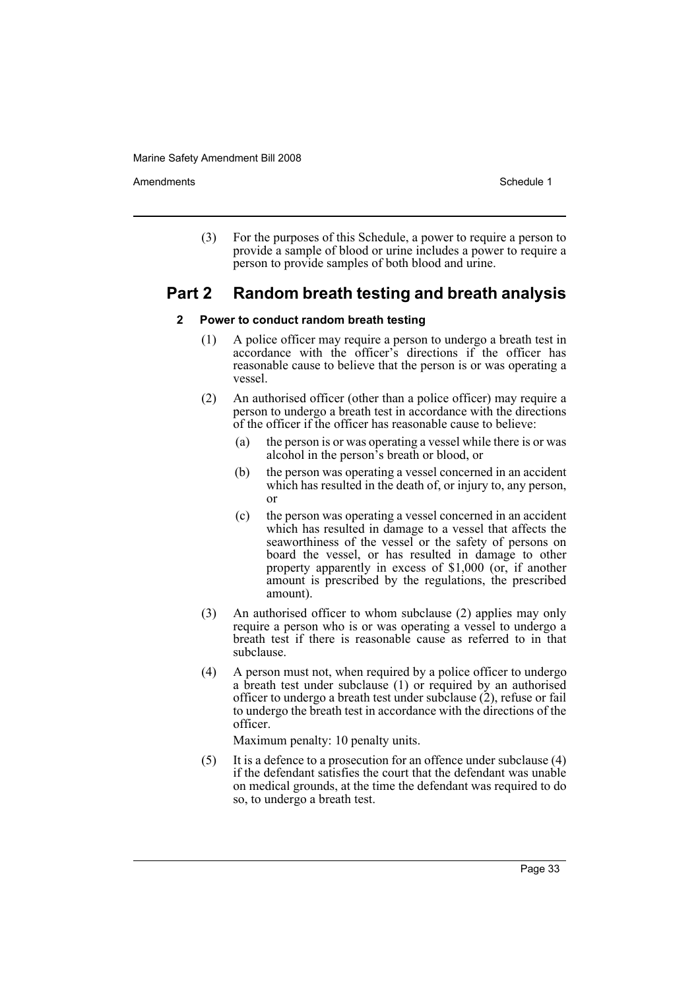Amendments **Amendments** Schedule 1

(3) For the purposes of this Schedule, a power to require a person to provide a sample of blood or urine includes a power to require a person to provide samples of both blood and urine.

# **Part 2 Random breath testing and breath analysis**

# **2 Power to conduct random breath testing**

- (1) A police officer may require a person to undergo a breath test in accordance with the officer's directions if the officer has reasonable cause to believe that the person is or was operating a vessel.
- (2) An authorised officer (other than a police officer) may require a person to undergo a breath test in accordance with the directions of the officer if the officer has reasonable cause to believe:
	- (a) the person is or was operating a vessel while there is or was alcohol in the person's breath or blood, or
	- (b) the person was operating a vessel concerned in an accident which has resulted in the death of, or injury to, any person, or
	- (c) the person was operating a vessel concerned in an accident which has resulted in damage to a vessel that affects the seaworthiness of the vessel or the safety of persons on board the vessel, or has resulted in damage to other property apparently in excess of \$1,000 (or, if another amount is prescribed by the regulations, the prescribed amount).
- (3) An authorised officer to whom subclause (2) applies may only require a person who is or was operating a vessel to undergo a breath test if there is reasonable cause as referred to in that subclause.
- (4) A person must not, when required by a police officer to undergo a breath test under subclause (1) or required by an authorised officer to undergo a breath test under subclause (2), refuse or fail to undergo the breath test in accordance with the directions of the officer.

Maximum penalty: 10 penalty units.

(5) It is a defence to a prosecution for an offence under subclause (4) if the defendant satisfies the court that the defendant was unable on medical grounds, at the time the defendant was required to do so, to undergo a breath test.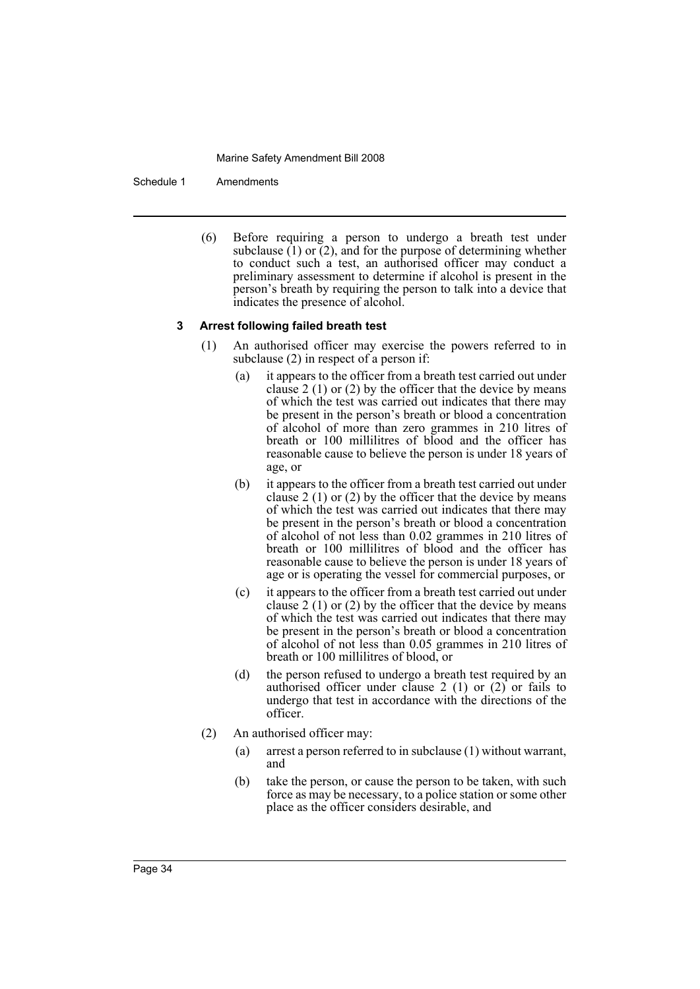Schedule 1 Amendments

(6) Before requiring a person to undergo a breath test under subclause  $(1)$  or  $(2)$ , and for the purpose of determining whether to conduct such a test, an authorised officer may conduct a preliminary assessment to determine if alcohol is present in the person's breath by requiring the person to talk into a device that indicates the presence of alcohol.

#### **3 Arrest following failed breath test**

- (1) An authorised officer may exercise the powers referred to in subclause (2) in respect of a person if:
	- (a) it appears to the officer from a breath test carried out under clause 2  $(1)$  or  $(2)$  by the officer that the device by means of which the test was carried out indicates that there may be present in the person's breath or blood a concentration of alcohol of more than zero grammes in 210 litres of breath or 100 millilitres of blood and the officer has reasonable cause to believe the person is under 18 years of age, or
	- (b) it appears to the officer from a breath test carried out under clause 2  $(1)$  or  $(2)$  by the officer that the device by means of which the test was carried out indicates that there may be present in the person's breath or blood a concentration of alcohol of not less than 0.02 grammes in 210 litres of breath or 100 millilitres of blood and the officer has reasonable cause to believe the person is under 18 years of age or is operating the vessel for commercial purposes, or
	- (c) it appears to the officer from a breath test carried out under clause 2 (1) or (2) by the officer that the device by means of which the test was carried out indicates that there may be present in the person's breath or blood a concentration of alcohol of not less than 0.05 grammes in 210 litres of breath or 100 millilitres of blood, or
	- (d) the person refused to undergo a breath test required by an authorised officer under clause 2 (1) or  $(2)$  or fails to undergo that test in accordance with the directions of the officer.
- (2) An authorised officer may:
	- (a) arrest a person referred to in subclause (1) without warrant, and
	- (b) take the person, or cause the person to be taken, with such force as may be necessary, to a police station or some other place as the officer considers desirable, and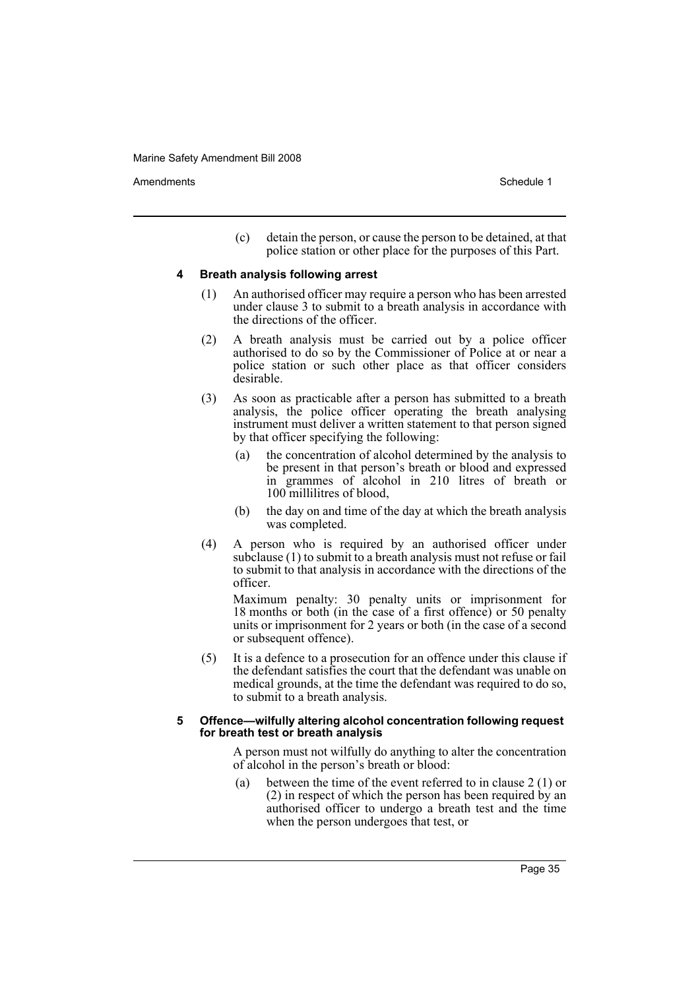Amendments **Amendments** Schedule 1

(c) detain the person, or cause the person to be detained, at that police station or other place for the purposes of this Part.

#### **4 Breath analysis following arrest**

- (1) An authorised officer may require a person who has been arrested under clause 3 to submit to a breath analysis in accordance with the directions of the officer.
- (2) A breath analysis must be carried out by a police officer authorised to do so by the Commissioner of Police at or near a police station or such other place as that officer considers desirable.
- (3) As soon as practicable after a person has submitted to a breath analysis, the police officer operating the breath analysing instrument must deliver a written statement to that person signed by that officer specifying the following:
	- (a) the concentration of alcohol determined by the analysis to be present in that person's breath or blood and expressed in grammes of alcohol in 210 litres of breath or 100 millilitres of blood,
	- (b) the day on and time of the day at which the breath analysis was completed.
- (4) A person who is required by an authorised officer under subclause (1) to submit to a breath analysis must not refuse or fail to submit to that analysis in accordance with the directions of the officer.

Maximum penalty: 30 penalty units or imprisonment for 18 months or both (in the case of a first offence) or 50 penalty units or imprisonment for 2 years or both (in the case of a second or subsequent offence).

(5) It is a defence to a prosecution for an offence under this clause if the defendant satisfies the court that the defendant was unable on medical grounds, at the time the defendant was required to do so, to submit to a breath analysis.

#### **5 Offence—wilfully altering alcohol concentration following request for breath test or breath analysis**

A person must not wilfully do anything to alter the concentration of alcohol in the person's breath or blood:

(a) between the time of the event referred to in clause 2 (1) or (2) in respect of which the person has been required by an authorised officer to undergo a breath test and the time when the person undergoes that test, or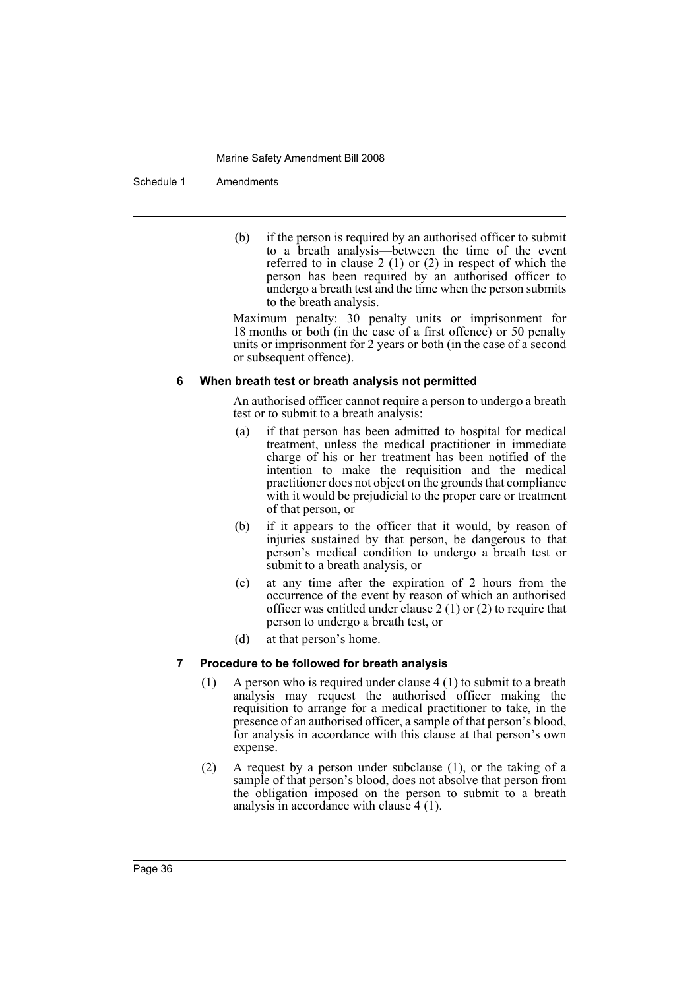#### Schedule 1 Amendments

(b) if the person is required by an authorised officer to submit to a breath analysis—between the time of the event referred to in clause 2 (1) or (2) in respect of which the person has been required by an authorised officer to undergo a breath test and the time when the person submits to the breath analysis.

Maximum penalty: 30 penalty units or imprisonment for 18 months or both (in the case of a first offence) or 50 penalty units or imprisonment for 2 years or both (in the case of a second or subsequent offence).

#### **6 When breath test or breath analysis not permitted**

An authorised officer cannot require a person to undergo a breath test or to submit to a breath analysis:

- (a) if that person has been admitted to hospital for medical treatment, unless the medical practitioner in immediate charge of his or her treatment has been notified of the intention to make the requisition and the medical practitioner does not object on the grounds that compliance with it would be prejudicial to the proper care or treatment of that person, or
- (b) if it appears to the officer that it would, by reason of injuries sustained by that person, be dangerous to that person's medical condition to undergo a breath test or submit to a breath analysis, or
- (c) at any time after the expiration of 2 hours from the occurrence of the event by reason of which an authorised officer was entitled under clause 2 (1) or (2) to require that person to undergo a breath test, or
- (d) at that person's home.

# **7 Procedure to be followed for breath analysis**

- (1) A person who is required under clause 4 (1) to submit to a breath analysis may request the authorised officer making the requisition to arrange for a medical practitioner to take, in the presence of an authorised officer, a sample of that person's blood, for analysis in accordance with this clause at that person's own expense.
- (2) A request by a person under subclause (1), or the taking of a sample of that person's blood, does not absolve that person from the obligation imposed on the person to submit to a breath analysis in accordance with clause 4 (1).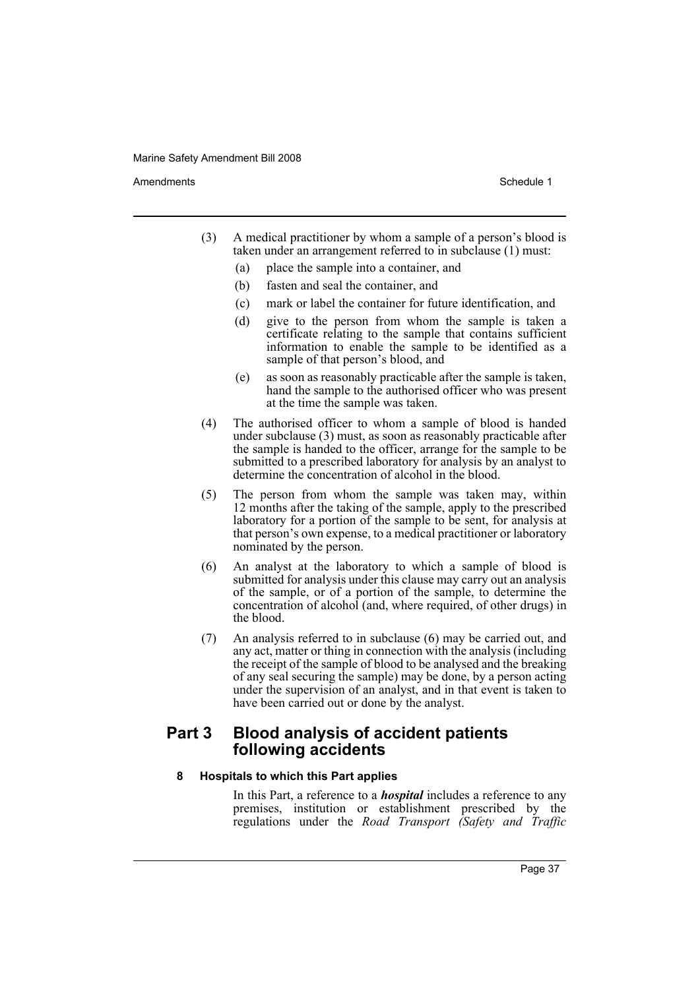Amendments **Amendments** Schedule 1

- (3) A medical practitioner by whom a sample of a person's blood is taken under an arrangement referred to in subclause (1) must:
	- (a) place the sample into a container, and
	- (b) fasten and seal the container, and
	- (c) mark or label the container for future identification, and
	- (d) give to the person from whom the sample is taken a certificate relating to the sample that contains sufficient information to enable the sample to be identified as a sample of that person's blood, and
	- (e) as soon as reasonably practicable after the sample is taken, hand the sample to the authorised officer who was present at the time the sample was taken.
- (4) The authorised officer to whom a sample of blood is handed under subclause (3) must, as soon as reasonably practicable after the sample is handed to the officer, arrange for the sample to be submitted to a prescribed laboratory for analysis by an analyst to determine the concentration of alcohol in the blood.
- (5) The person from whom the sample was taken may, within 12 months after the taking of the sample, apply to the prescribed laboratory for a portion of the sample to be sent, for analysis at that person's own expense, to a medical practitioner or laboratory nominated by the person.
- (6) An analyst at the laboratory to which a sample of blood is submitted for analysis under this clause may carry out an analysis of the sample, or of a portion of the sample, to determine the concentration of alcohol (and, where required, of other drugs) in the blood.
- (7) An analysis referred to in subclause (6) may be carried out, and any act, matter or thing in connection with the analysis (including the receipt of the sample of blood to be analysed and the breaking of any seal securing the sample) may be done, by a person acting under the supervision of an analyst, and in that event is taken to have been carried out or done by the analyst.

# **Part 3 Blood analysis of accident patients following accidents**

# **8 Hospitals to which this Part applies**

In this Part, a reference to a *hospital* includes a reference to any premises, institution or establishment prescribed by the regulations under the *Road Transport (Safety and Traffic*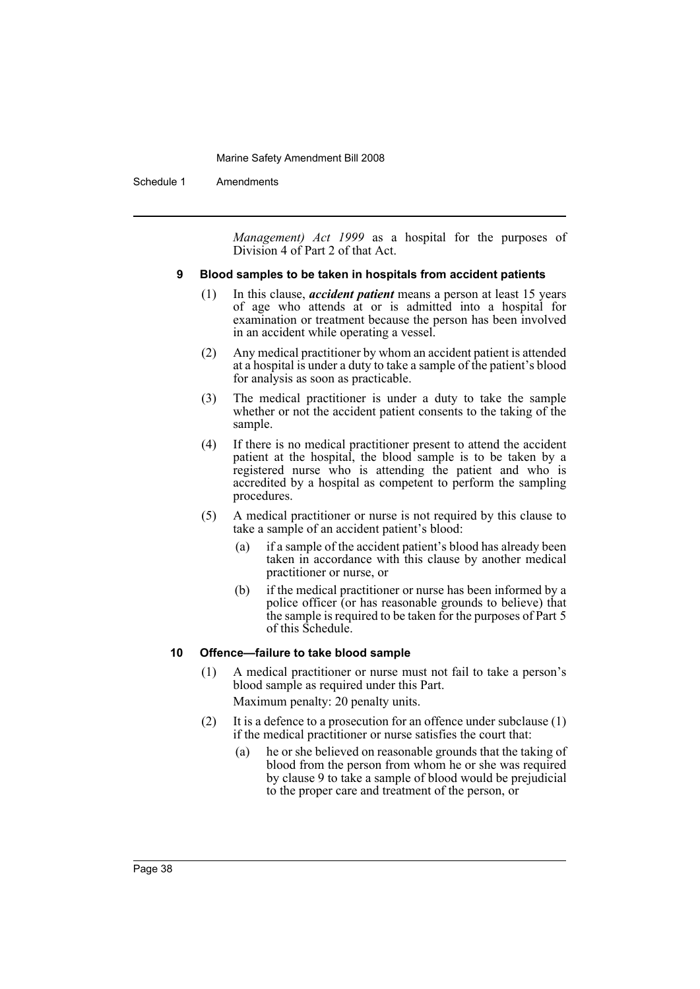Schedule 1 Amendments

*Management) Act 1999* as a hospital for the purposes of Division 4 of Part 2 of that Act.

# **9 Blood samples to be taken in hospitals from accident patients**

- (1) In this clause, *accident patient* means a person at least 15 years of age who attends at or is admitted into a hospital for examination or treatment because the person has been involved in an accident while operating a vessel.
- (2) Any medical practitioner by whom an accident patient is attended at a hospital is under a duty to take a sample of the patient's blood for analysis as soon as practicable.
- (3) The medical practitioner is under a duty to take the sample whether or not the accident patient consents to the taking of the sample.
- (4) If there is no medical practitioner present to attend the accident patient at the hospital, the blood sample is to be taken by a registered nurse who is attending the patient and who is accredited by a hospital as competent to perform the sampling procedures.
- (5) A medical practitioner or nurse is not required by this clause to take a sample of an accident patient's blood:
	- (a) if a sample of the accident patient's blood has already been taken in accordance with this clause by another medical practitioner or nurse, or
	- (b) if the medical practitioner or nurse has been informed by a police officer (or has reasonable grounds to believe) that the sample is required to be taken for the purposes of Part 5 of this Schedule.

# **10 Offence—failure to take blood sample**

- (1) A medical practitioner or nurse must not fail to take a person's blood sample as required under this Part. Maximum penalty: 20 penalty units.
- (2) It is a defence to a prosecution for an offence under subclause  $(1)$ if the medical practitioner or nurse satisfies the court that:
	- (a) he or she believed on reasonable grounds that the taking of blood from the person from whom he or she was required by clause 9 to take a sample of blood would be prejudicial to the proper care and treatment of the person, or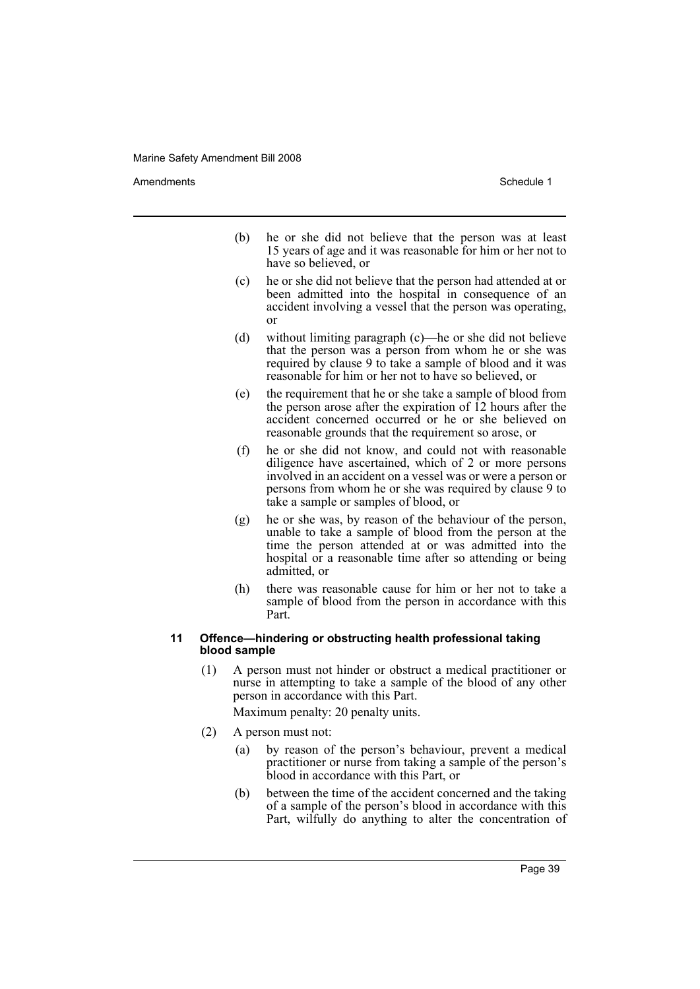Amendments **Amendments** Schedule 1

- (b) he or she did not believe that the person was at least 15 years of age and it was reasonable for him or her not to have so believed, or
- (c) he or she did not believe that the person had attended at or been admitted into the hospital in consequence of an accident involving a vessel that the person was operating, or
- (d) without limiting paragraph (c)—he or she did not believe that the person was a person from whom he or she was required by clause 9 to take a sample of blood and it was reasonable for him or her not to have so believed, or
- (e) the requirement that he or she take a sample of blood from the person arose after the expiration of 12 hours after the accident concerned occurred or he or she believed on reasonable grounds that the requirement so arose, or
- (f) he or she did not know, and could not with reasonable diligence have ascertained, which of 2 or more persons involved in an accident on a vessel was or were a person or persons from whom he or she was required by clause 9 to take a sample or samples of blood, or
- (g) he or she was, by reason of the behaviour of the person, unable to take a sample of blood from the person at the time the person attended at or was admitted into the hospital or a reasonable time after so attending or being admitted, or
- (h) there was reasonable cause for him or her not to take a sample of blood from the person in accordance with this Part.

#### **11 Offence—hindering or obstructing health professional taking blood sample**

- (1) A person must not hinder or obstruct a medical practitioner or nurse in attempting to take a sample of the blood of any other person in accordance with this Part. Maximum penalty: 20 penalty units.
- (2) A person must not:
	- (a) by reason of the person's behaviour, prevent a medical practitioner or nurse from taking a sample of the person's blood in accordance with this Part, or
	- (b) between the time of the accident concerned and the taking of a sample of the person's blood in accordance with this Part, wilfully do anything to alter the concentration of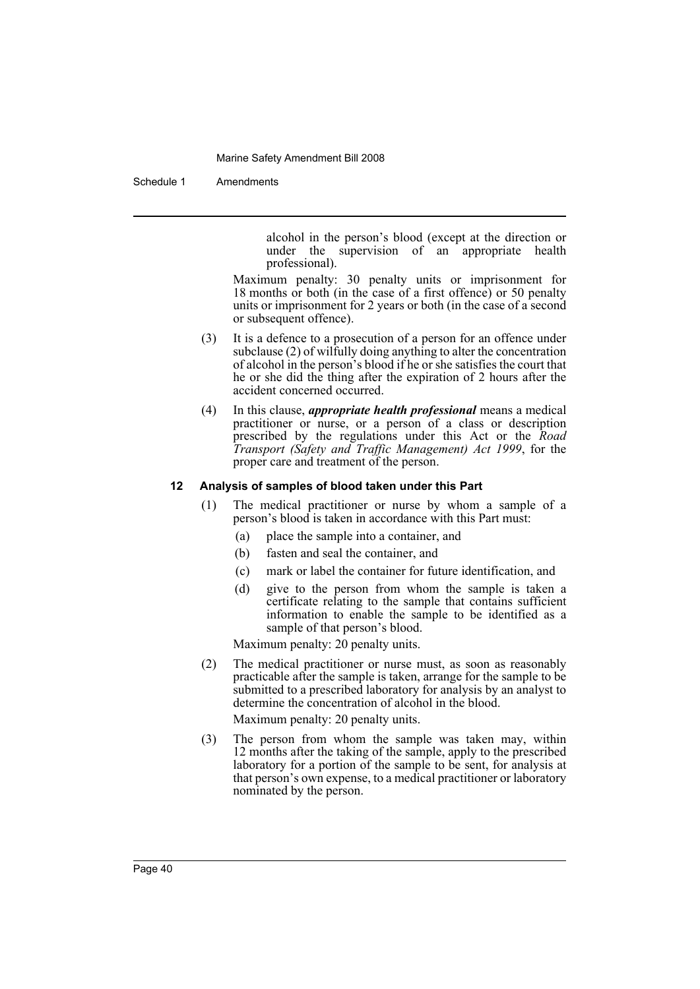Schedule 1 Amendments

alcohol in the person's blood (except at the direction or under the supervision of an appropriate health professional).

Maximum penalty: 30 penalty units or imprisonment for 18 months or both (in the case of a first offence) or 50 penalty units or imprisonment for 2 years or both (in the case of a second or subsequent offence).

- (3) It is a defence to a prosecution of a person for an offence under subclause (2) of wilfully doing anything to alter the concentration of alcohol in the person's blood if he or she satisfies the court that he or she did the thing after the expiration of 2 hours after the accident concerned occurred.
- (4) In this clause, *appropriate health professional* means a medical practitioner or nurse, or a person of a class or description prescribed by the regulations under this Act or the *Road Transport (Safety and Traffic Management) Act 1999*, for the proper care and treatment of the person.

# **12 Analysis of samples of blood taken under this Part**

- (1) The medical practitioner or nurse by whom a sample of a person's blood is taken in accordance with this Part must:
	- (a) place the sample into a container, and
	- (b) fasten and seal the container, and
	- (c) mark or label the container for future identification, and
	- (d) give to the person from whom the sample is taken a certificate relating to the sample that contains sufficient information to enable the sample to be identified as a sample of that person's blood.

Maximum penalty: 20 penalty units.

- (2) The medical practitioner or nurse must, as soon as reasonably practicable after the sample is taken, arrange for the sample to be submitted to a prescribed laboratory for analysis by an analyst to determine the concentration of alcohol in the blood. Maximum penalty: 20 penalty units.
- (3) The person from whom the sample was taken may, within 12 months after the taking of the sample, apply to the prescribed laboratory for a portion of the sample to be sent, for analysis at that person's own expense, to a medical practitioner or laboratory nominated by the person.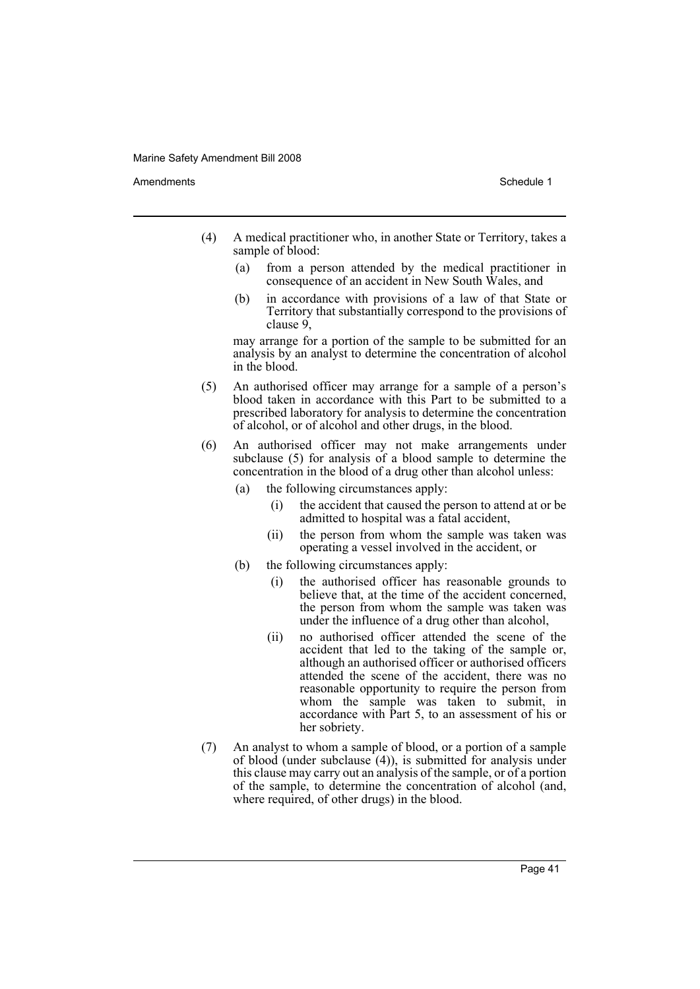Amendments **Amendments** Schedule 1

- (4) A medical practitioner who, in another State or Territory, takes a sample of blood:
	- (a) from a person attended by the medical practitioner in consequence of an accident in New South Wales, and
	- (b) in accordance with provisions of a law of that State or Territory that substantially correspond to the provisions of clause 9,

may arrange for a portion of the sample to be submitted for an analysis by an analyst to determine the concentration of alcohol in the blood.

- (5) An authorised officer may arrange for a sample of a person's blood taken in accordance with this Part to be submitted to a prescribed laboratory for analysis to determine the concentration of alcohol, or of alcohol and other drugs, in the blood.
- (6) An authorised officer may not make arrangements under subclause (5) for analysis of a blood sample to determine the concentration in the blood of a drug other than alcohol unless:
	- (a) the following circumstances apply:
		- (i) the accident that caused the person to attend at or be admitted to hospital was a fatal accident,
		- (ii) the person from whom the sample was taken was operating a vessel involved in the accident, or
	- (b) the following circumstances apply:
		- (i) the authorised officer has reasonable grounds to believe that, at the time of the accident concerned, the person from whom the sample was taken was under the influence of a drug other than alcohol,
		- (ii) no authorised officer attended the scene of the accident that led to the taking of the sample or, although an authorised officer or authorised officers attended the scene of the accident, there was no reasonable opportunity to require the person from whom the sample was taken to submit, in accordance with Part 5, to an assessment of his or her sobriety.
- (7) An analyst to whom a sample of blood, or a portion of a sample of blood (under subclause  $(4)$ ), is submitted for analysis under this clause may carry out an analysis of the sample, or of a portion of the sample, to determine the concentration of alcohol (and, where required, of other drugs) in the blood.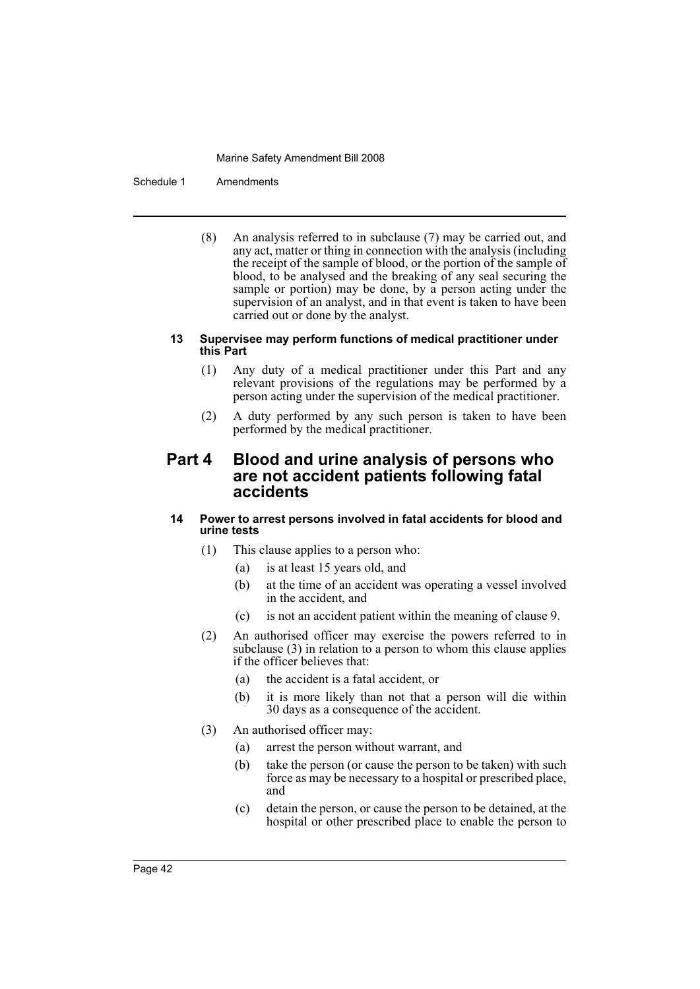#### Schedule 1 Amendments

(8) An analysis referred to in subclause (7) may be carried out, and any act, matter or thing in connection with the analysis (including the receipt of the sample of blood, or the portion of the sample of blood, to be analysed and the breaking of any seal securing the sample or portion) may be done, by a person acting under the supervision of an analyst, and in that event is taken to have been carried out or done by the analyst.

# **13 Supervisee may perform functions of medical practitioner under this Part**

- (1) Any duty of a medical practitioner under this Part and any relevant provisions of the regulations may be performed by a person acting under the supervision of the medical practitioner.
- (2) A duty performed by any such person is taken to have been performed by the medical practitioner.

# **Part 4 Blood and urine analysis of persons who are not accident patients following fatal accidents**

# **14 Power to arrest persons involved in fatal accidents for blood and urine tests**

- (1) This clause applies to a person who:
	- (a) is at least 15 years old, and
	- (b) at the time of an accident was operating a vessel involved in the accident, and
	- (c) is not an accident patient within the meaning of clause 9.
- (2) An authorised officer may exercise the powers referred to in subclause (3) in relation to a person to whom this clause applies if the officer believes that:
	- (a) the accident is a fatal accident, or
	- (b) it is more likely than not that a person will die within 30 days as a consequence of the accident.
- (3) An authorised officer may:
	- (a) arrest the person without warrant, and
	- (b) take the person (or cause the person to be taken) with such force as may be necessary to a hospital or prescribed place, and
	- (c) detain the person, or cause the person to be detained, at the hospital or other prescribed place to enable the person to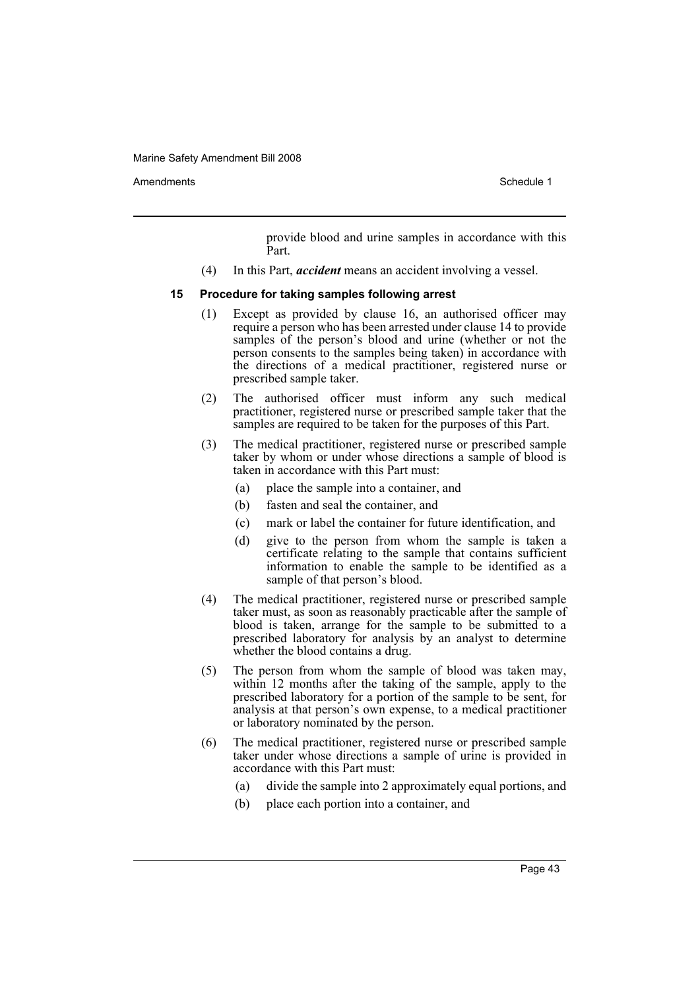Amendments **Amendments** Schedule 1

provide blood and urine samples in accordance with this Part.

(4) In this Part, *accident* means an accident involving a vessel.

#### **15 Procedure for taking samples following arrest**

- (1) Except as provided by clause 16, an authorised officer may require a person who has been arrested under clause 14 to provide samples of the person's blood and urine (whether or not the person consents to the samples being taken) in accordance with the directions of a medical practitioner, registered nurse or prescribed sample taker.
- (2) The authorised officer must inform any such medical practitioner, registered nurse or prescribed sample taker that the samples are required to be taken for the purposes of this Part.
- (3) The medical practitioner, registered nurse or prescribed sample taker by whom or under whose directions a sample of blood is taken in accordance with this Part must:
	- (a) place the sample into a container, and
	- (b) fasten and seal the container, and
	- (c) mark or label the container for future identification, and
	- (d) give to the person from whom the sample is taken a certificate relating to the sample that contains sufficient information to enable the sample to be identified as a sample of that person's blood.
- (4) The medical practitioner, registered nurse or prescribed sample taker must, as soon as reasonably practicable after the sample of blood is taken, arrange for the sample to be submitted to a prescribed laboratory for analysis by an analyst to determine whether the blood contains a drug.
- (5) The person from whom the sample of blood was taken may, within 12 months after the taking of the sample, apply to the prescribed laboratory for a portion of the sample to be sent, for analysis at that person's own expense, to a medical practitioner or laboratory nominated by the person.
- (6) The medical practitioner, registered nurse or prescribed sample taker under whose directions a sample of urine is provided in accordance with this Part must:
	- (a) divide the sample into 2 approximately equal portions, and
	- (b) place each portion into a container, and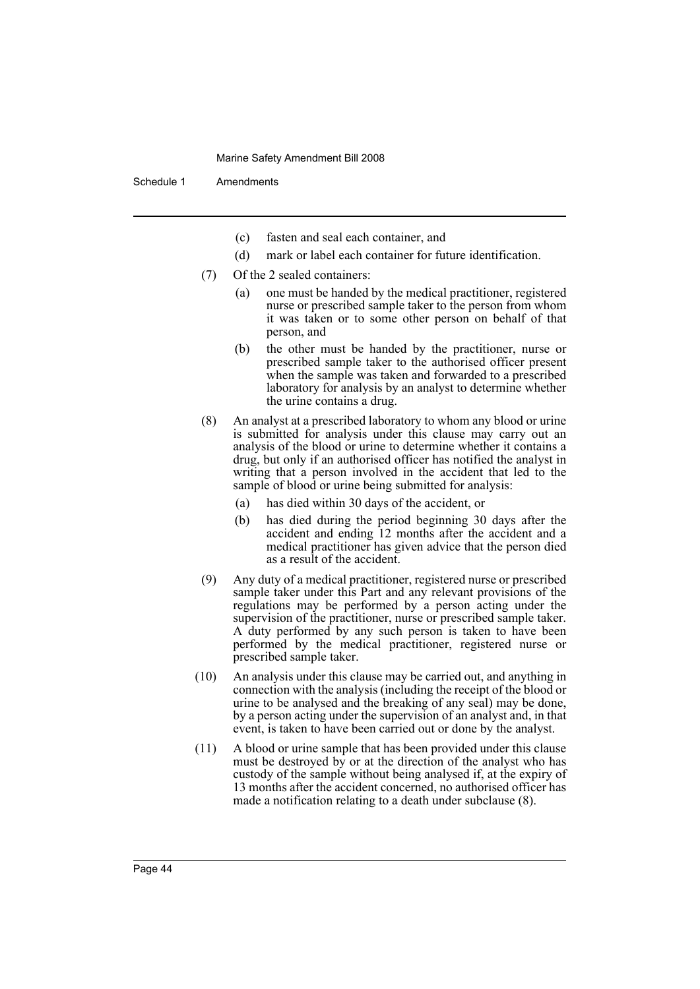Schedule 1 Amendments

- (c) fasten and seal each container, and
- (d) mark or label each container for future identification.
- (7) Of the 2 sealed containers:
	- (a) one must be handed by the medical practitioner, registered nurse or prescribed sample taker to the person from whom it was taken or to some other person on behalf of that person, and
	- (b) the other must be handed by the practitioner, nurse or prescribed sample taker to the authorised officer present when the sample was taken and forwarded to a prescribed laboratory for analysis by an analyst to determine whether the urine contains a drug.
- (8) An analyst at a prescribed laboratory to whom any blood or urine is submitted for analysis under this clause may carry out an analysis of the blood or urine to determine whether it contains a drug, but only if an authorised officer has notified the analyst in writing that a person involved in the accident that led to the sample of blood or urine being submitted for analysis:
	- (a) has died within 30 days of the accident, or
	- (b) has died during the period beginning 30 days after the accident and ending 12 months after the accident and a medical practitioner has given advice that the person died as a result of the accident.
- (9) Any duty of a medical practitioner, registered nurse or prescribed sample taker under this Part and any relevant provisions of the regulations may be performed by a person acting under the supervision of the practitioner, nurse or prescribed sample taker. A duty performed by any such person is taken to have been performed by the medical practitioner, registered nurse or prescribed sample taker.
- (10) An analysis under this clause may be carried out, and anything in connection with the analysis (including the receipt of the blood or urine to be analysed and the breaking of any seal) may be done, by a person acting under the supervision of an analyst and, in that event, is taken to have been carried out or done by the analyst.
- (11) A blood or urine sample that has been provided under this clause must be destroyed by or at the direction of the analyst who has custody of the sample without being analysed if, at the expiry of 13 months after the accident concerned, no authorised officer has made a notification relating to a death under subclause (8).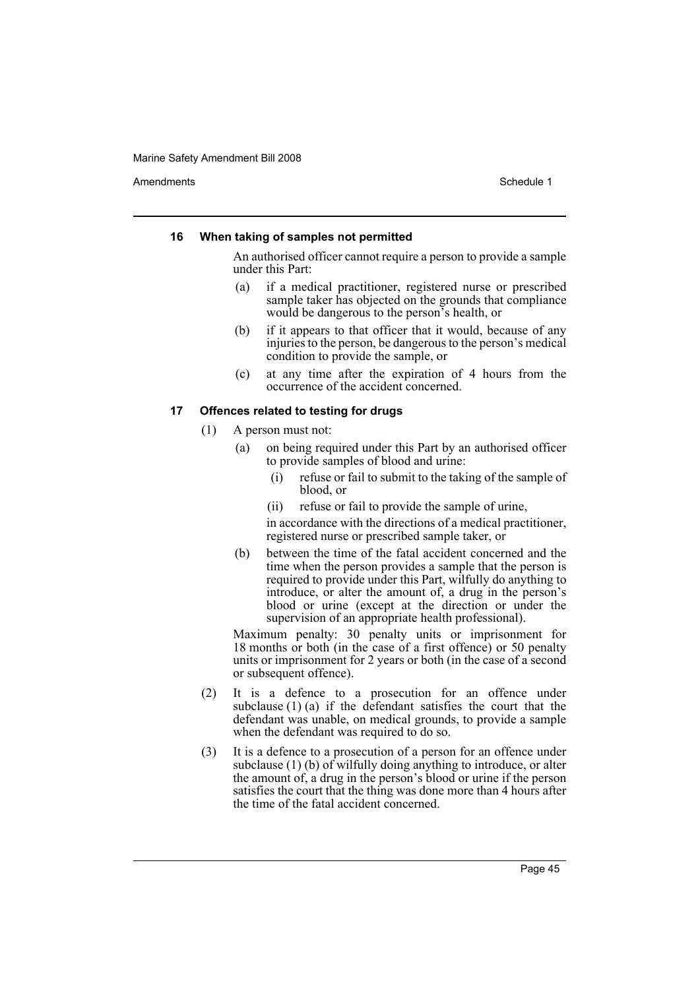Amendments **Amendments** Schedule 1

# **16 When taking of samples not permitted**

An authorised officer cannot require a person to provide a sample under this Part:

- (a) if a medical practitioner, registered nurse or prescribed sample taker has objected on the grounds that compliance would be dangerous to the person's health, or
- (b) if it appears to that officer that it would, because of any injuries to the person, be dangerous to the person's medical condition to provide the sample, or
- (c) at any time after the expiration of 4 hours from the occurrence of the accident concerned.

# **17 Offences related to testing for drugs**

- (1) A person must not:
	- (a) on being required under this Part by an authorised officer to provide samples of blood and urine:
		- (i) refuse or fail to submit to the taking of the sample of blood, or
		- (ii) refuse or fail to provide the sample of urine,

in accordance with the directions of a medical practitioner, registered nurse or prescribed sample taker, or

(b) between the time of the fatal accident concerned and the time when the person provides a sample that the person is required to provide under this Part, wilfully do anything to introduce, or alter the amount of, a drug in the person's blood or urine (except at the direction or under the supervision of an appropriate health professional).

Maximum penalty: 30 penalty units or imprisonment for 18 months or both (in the case of a first offence) or 50 penalty units or imprisonment for 2 years or both (in the case of a second or subsequent offence).

- (2) It is a defence to a prosecution for an offence under subclause  $(1)$  (a) if the defendant satisfies the court that the defendant was unable, on medical grounds, to provide a sample when the defendant was required to do so.
- (3) It is a defence to a prosecution of a person for an offence under subclause  $(1)$  (b) of wilfully doing anything to introduce, or alter the amount of, a drug in the person's blood or urine if the person satisfies the court that the thing was done more than 4 hours after the time of the fatal accident concerned.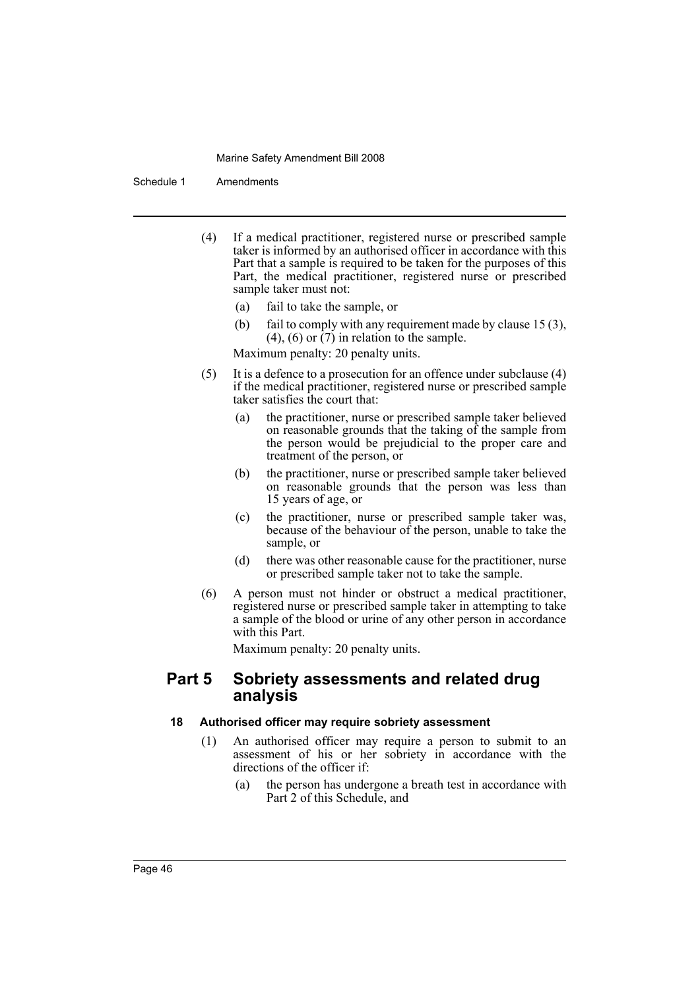Schedule 1 Amendments

- (4) If a medical practitioner, registered nurse or prescribed sample taker is informed by an authorised officer in accordance with this Part that a sample is required to be taken for the purposes of this Part, the medical practitioner, registered nurse or prescribed sample taker must not:
	- (a) fail to take the sample, or
	- (b) fail to comply with any requirement made by clause 15 (3),  $(4)$ ,  $(6)$  or  $(7)$  in relation to the sample.

Maximum penalty: 20 penalty units.

- (5) It is a defence to a prosecution for an offence under subclause (4) if the medical practitioner, registered nurse or prescribed sample taker satisfies the court that:
	- (a) the practitioner, nurse or prescribed sample taker believed on reasonable grounds that the taking of the sample from the person would be prejudicial to the proper care and treatment of the person, or
	- (b) the practitioner, nurse or prescribed sample taker believed on reasonable grounds that the person was less than 15 years of age, or
	- (c) the practitioner, nurse or prescribed sample taker was, because of the behaviour of the person, unable to take the sample, or
	- (d) there was other reasonable cause for the practitioner, nurse or prescribed sample taker not to take the sample.
- (6) A person must not hinder or obstruct a medical practitioner, registered nurse or prescribed sample taker in attempting to take a sample of the blood or urine of any other person in accordance with this Part.

Maximum penalty: 20 penalty units.

# **Part 5 Sobriety assessments and related drug analysis**

# **18 Authorised officer may require sobriety assessment**

- (1) An authorised officer may require a person to submit to an assessment of his or her sobriety in accordance with the directions of the officer if:
	- (a) the person has undergone a breath test in accordance with Part 2 of this Schedule, and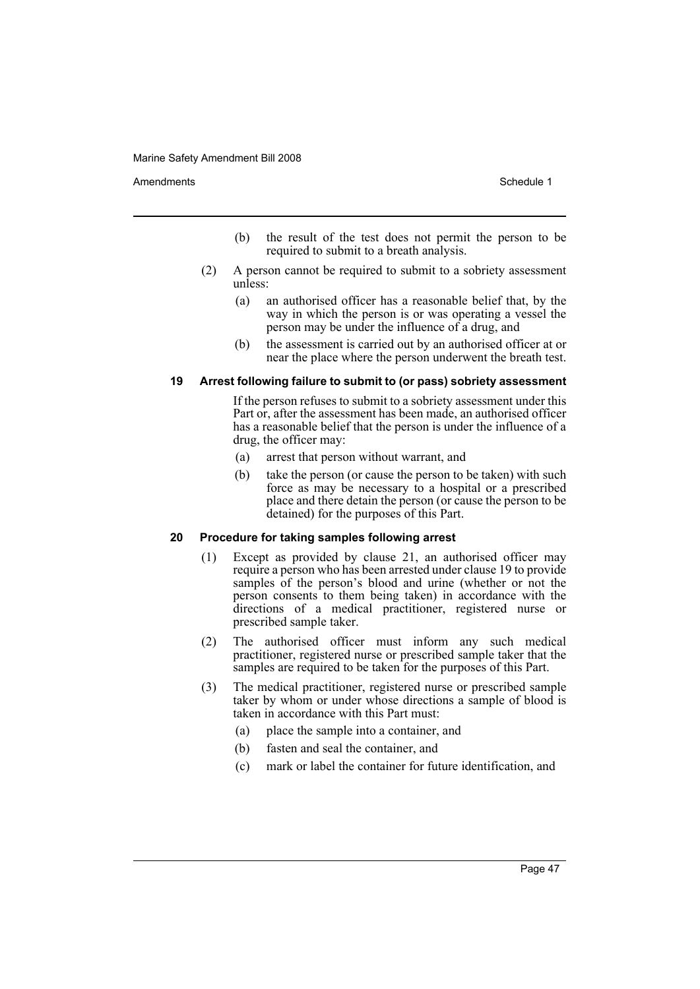Amendments **Amendments** Schedule 1

- (b) the result of the test does not permit the person to be required to submit to a breath analysis.
- (2) A person cannot be required to submit to a sobriety assessment unless:
	- (a) an authorised officer has a reasonable belief that, by the way in which the person is or was operating a vessel the person may be under the influence of a drug, and
	- (b) the assessment is carried out by an authorised officer at or near the place where the person underwent the breath test.

#### **19 Arrest following failure to submit to (or pass) sobriety assessment**

If the person refuses to submit to a sobriety assessment under this Part or, after the assessment has been made, an authorised officer has a reasonable belief that the person is under the influence of a drug, the officer may:

- (a) arrest that person without warrant, and
- (b) take the person (or cause the person to be taken) with such force as may be necessary to a hospital or a prescribed place and there detain the person (or cause the person to be detained) for the purposes of this Part.

#### **20 Procedure for taking samples following arrest**

- (1) Except as provided by clause 21, an authorised officer may require a person who has been arrested under clause 19 to provide samples of the person's blood and urine (whether or not the person consents to them being taken) in accordance with the directions of a medical practitioner, registered nurse or prescribed sample taker.
- (2) The authorised officer must inform any such medical practitioner, registered nurse or prescribed sample taker that the samples are required to be taken for the purposes of this Part.
- (3) The medical practitioner, registered nurse or prescribed sample taker by whom or under whose directions a sample of blood is taken in accordance with this Part must:
	- (a) place the sample into a container, and
	- (b) fasten and seal the container, and
	- (c) mark or label the container for future identification, and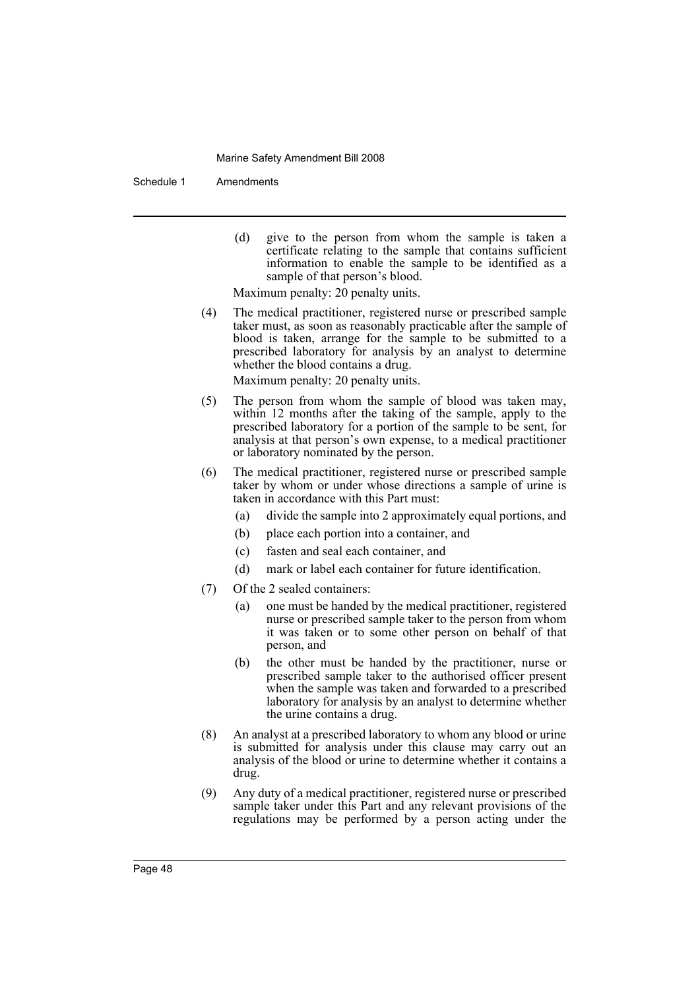Schedule 1 Amendments

(d) give to the person from whom the sample is taken a certificate relating to the sample that contains sufficient information to enable the sample to be identified as a sample of that person's blood.

Maximum penalty: 20 penalty units.

(4) The medical practitioner, registered nurse or prescribed sample taker must, as soon as reasonably practicable after the sample of blood is taken, arrange for the sample to be submitted to a prescribed laboratory for analysis by an analyst to determine whether the blood contains a drug.

Maximum penalty: 20 penalty units.

- (5) The person from whom the sample of blood was taken may, within 12 months after the taking of the sample, apply to the prescribed laboratory for a portion of the sample to be sent, for analysis at that person's own expense, to a medical practitioner or laboratory nominated by the person.
- (6) The medical practitioner, registered nurse or prescribed sample taker by whom or under whose directions a sample of urine is taken in accordance with this Part must:
	- (a) divide the sample into 2 approximately equal portions, and
	- (b) place each portion into a container, and
	- (c) fasten and seal each container, and
	- (d) mark or label each container for future identification.
- (7) Of the 2 sealed containers:
	- (a) one must be handed by the medical practitioner, registered nurse or prescribed sample taker to the person from whom it was taken or to some other person on behalf of that person, and
	- (b) the other must be handed by the practitioner, nurse or prescribed sample taker to the authorised officer present when the sample was taken and forwarded to a prescribed laboratory for analysis by an analyst to determine whether the urine contains a drug.
- (8) An analyst at a prescribed laboratory to whom any blood or urine is submitted for analysis under this clause may carry out an analysis of the blood or urine to determine whether it contains a drug.
- (9) Any duty of a medical practitioner, registered nurse or prescribed sample taker under this Part and any relevant provisions of the regulations may be performed by a person acting under the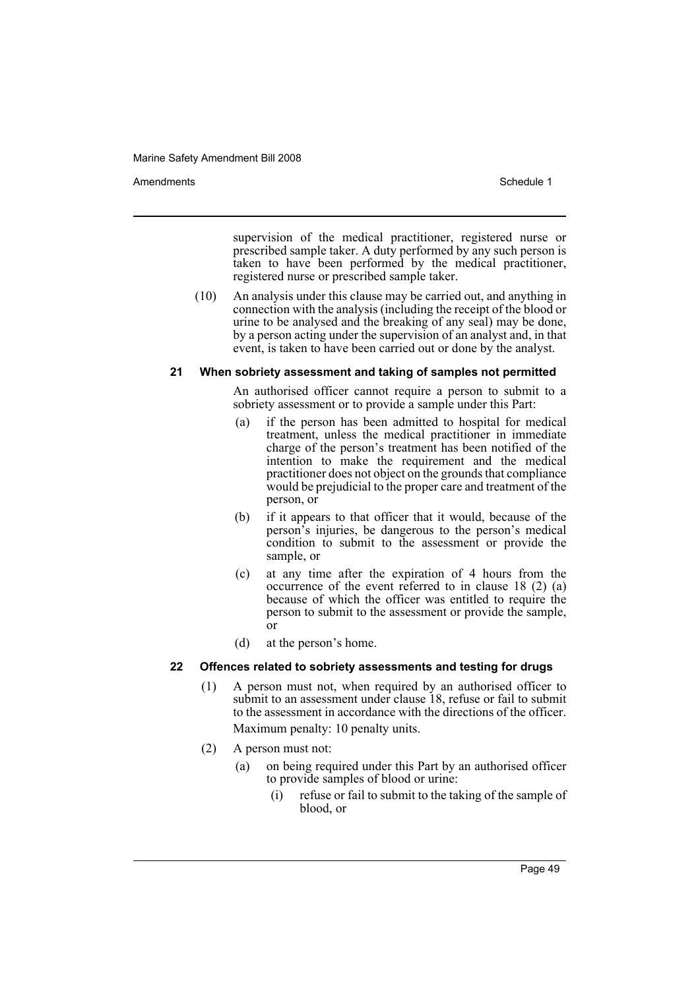Amendments **Amendments** Schedule 1

supervision of the medical practitioner, registered nurse or prescribed sample taker. A duty performed by any such person is taken to have been performed by the medical practitioner, registered nurse or prescribed sample taker.

(10) An analysis under this clause may be carried out, and anything in connection with the analysis (including the receipt of the blood or urine to be analysed and the breaking of any seal) may be done, by a person acting under the supervision of an analyst and, in that event, is taken to have been carried out or done by the analyst.

#### **21 When sobriety assessment and taking of samples not permitted**

An authorised officer cannot require a person to submit to a sobriety assessment or to provide a sample under this Part:

- (a) if the person has been admitted to hospital for medical treatment, unless the medical practitioner in immediate charge of the person's treatment has been notified of the intention to make the requirement and the medical practitioner does not object on the grounds that compliance would be prejudicial to the proper care and treatment of the person, or
- (b) if it appears to that officer that it would, because of the person's injuries, be dangerous to the person's medical condition to submit to the assessment or provide the sample, or
- (c) at any time after the expiration of 4 hours from the occurrence of the event referred to in clause 18 (2) (a) because of which the officer was entitled to require the person to submit to the assessment or provide the sample, or
- (d) at the person's home.

# **22 Offences related to sobriety assessments and testing for drugs**

- (1) A person must not, when required by an authorised officer to submit to an assessment under clause 18, refuse or fail to submit to the assessment in accordance with the directions of the officer. Maximum penalty: 10 penalty units.
- (2) A person must not:
	- (a) on being required under this Part by an authorised officer to provide samples of blood or urine:
		- (i) refuse or fail to submit to the taking of the sample of blood, or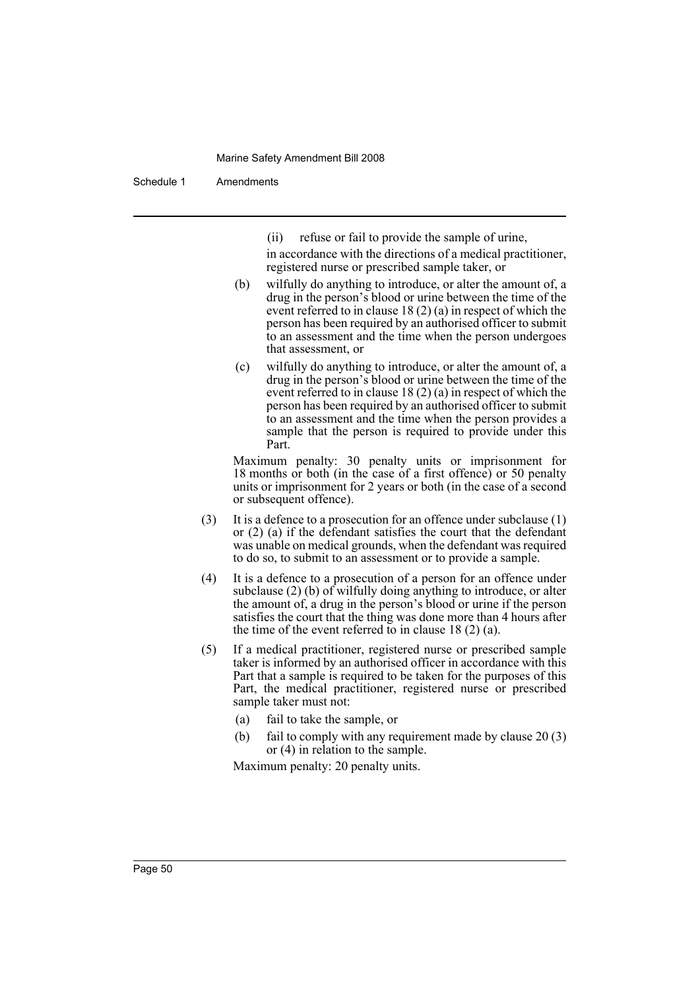Schedule 1 Amendments

(ii) refuse or fail to provide the sample of urine,

in accordance with the directions of a medical practitioner, registered nurse or prescribed sample taker, or

- (b) wilfully do anything to introduce, or alter the amount of, a drug in the person's blood or urine between the time of the event referred to in clause 18 (2) (a) in respect of which the person has been required by an authorised officer to submit to an assessment and the time when the person undergoes that assessment, or
- (c) wilfully do anything to introduce, or alter the amount of, a drug in the person's blood or urine between the time of the event referred to in clause 18 (2) (a) in respect of which the person has been required by an authorised officer to submit to an assessment and the time when the person provides a sample that the person is required to provide under this Part.

Maximum penalty: 30 penalty units or imprisonment for 18 months or both (in the case of a first offence) or 50 penalty units or imprisonment for 2 years or both (in the case of a second or subsequent offence).

- (3) It is a defence to a prosecution for an offence under subclause (1) or (2) (a) if the defendant satisfies the court that the defendant was unable on medical grounds, when the defendant was required to do so, to submit to an assessment or to provide a sample.
- (4) It is a defence to a prosecution of a person for an offence under subclause (2) (b) of wilfully doing anything to introduce, or alter the amount of, a drug in the person's blood or urine if the person satisfies the court that the thing was done more than 4 hours after the time of the event referred to in clause  $18(2)(a)$ .
- (5) If a medical practitioner, registered nurse or prescribed sample taker is informed by an authorised officer in accordance with this Part that a sample is required to be taken for the purposes of this Part, the medical practitioner, registered nurse or prescribed sample taker must not:
	- (a) fail to take the sample, or
	- (b) fail to comply with any requirement made by clause 20 (3) or (4) in relation to the sample.

Maximum penalty: 20 penalty units.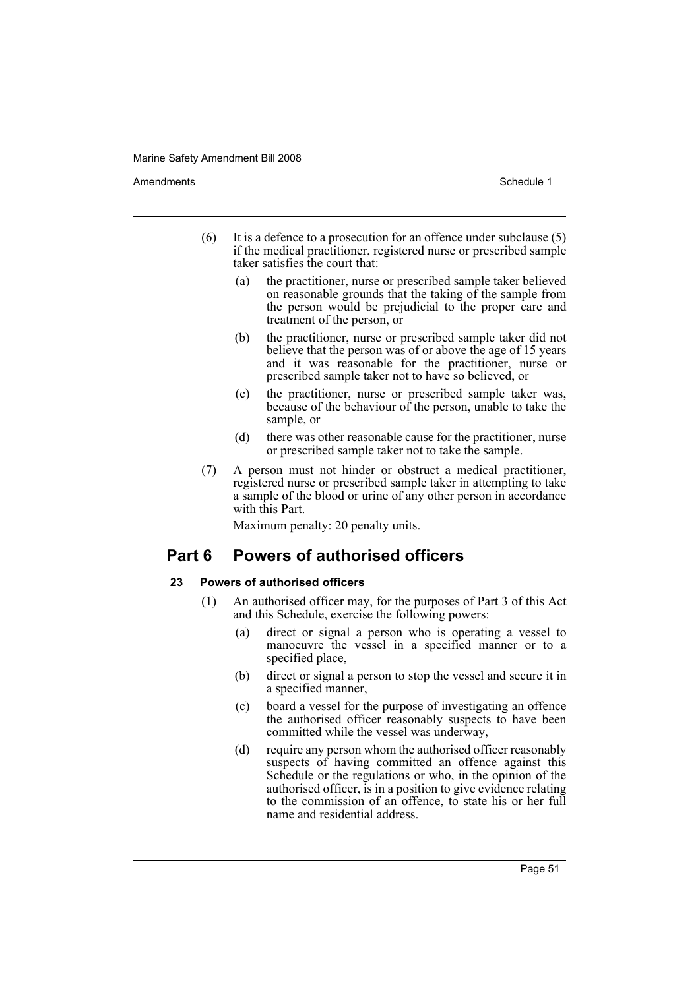Amendments **Amendments** Schedule 1

- (6) It is a defence to a prosecution for an offence under subclause (5) if the medical practitioner, registered nurse or prescribed sample taker satisfies the court that:
	- (a) the practitioner, nurse or prescribed sample taker believed on reasonable grounds that the taking of the sample from the person would be prejudicial to the proper care and treatment of the person, or
	- (b) the practitioner, nurse or prescribed sample taker did not believe that the person was of or above the age of 15 years and it was reasonable for the practitioner, nurse or prescribed sample taker not to have so believed, or
	- (c) the practitioner, nurse or prescribed sample taker was, because of the behaviour of the person, unable to take the sample, or
	- (d) there was other reasonable cause for the practitioner, nurse or prescribed sample taker not to take the sample.
- (7) A person must not hinder or obstruct a medical practitioner, registered nurse or prescribed sample taker in attempting to take a sample of the blood or urine of any other person in accordance with this Part.

Maximum penalty: 20 penalty units.

# **Part 6 Powers of authorised officers**

# **23 Powers of authorised officers**

- (1) An authorised officer may, for the purposes of Part 3 of this Act and this Schedule, exercise the following powers:
	- (a) direct or signal a person who is operating a vessel to manoeuvre the vessel in a specified manner or to a specified place,
	- (b) direct or signal a person to stop the vessel and secure it in a specified manner,
	- (c) board a vessel for the purpose of investigating an offence the authorised officer reasonably suspects to have been committed while the vessel was underway,
	- (d) require any person whom the authorised officer reasonably suspects of having committed an offence against this Schedule or the regulations or who, in the opinion of the authorised officer, is in a position to give evidence relating to the commission of an offence, to state his or her full name and residential address.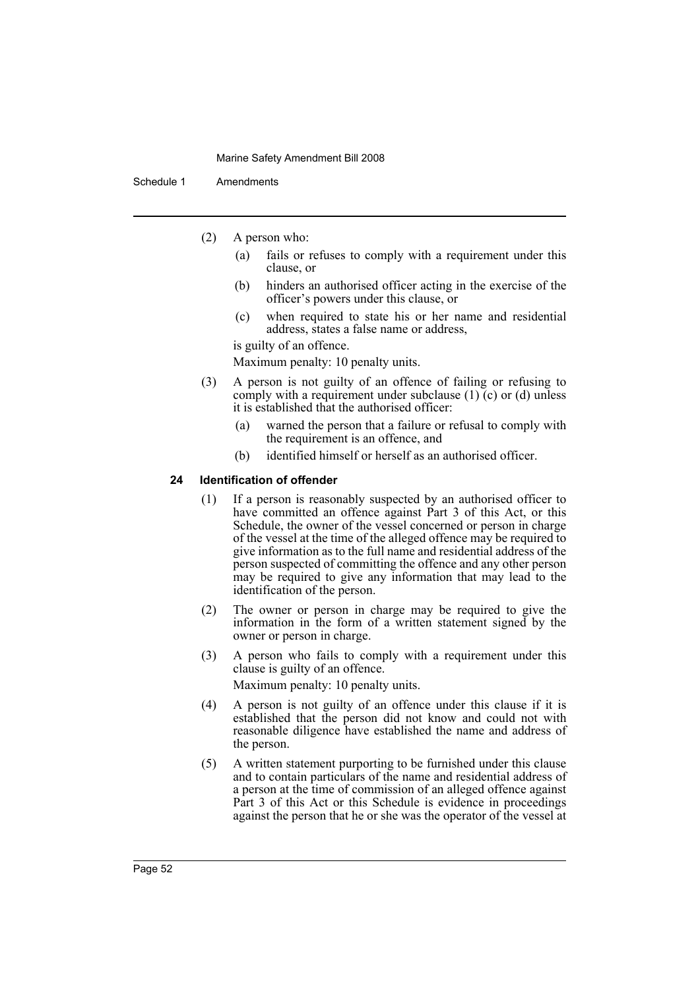Schedule 1 Amendments

- (2) A person who:
	- (a) fails or refuses to comply with a requirement under this clause, or
	- (b) hinders an authorised officer acting in the exercise of the officer's powers under this clause, or
	- (c) when required to state his or her name and residential address, states a false name or address,

is guilty of an offence.

Maximum penalty: 10 penalty units.

- (3) A person is not guilty of an offence of failing or refusing to comply with a requirement under subclause (1) (c) or (d) unless it is established that the authorised officer:
	- (a) warned the person that a failure or refusal to comply with the requirement is an offence, and
	- (b) identified himself or herself as an authorised officer.

# **24 Identification of offender**

- (1) If a person is reasonably suspected by an authorised officer to have committed an offence against Part 3 of this Act, or this Schedule, the owner of the vessel concerned or person in charge of the vessel at the time of the alleged offence may be required to give information as to the full name and residential address of the person suspected of committing the offence and any other person may be required to give any information that may lead to the identification of the person.
- (2) The owner or person in charge may be required to give the information in the form of a written statement signed by the owner or person in charge.
- (3) A person who fails to comply with a requirement under this clause is guilty of an offence.

Maximum penalty: 10 penalty units.

- (4) A person is not guilty of an offence under this clause if it is established that the person did not know and could not with reasonable diligence have established the name and address of the person.
- (5) A written statement purporting to be furnished under this clause and to contain particulars of the name and residential address of a person at the time of commission of an alleged offence against Part 3 of this Act or this Schedule is evidence in proceedings against the person that he or she was the operator of the vessel at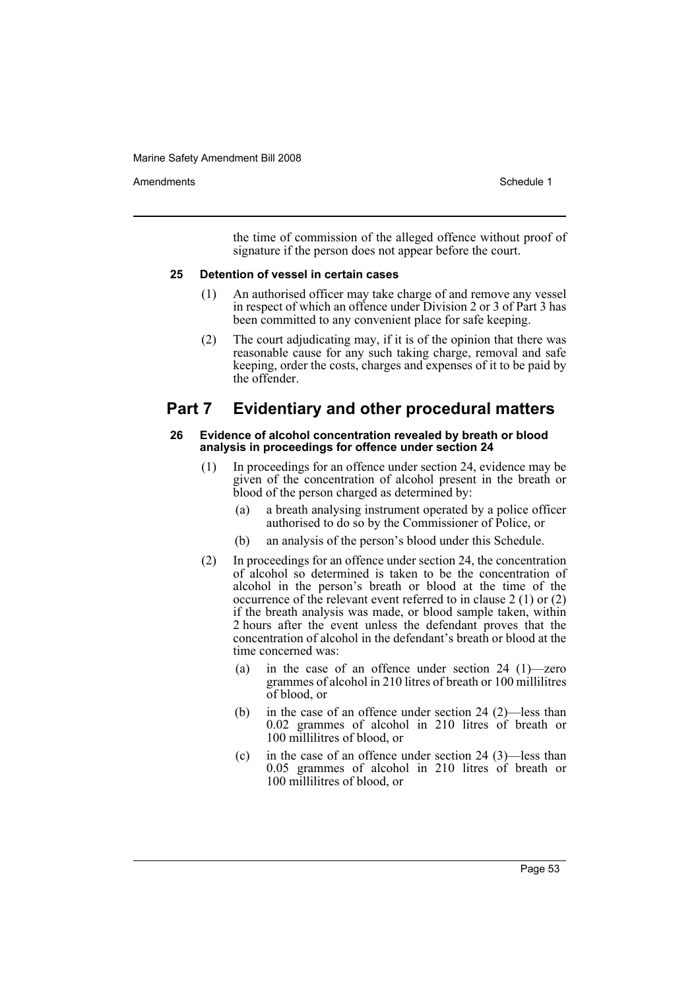Amendments **Amendments** Schedule 1

the time of commission of the alleged offence without proof of signature if the person does not appear before the court.

#### **25 Detention of vessel in certain cases**

- (1) An authorised officer may take charge of and remove any vessel in respect of which an offence under Division 2 or 3 of Part 3 has been committed to any convenient place for safe keeping.
- (2) The court adjudicating may, if it is of the opinion that there was reasonable cause for any such taking charge, removal and safe keeping, order the costs, charges and expenses of it to be paid by the offender.

# **Part 7 Evidentiary and other procedural matters**

#### **26 Evidence of alcohol concentration revealed by breath or blood analysis in proceedings for offence under section 24**

- (1) In proceedings for an offence under section 24, evidence may be given of the concentration of alcohol present in the breath or blood of the person charged as determined by:
	- (a) a breath analysing instrument operated by a police officer authorised to do so by the Commissioner of Police, or
	- (b) an analysis of the person's blood under this Schedule.
- (2) In proceedings for an offence under section 24, the concentration of alcohol so determined is taken to be the concentration of alcohol in the person's breath or blood at the time of the occurrence of the relevant event referred to in clause 2 (1) or (2) if the breath analysis was made, or blood sample taken, within 2 hours after the event unless the defendant proves that the concentration of alcohol in the defendant's breath or blood at the time concerned was:
	- (a) in the case of an offence under section 24 (1)—zero grammes of alcohol in 210 litres of breath or 100 millilitres of blood, or
	- (b) in the case of an offence under section 24 (2)—less than 0.02 grammes of alcohol in 210 litres of breath or 100 millilitres of blood, or
	- (c) in the case of an offence under section 24 (3)—less than 0.05 grammes of alcohol in 210 litres of breath or 100 millilitres of blood, or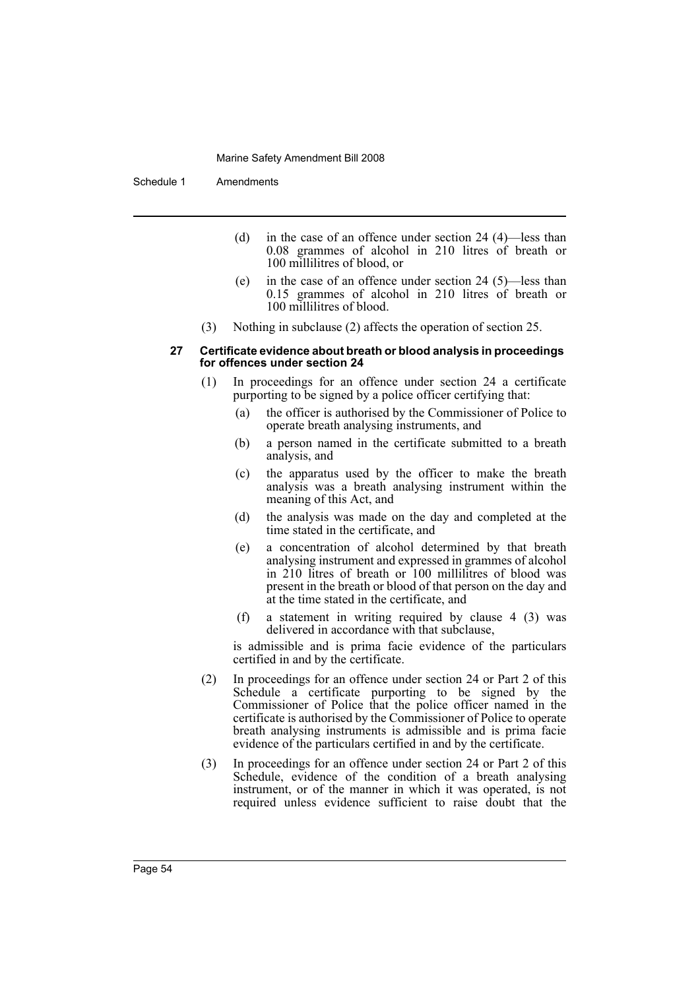Schedule 1 Amendments

- (d) in the case of an offence under section 24 (4)—less than 0.08 grammes of alcohol in 210 litres of breath or 100 millilitres of blood, or
- (e) in the case of an offence under section 24 (5)—less than 0.15 grammes of alcohol in 210 litres of breath or 100 millilitres of blood.
- (3) Nothing in subclause (2) affects the operation of section 25.

#### **27 Certificate evidence about breath or blood analysis in proceedings for offences under section 24**

- (1) In proceedings for an offence under section 24 a certificate purporting to be signed by a police officer certifying that:
	- (a) the officer is authorised by the Commissioner of Police to operate breath analysing instruments, and
	- (b) a person named in the certificate submitted to a breath analysis, and
	- (c) the apparatus used by the officer to make the breath analysis was a breath analysing instrument within the meaning of this Act, and
	- (d) the analysis was made on the day and completed at the time stated in the certificate, and
	- (e) a concentration of alcohol determined by that breath analysing instrument and expressed in grammes of alcohol in 210 litres of breath or 100 millilitres of blood was present in the breath or blood of that person on the day and at the time stated in the certificate, and
	- (f) a statement in writing required by clause 4 (3) was delivered in accordance with that subclause,

is admissible and is prima facie evidence of the particulars certified in and by the certificate.

- (2) In proceedings for an offence under section 24 or Part 2 of this Schedule a certificate purporting to be signed by the Commissioner of Police that the police officer named in the certificate is authorised by the Commissioner of Police to operate breath analysing instruments is admissible and is prima facie evidence of the particulars certified in and by the certificate.
- (3) In proceedings for an offence under section 24 or Part 2 of this Schedule, evidence of the condition of a breath analysing instrument, or of the manner in which it was operated, is not required unless evidence sufficient to raise doubt that the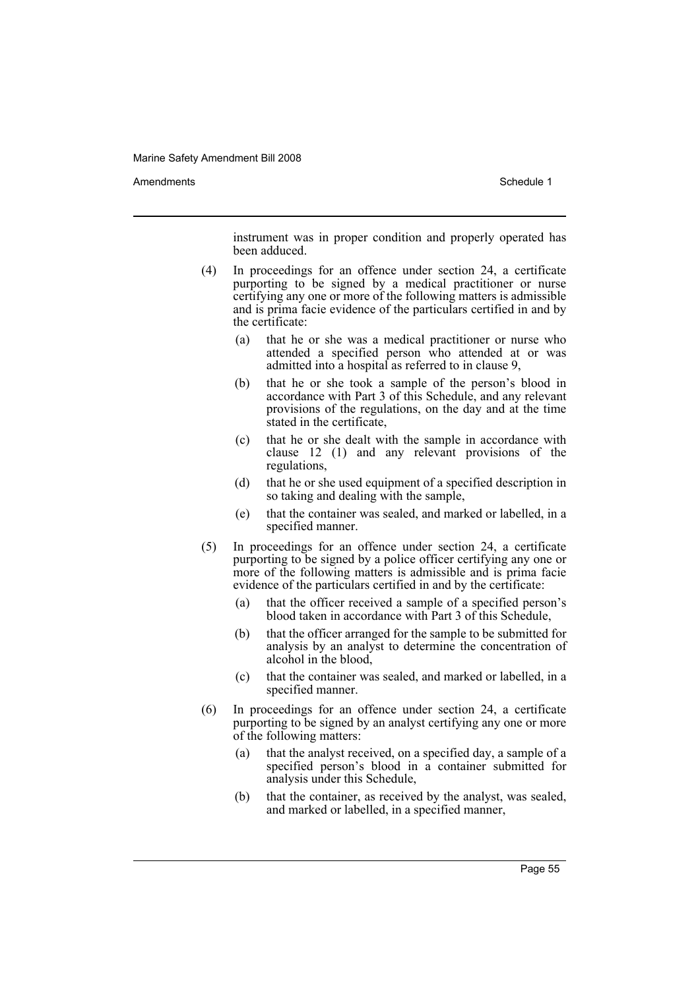Amendments **Amendments** Schedule 1

instrument was in proper condition and properly operated has been adduced.

- (4) In proceedings for an offence under section 24, a certificate purporting to be signed by a medical practitioner or nurse certifying any one or more of the following matters is admissible and is prima facie evidence of the particulars certified in and by the certificate:
	- (a) that he or she was a medical practitioner or nurse who attended a specified person who attended at or was admitted into a hospital as referred to in clause 9,
	- (b) that he or she took a sample of the person's blood in accordance with Part 3 of this Schedule, and any relevant provisions of the regulations, on the day and at the time stated in the certificate,
	- (c) that he or she dealt with the sample in accordance with clause 12 (1) and any relevant provisions of the regulations,
	- (d) that he or she used equipment of a specified description in so taking and dealing with the sample,
	- (e) that the container was sealed, and marked or labelled, in a specified manner.
- (5) In proceedings for an offence under section 24, a certificate purporting to be signed by a police officer certifying any one or more of the following matters is admissible and is prima facie evidence of the particulars certified in and by the certificate:
	- (a) that the officer received a sample of a specified person's blood taken in accordance with Part 3 of this Schedule,
	- (b) that the officer arranged for the sample to be submitted for analysis by an analyst to determine the concentration of alcohol in the blood,
	- (c) that the container was sealed, and marked or labelled, in a specified manner.
- (6) In proceedings for an offence under section 24, a certificate purporting to be signed by an analyst certifying any one or more of the following matters:
	- (a) that the analyst received, on a specified day, a sample of a specified person's blood in a container submitted for analysis under this Schedule,
	- (b) that the container, as received by the analyst, was sealed, and marked or labelled, in a specified manner,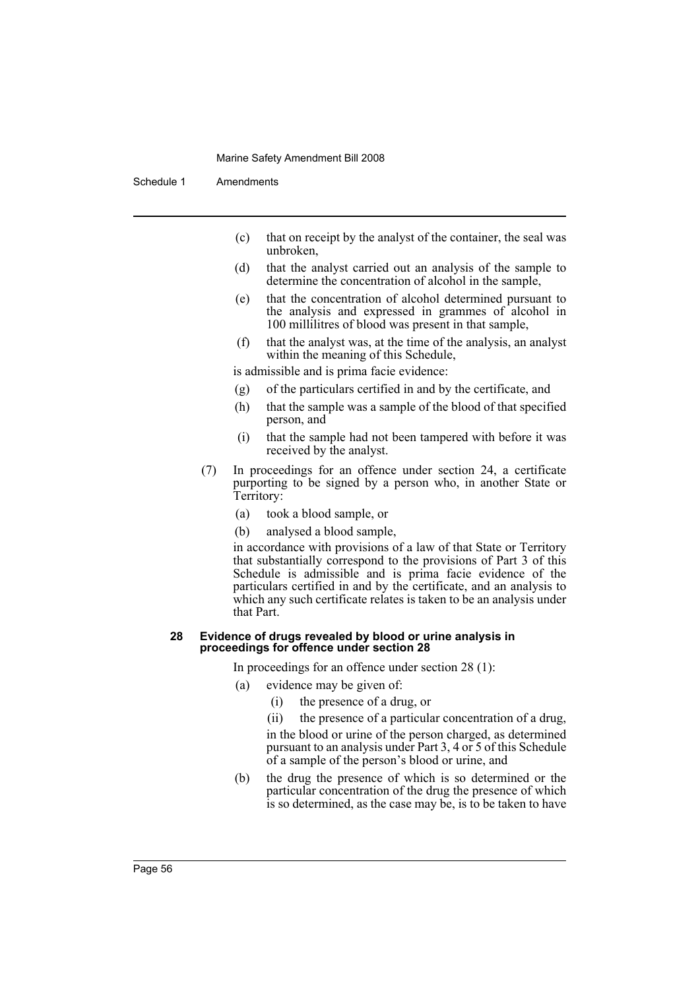Schedule 1 Amendments

- (c) that on receipt by the analyst of the container, the seal was unbroken,
- (d) that the analyst carried out an analysis of the sample to determine the concentration of alcohol in the sample,
- (e) that the concentration of alcohol determined pursuant to the analysis and expressed in grammes of alcohol in 100 millilitres of blood was present in that sample,
- (f) that the analyst was, at the time of the analysis, an analyst within the meaning of this Schedule,

is admissible and is prima facie evidence:

- (g) of the particulars certified in and by the certificate, and
- (h) that the sample was a sample of the blood of that specified person, and
- (i) that the sample had not been tampered with before it was received by the analyst.
- (7) In proceedings for an offence under section 24, a certificate purporting to be signed by a person who, in another State or Territory:
	- (a) took a blood sample, or
	- (b) analysed a blood sample,

in accordance with provisions of a law of that State or Territory that substantially correspond to the provisions of Part 3 of this Schedule is admissible and is prima facie evidence of the particulars certified in and by the certificate, and an analysis to which any such certificate relates is taken to be an analysis under that Part.

#### **28 Evidence of drugs revealed by blood or urine analysis in proceedings for offence under section 28**

In proceedings for an offence under section 28 (1):

- (a) evidence may be given of:
	- (i) the presence of a drug, or

(ii) the presence of a particular concentration of a drug,

in the blood or urine of the person charged, as determined pursuant to an analysis under Part 3, 4 or 5 of this Schedule of a sample of the person's blood or urine, and

(b) the drug the presence of which is so determined or the particular concentration of the drug the presence of which is so determined, as the case may be, is to be taken to have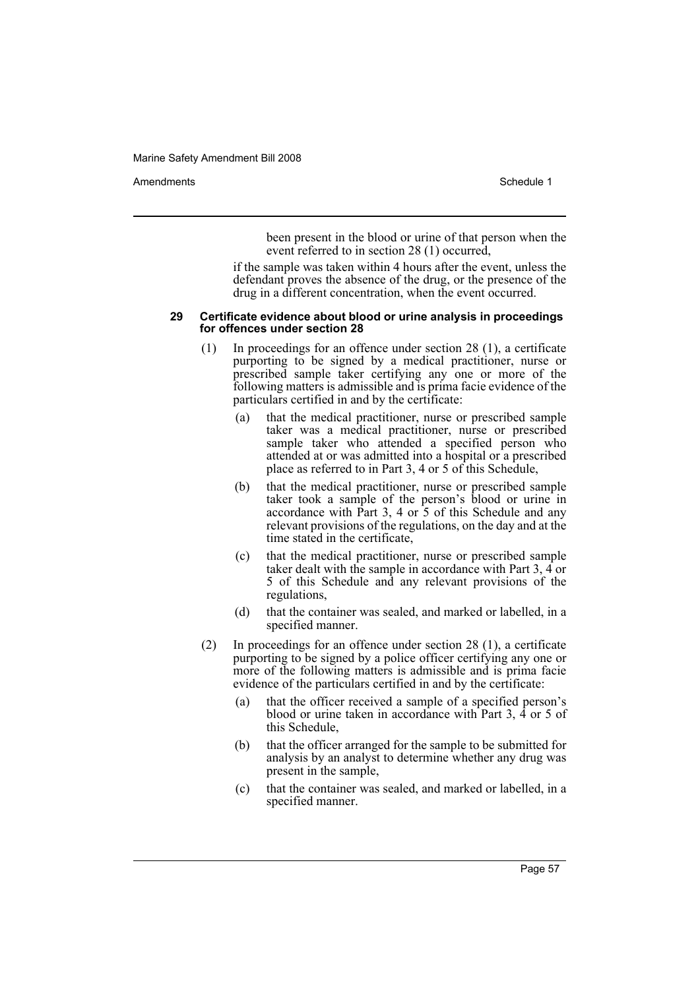Amendments **Amendments** Schedule 1

been present in the blood or urine of that person when the event referred to in section 28 (1) occurred,

if the sample was taken within 4 hours after the event, unless the defendant proves the absence of the drug, or the presence of the drug in a different concentration, when the event occurred.

#### **29 Certificate evidence about blood or urine analysis in proceedings for offences under section 28**

- (1) In proceedings for an offence under section 28 (1), a certificate purporting to be signed by a medical practitioner, nurse or prescribed sample taker certifying any one or more of the following matters is admissible and is prima facie evidence of the particulars certified in and by the certificate:
	- (a) that the medical practitioner, nurse or prescribed sample taker was a medical practitioner, nurse or prescribed sample taker who attended a specified person who attended at or was admitted into a hospital or a prescribed place as referred to in Part 3, 4 or 5 of this Schedule,
	- (b) that the medical practitioner, nurse or prescribed sample taker took a sample of the person's blood or urine in accordance with Part 3, 4 or 5 of this Schedule and any relevant provisions of the regulations, on the day and at the time stated in the certificate,
	- (c) that the medical practitioner, nurse or prescribed sample taker dealt with the sample in accordance with Part 3, 4 or 5 of this Schedule and any relevant provisions of the regulations,
	- (d) that the container was sealed, and marked or labelled, in a specified manner.
- (2) In proceedings for an offence under section 28 (1), a certificate purporting to be signed by a police officer certifying any one or more of the following matters is admissible and is prima facie evidence of the particulars certified in and by the certificate:
	- (a) that the officer received a sample of a specified person's blood or urine taken in accordance with Part 3, 4 or 5 of this Schedule,
	- (b) that the officer arranged for the sample to be submitted for analysis by an analyst to determine whether any drug was present in the sample,
	- (c) that the container was sealed, and marked or labelled, in a specified manner.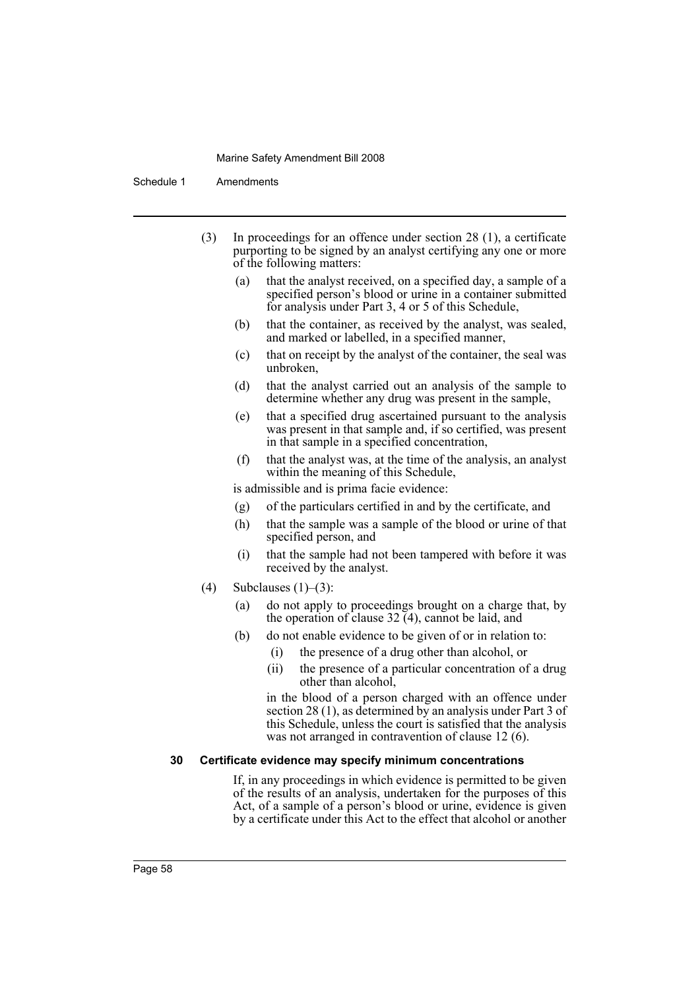Schedule 1 Amendments

- (3) In proceedings for an offence under section 28 (1), a certificate purporting to be signed by an analyst certifying any one or more of the following matters:
	- (a) that the analyst received, on a specified day, a sample of a specified person's blood or urine in a container submitted for analysis under Part 3, 4 or 5 of this Schedule,
	- (b) that the container, as received by the analyst, was sealed, and marked or labelled, in a specified manner,
	- (c) that on receipt by the analyst of the container, the seal was unbroken,
	- (d) that the analyst carried out an analysis of the sample to determine whether any drug was present in the sample,
	- (e) that a specified drug ascertained pursuant to the analysis was present in that sample and, if so certified, was present in that sample in a specified concentration,
	- (f) that the analyst was, at the time of the analysis, an analyst within the meaning of this Schedule,

is admissible and is prima facie evidence:

- (g) of the particulars certified in and by the certificate, and
- (h) that the sample was a sample of the blood or urine of that specified person, and
- (i) that the sample had not been tampered with before it was received by the analyst.
- (4) Subclauses  $(1)$ – $(3)$ :
	- (a) do not apply to proceedings brought on a charge that, by the operation of clause  $32(4)$ , cannot be laid, and
	- (b) do not enable evidence to be given of or in relation to:
		- (i) the presence of a drug other than alcohol, or
		- (ii) the presence of a particular concentration of a drug other than alcohol,

in the blood of a person charged with an offence under section 28 (1), as determined by an analysis under Part 3 of this Schedule, unless the court is satisfied that the analysis was not arranged in contravention of clause 12 (6).

# **30 Certificate evidence may specify minimum concentrations**

If, in any proceedings in which evidence is permitted to be given of the results of an analysis, undertaken for the purposes of this Act, of a sample of a person's blood or urine, evidence is given by a certificate under this Act to the effect that alcohol or another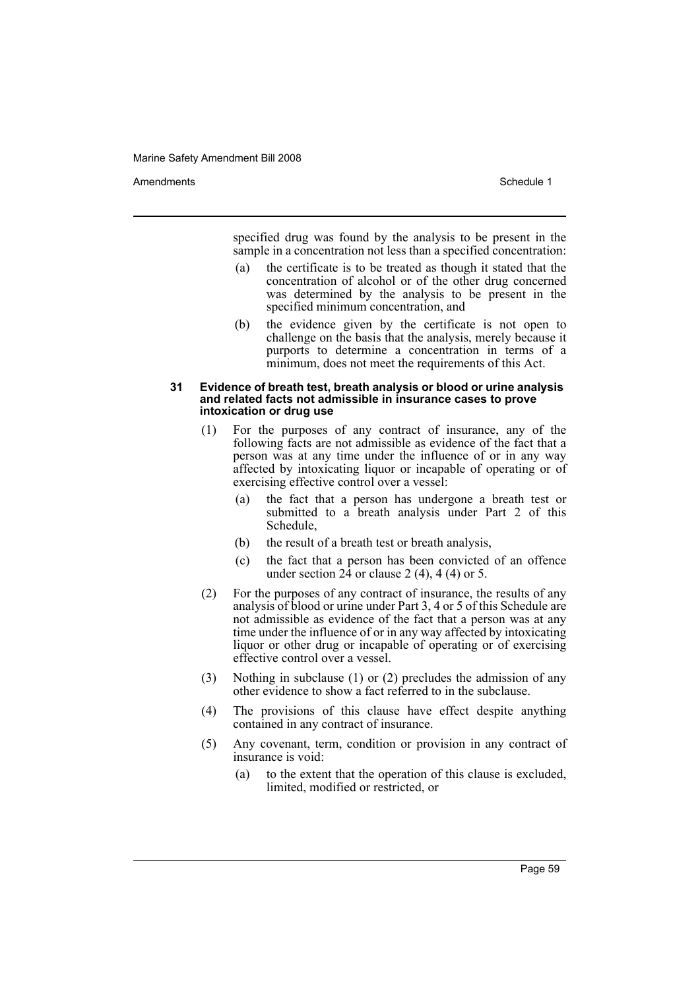Amendments **Amendments** Schedule 1

specified drug was found by the analysis to be present in the sample in a concentration not less than a specified concentration:

- (a) the certificate is to be treated as though it stated that the concentration of alcohol or of the other drug concerned was determined by the analysis to be present in the specified minimum concentration, and
- (b) the evidence given by the certificate is not open to challenge on the basis that the analysis, merely because it purports to determine a concentration in terms of a minimum, does not meet the requirements of this Act.

#### **31 Evidence of breath test, breath analysis or blood or urine analysis and related facts not admissible in insurance cases to prove intoxication or drug use**

- (1) For the purposes of any contract of insurance, any of the following facts are not admissible as evidence of the fact that a person was at any time under the influence of or in any way affected by intoxicating liquor or incapable of operating or of exercising effective control over a vessel:
	- (a) the fact that a person has undergone a breath test or submitted to a breath analysis under Part 2 of this Schedule,
	- (b) the result of a breath test or breath analysis,
	- (c) the fact that a person has been convicted of an offence under section  $2\hat{4}$  or clause 2 (4), 4 (4) or 5.
- (2) For the purposes of any contract of insurance, the results of any analysis of blood or urine under Part 3, 4 or 5 of this Schedule are not admissible as evidence of the fact that a person was at any time under the influence of or in any way affected by intoxicating liquor or other drug or incapable of operating or of exercising effective control over a vessel.
- (3) Nothing in subclause (1) or (2) precludes the admission of any other evidence to show a fact referred to in the subclause.
- (4) The provisions of this clause have effect despite anything contained in any contract of insurance.
- (5) Any covenant, term, condition or provision in any contract of insurance is void:
	- (a) to the extent that the operation of this clause is excluded, limited, modified or restricted, or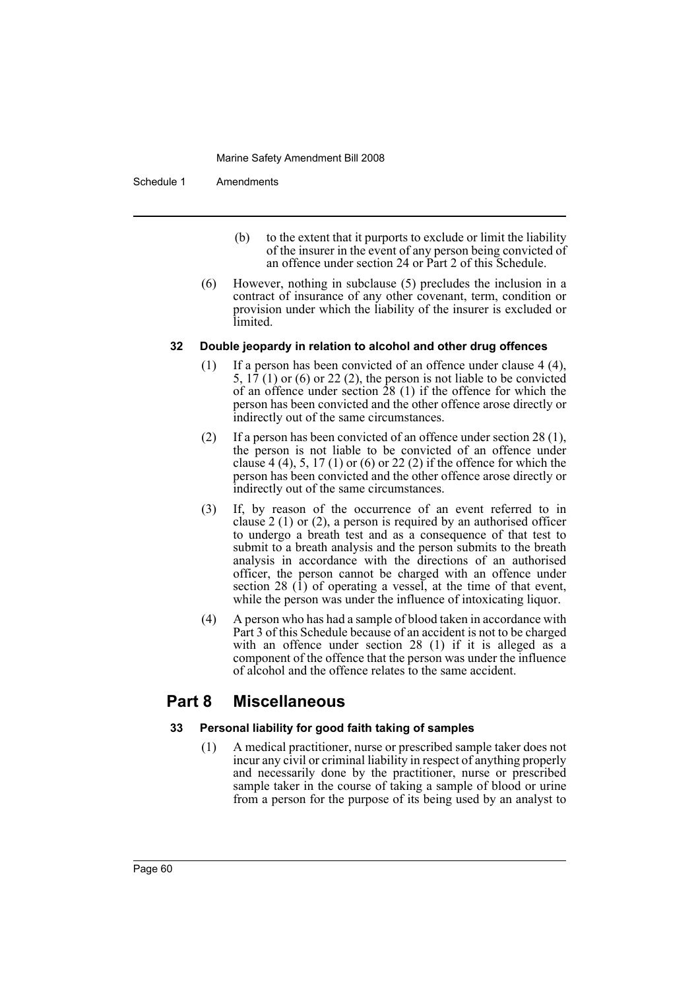Schedule 1 Amendments

- (b) to the extent that it purports to exclude or limit the liability of the insurer in the event of any person being convicted of an offence under section 24 or Part 2 of this Schedule.
- (6) However, nothing in subclause (5) precludes the inclusion in a contract of insurance of any other covenant, term, condition or provision under which the liability of the insurer is excluded or limited.

# **32 Double jeopardy in relation to alcohol and other drug offences**

- (1) If a person has been convicted of an offence under clause 4 (4), 5,  $17(1)$  or (6) or 22(2), the person is not liable to be convicted of an offence under section 28 (1) if the offence for which the person has been convicted and the other offence arose directly or indirectly out of the same circumstances.
- (2) If a person has been convicted of an offence under section 28 (1), the person is not liable to be convicted of an offence under clause 4 (4), 5, 17 (1) or (6) or 22 (2) if the offence for which the person has been convicted and the other offence arose directly or indirectly out of the same circumstances.
- (3) If, by reason of the occurrence of an event referred to in clause 2 (1) or (2), a person is required by an authorised officer to undergo a breath test and as a consequence of that test to submit to a breath analysis and the person submits to the breath analysis in accordance with the directions of an authorised officer, the person cannot be charged with an offence under section 28  $(1)$  of operating a vessel, at the time of that event, while the person was under the influence of intoxicating liquor.
- (4) A person who has had a sample of blood taken in accordance with Part 3 of this Schedule because of an accident is not to be charged with an offence under section 28 (1) if it is alleged as a component of the offence that the person was under the influence of alcohol and the offence relates to the same accident.

# **Part 8 Miscellaneous**

# **33 Personal liability for good faith taking of samples**

(1) A medical practitioner, nurse or prescribed sample taker does not incur any civil or criminal liability in respect of anything properly and necessarily done by the practitioner, nurse or prescribed sample taker in the course of taking a sample of blood or urine from a person for the purpose of its being used by an analyst to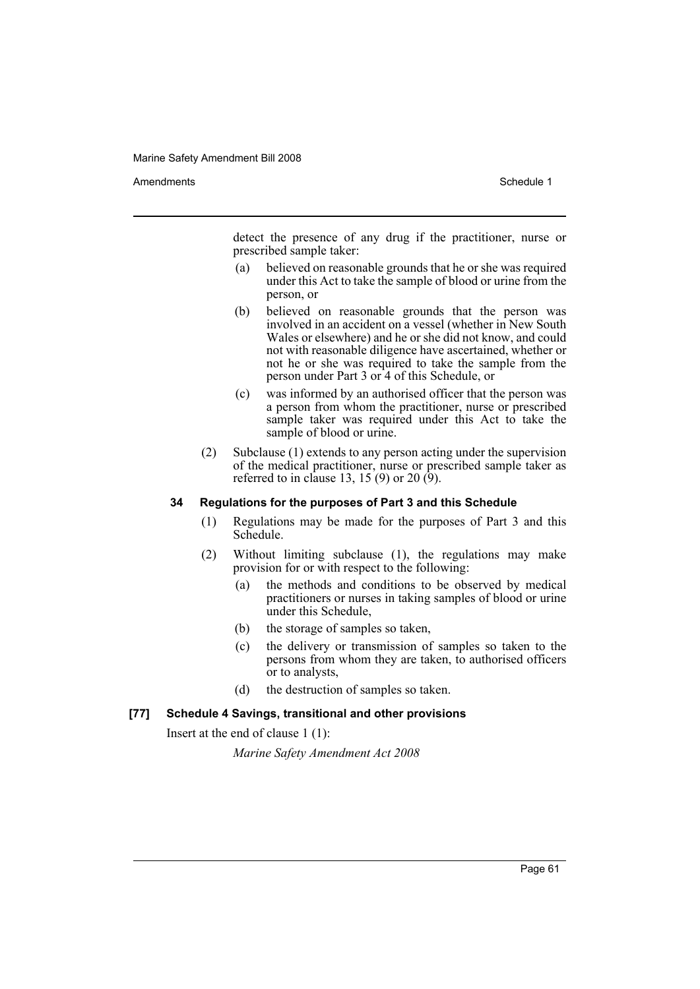Amendments **Schedule 1** and the set of the set of the set of the set of the set of the set of the set of the set of the set of the set of the set of the set of the set of the set of the set of the set of the set of the set

detect the presence of any drug if the practitioner, nurse or prescribed sample taker:

- (a) believed on reasonable grounds that he or she was required under this Act to take the sample of blood or urine from the person, or
- (b) believed on reasonable grounds that the person was involved in an accident on a vessel (whether in New South Wales or elsewhere) and he or she did not know, and could not with reasonable diligence have ascertained, whether or not he or she was required to take the sample from the person under Part 3 or 4 of this Schedule, or
- (c) was informed by an authorised officer that the person was a person from whom the practitioner, nurse or prescribed sample taker was required under this Act to take the sample of blood or urine.
- (2) Subclause (1) extends to any person acting under the supervision of the medical practitioner, nurse or prescribed sample taker as referred to in clause 13, 15 (9) or 20  $(9)$ .

# **34 Regulations for the purposes of Part 3 and this Schedule**

- (1) Regulations may be made for the purposes of Part 3 and this Schedule.
- (2) Without limiting subclause (1), the regulations may make provision for or with respect to the following:
	- (a) the methods and conditions to be observed by medical practitioners or nurses in taking samples of blood or urine under this Schedule,
	- (b) the storage of samples so taken,
	- (c) the delivery or transmission of samples so taken to the persons from whom they are taken, to authorised officers or to analysts,
	- (d) the destruction of samples so taken.

# **[77] Schedule 4 Savings, transitional and other provisions**

Insert at the end of clause 1 (1):

*Marine Safety Amendment Act 2008*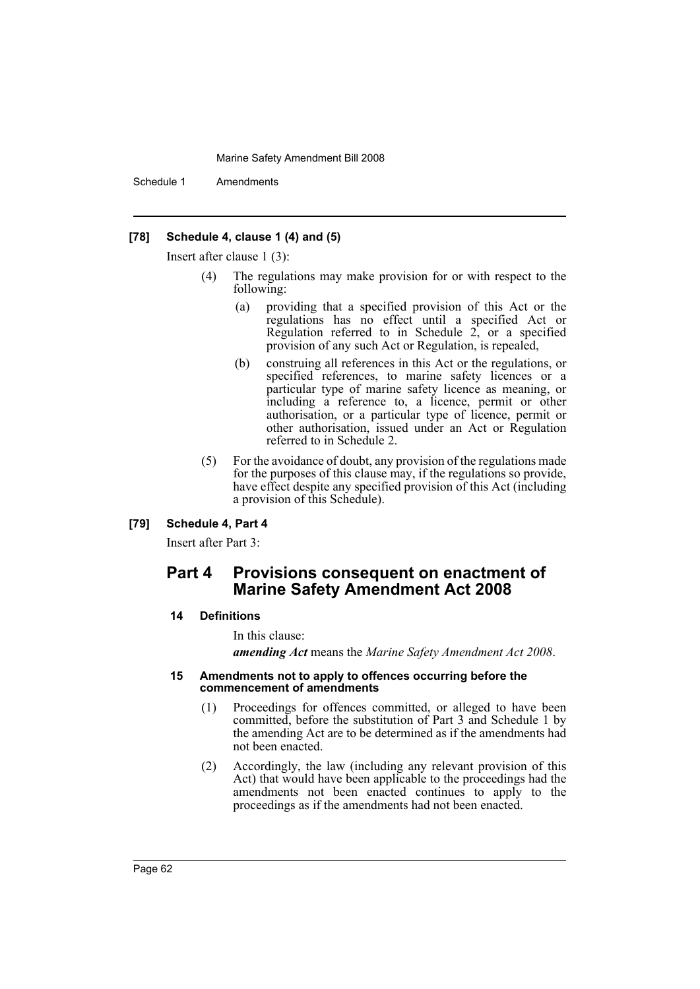Schedule 1 Amendments

# **[78] Schedule 4, clause 1 (4) and (5)**

Insert after clause 1 (3):

- (4) The regulations may make provision for or with respect to the following:
	- (a) providing that a specified provision of this Act or the regulations has no effect until a specified Act or Regulation referred to in Schedule 2, or a specified provision of any such Act or Regulation, is repealed,
	- (b) construing all references in this Act or the regulations, or specified references, to marine safety licences or a particular type of marine safety licence as meaning, or including a reference to, a licence, permit or other authorisation, or a particular type of licence, permit or other authorisation, issued under an Act or Regulation referred to in Schedule 2.
- (5) For the avoidance of doubt, any provision of the regulations made for the purposes of this clause may, if the regulations so provide, have effect despite any specified provision of this Act (including a provision of this Schedule).

# **[79] Schedule 4, Part 4**

Insert after Part 3:

# **Part 4 Provisions consequent on enactment of Marine Safety Amendment Act 2008**

#### **14 Definitions**

In this clause:

*amending Act* means the *Marine Safety Amendment Act 2008*.

#### **15 Amendments not to apply to offences occurring before the commencement of amendments**

- (1) Proceedings for offences committed, or alleged to have been committed, before the substitution of Part 3 and Schedule 1 by the amending Act are to be determined as if the amendments had not been enacted.
- (2) Accordingly, the law (including any relevant provision of this Act) that would have been applicable to the proceedings had the amendments not been enacted continues to apply to the proceedings as if the amendments had not been enacted.